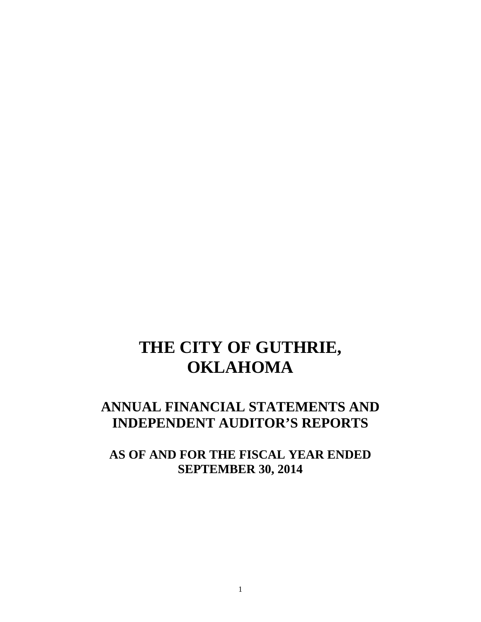# **THE CITY OF GUTHRIE, OKLAHOMA**

## **ANNUAL FINANCIAL STATEMENTS AND INDEPENDENT AUDITOR'S REPORTS**

**AS OF AND FOR THE FISCAL YEAR ENDED SEPTEMBER 30, 2014**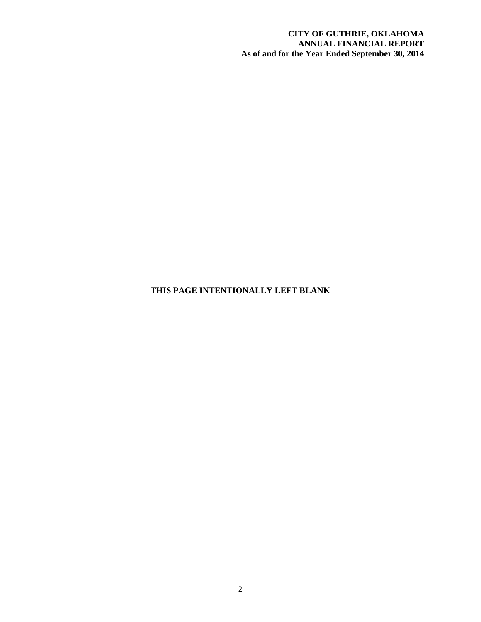## **THIS PAGE INTENTIONALLY LEFT BLANK**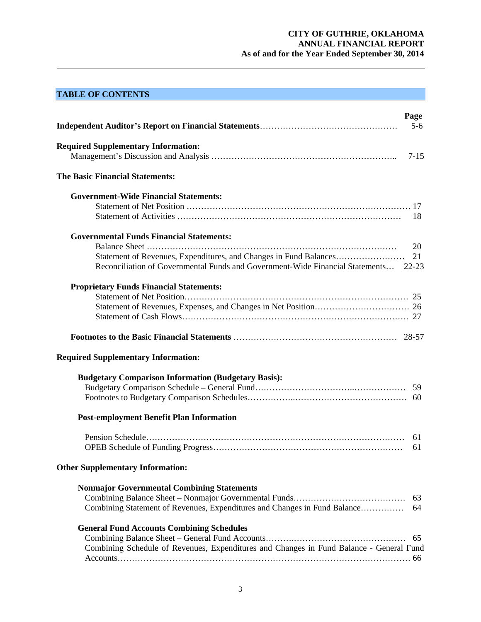## **TABLE OF CONTENTS**

|                                                                                                                                                                                                             | Page<br>$5-6$ |
|-------------------------------------------------------------------------------------------------------------------------------------------------------------------------------------------------------------|---------------|
| <b>Required Supplementary Information:</b>                                                                                                                                                                  | $7 - 15$      |
| <b>The Basic Financial Statements:</b>                                                                                                                                                                      |               |
| <b>Government-Wide Financial Statements:</b>                                                                                                                                                                | 18            |
| <b>Governmental Funds Financial Statements:</b><br>Statement of Revenues, Expenditures, and Changes in Fund Balances<br>Reconciliation of Governmental Funds and Government-Wide Financial Statements 22-23 | 20<br>21      |
| <b>Proprietary Funds Financial Statements:</b>                                                                                                                                                              |               |
|                                                                                                                                                                                                             |               |
| <b>Required Supplementary Information:</b>                                                                                                                                                                  |               |
| <b>Budgetary Comparison Information (Budgetary Basis):</b>                                                                                                                                                  |               |
| <b>Post-employment Benefit Plan Information</b>                                                                                                                                                             |               |
|                                                                                                                                                                                                             | 61<br>61      |
| <b>Other Supplementary Information:</b>                                                                                                                                                                     |               |
| <b>Nonmajor Governmental Combining Statements</b><br>Combining Statement of Revenues, Expenditures and Changes in Fund Balance                                                                              | 63<br>64      |
| <b>General Fund Accounts Combining Schedules</b><br>Combining Schedule of Revenues, Expenditures and Changes in Fund Balance - General Fund                                                                 |               |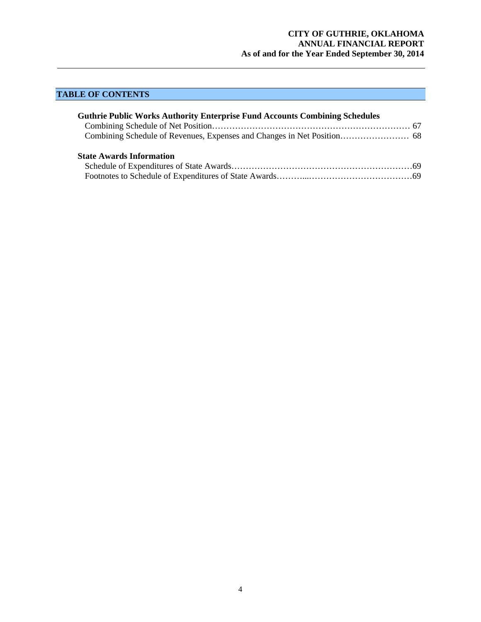## **CITY OF GUTHRIE, OKLAHOMA ANNUAL FINANCIAL REPORT As of and for the Year Ended September 30, 2014**

## **TABLE OF CONTENTS**

| <b>Guthrie Public Works Authority Enterprise Fund Accounts Combining Schedules</b> |  |
|------------------------------------------------------------------------------------|--|
|                                                                                    |  |
|                                                                                    |  |
| <b>State Awards Information</b>                                                    |  |
|                                                                                    |  |
|                                                                                    |  |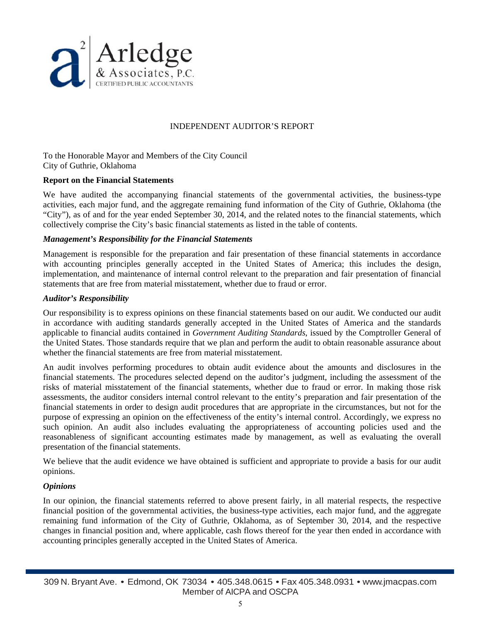

## INDEPENDENT AUDITOR'S REPORT

To the Honorable Mayor and Members of the City Council City of Guthrie, Oklahoma

#### **Report on the Financial Statements**

We have audited the accompanying financial statements of the governmental activities, the business-type activities, each major fund, and the aggregate remaining fund information of the City of Guthrie, Oklahoma (the "City"), as of and for the year ended September 30, 2014, and the related notes to the financial statements, which collectively comprise the City's basic financial statements as listed in the table of contents.

#### *Management's Responsibility for the Financial Statements*

Management is responsible for the preparation and fair presentation of these financial statements in accordance with accounting principles generally accepted in the United States of America; this includes the design, implementation, and maintenance of internal control relevant to the preparation and fair presentation of financial statements that are free from material misstatement, whether due to fraud or error.

#### *Auditor's Responsibility*

Our responsibility is to express opinions on these financial statements based on our audit. We conducted our audit in accordance with auditing standards generally accepted in the United States of America and the standards applicable to financial audits contained in *Government Auditing Standards*, issued by the Comptroller General of the United States. Those standards require that we plan and perform the audit to obtain reasonable assurance about whether the financial statements are free from material misstatement.

An audit involves performing procedures to obtain audit evidence about the amounts and disclosures in the financial statements. The procedures selected depend on the auditor's judgment, including the assessment of the risks of material misstatement of the financial statements, whether due to fraud or error. In making those risk assessments, the auditor considers internal control relevant to the entity's preparation and fair presentation of the financial statements in order to design audit procedures that are appropriate in the circumstances, but not for the purpose of expressing an opinion on the effectiveness of the entity's internal control. Accordingly, we express no such opinion. An audit also includes evaluating the appropriateness of accounting policies used and the reasonableness of significant accounting estimates made by management, as well as evaluating the overall presentation of the financial statements.

We believe that the audit evidence we have obtained is sufficient and appropriate to provide a basis for our audit opinions.

#### *Opinions*

In our opinion, the financial statements referred to above present fairly, in all material respects, the respective financial position of the governmental activities, the business-type activities, each major fund, and the aggregate remaining fund information of the City of Guthrie, Oklahoma, as of September 30, 2014, and the respective changes in financial position and, where applicable, cash flows thereof for the year then ended in accordance with accounting principles generally accepted in the United States of America.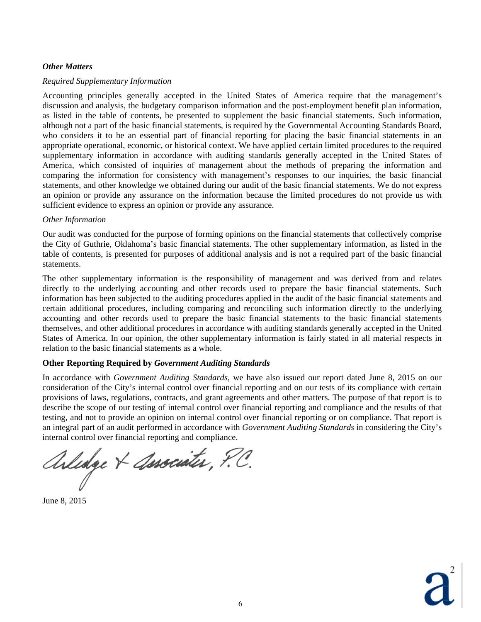#### *Other Matters*

#### *Required Supplementary Information*

Accounting principles generally accepted in the United States of America require that the management's discussion and analysis, the budgetary comparison information and the post-employment benefit plan information, as listed in the table of contents, be presented to supplement the basic financial statements. Such information, although not a part of the basic financial statements, is required by the Governmental Accounting Standards Board, who considers it to be an essential part of financial reporting for placing the basic financial statements in an appropriate operational, economic, or historical context. We have applied certain limited procedures to the required supplementary information in accordance with auditing standards generally accepted in the United States of America, which consisted of inquiries of management about the methods of preparing the information and comparing the information for consistency with management's responses to our inquiries, the basic financial statements, and other knowledge we obtained during our audit of the basic financial statements. We do not express an opinion or provide any assurance on the information because the limited procedures do not provide us with sufficient evidence to express an opinion or provide any assurance.

#### *Other Information*

Our audit was conducted for the purpose of forming opinions on the financial statements that collectively comprise the City of Guthrie, Oklahoma's basic financial statements. The other supplementary information, as listed in the table of contents, is presented for purposes of additional analysis and is not a required part of the basic financial statements.

The other supplementary information is the responsibility of management and was derived from and relates directly to the underlying accounting and other records used to prepare the basic financial statements. Such information has been subjected to the auditing procedures applied in the audit of the basic financial statements and certain additional procedures, including comparing and reconciling such information directly to the underlying accounting and other records used to prepare the basic financial statements to the basic financial statements themselves, and other additional procedures in accordance with auditing standards generally accepted in the United States of America. In our opinion, the other supplementary information is fairly stated in all material respects in relation to the basic financial statements as a whole.

#### **Other Reporting Required by** *Government Auditing Standards*

In accordance with *Government Auditing Standards*, we have also issued our report dated June 8, 2015 on our consideration of the City's internal control over financial reporting and on our tests of its compliance with certain provisions of laws, regulations, contracts, and grant agreements and other matters. The purpose of that report is to describe the scope of our testing of internal control over financial reporting and compliance and the results of that testing, and not to provide an opinion on internal control over financial reporting or on compliance. That report is an integral part of an audit performed in accordance with *Government Auditing Standards* in considering the City's internal control over financial reporting and compliance.

Arledge & Associates, P.C.

June 8, 2015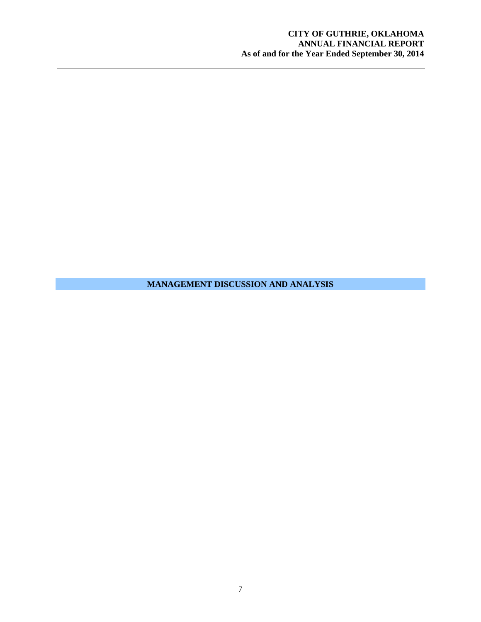**MANAGEMENT DISCUSSION AND ANALYSIS**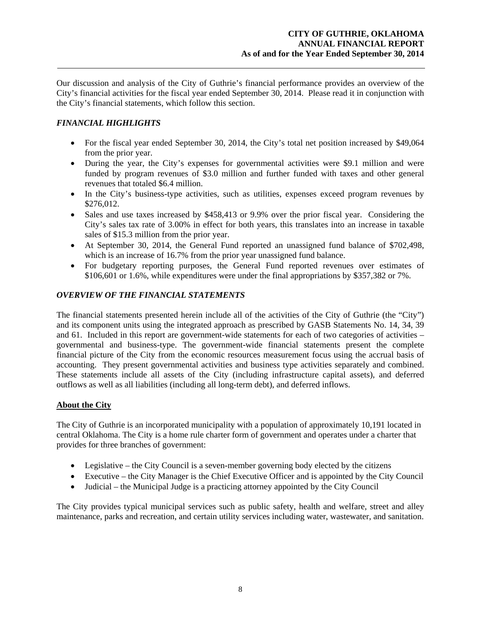Our discussion and analysis of the City of Guthrie's financial performance provides an overview of the City's financial activities for the fiscal year ended September 30, 2014. Please read it in conjunction with the City's financial statements, which follow this section.

## *FINANCIAL HIGHLIGHTS*

 $\overline{a}$ 

- For the fiscal year ended September 30, 2014, the City's total net position increased by \$49,064 from the prior year.
- During the year, the City's expenses for governmental activities were \$9.1 million and were funded by program revenues of \$3.0 million and further funded with taxes and other general revenues that totaled \$6.4 million.
- In the City's business-type activities, such as utilities, expenses exceed program revenues by \$276,012.
- Sales and use taxes increased by \$458,413 or 9.9% over the prior fiscal year. Considering the City's sales tax rate of 3.00% in effect for both years, this translates into an increase in taxable sales of \$15.3 million from the prior year.
- At September 30, 2014, the General Fund reported an unassigned fund balance of \$702,498, which is an increase of 16.7% from the prior year unassigned fund balance.
- For budgetary reporting purposes, the General Fund reported revenues over estimates of \$106,601 or 1.6%, while expenditures were under the final appropriations by \$357,382 or 7%.

## *OVERVIEW OF THE FINANCIAL STATEMENTS*

The financial statements presented herein include all of the activities of the City of Guthrie (the "City") and its component units using the integrated approach as prescribed by GASB Statements No. 14, 34, 39 and 61. Included in this report are government-wide statements for each of two categories of activities – governmental and business-type. The government-wide financial statements present the complete financial picture of the City from the economic resources measurement focus using the accrual basis of accounting. They present governmental activities and business type activities separately and combined. These statements include all assets of the City (including infrastructure capital assets), and deferred outflows as well as all liabilities (including all long-term debt), and deferred inflows.

#### **About the City**

The City of Guthrie is an incorporated municipality with a population of approximately 10,191 located in central Oklahoma. The City is a home rule charter form of government and operates under a charter that provides for three branches of government:

- Legislative the City Council is a seven-member governing body elected by the citizens
- Executive the City Manager is the Chief Executive Officer and is appointed by the City Council
- Judicial the Municipal Judge is a practicing attorney appointed by the City Council

The City provides typical municipal services such as public safety, health and welfare, street and alley maintenance, parks and recreation, and certain utility services including water, wastewater, and sanitation.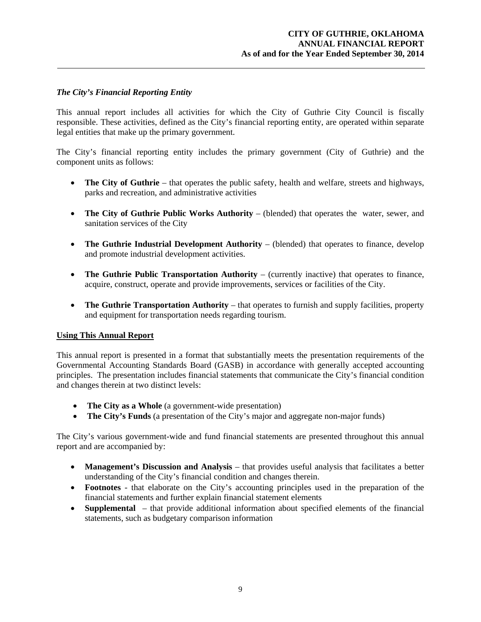## *The City's Financial Reporting Entity*

 $\overline{a}$ 

This annual report includes all activities for which the City of Guthrie City Council is fiscally responsible. These activities, defined as the City's financial reporting entity, are operated within separate legal entities that make up the primary government.

The City's financial reporting entity includes the primary government (City of Guthrie) and the component units as follows:

- The City of Guthrie that operates the public safety, health and welfare, streets and highways, parks and recreation, and administrative activities
- **The City of Guthrie Public Works Authority** (blended) that operates the water, sewer, and sanitation services of the City
- **The Guthrie Industrial Development Authority** (blended) that operates to finance, develop and promote industrial development activities.
- The Guthrie Public Transportation Authority (currently inactive) that operates to finance, acquire, construct, operate and provide improvements, services or facilities of the City.
- The Guthrie Transportation Authority that operates to furnish and supply facilities, property and equipment for transportation needs regarding tourism.

#### **Using This Annual Report**

This annual report is presented in a format that substantially meets the presentation requirements of the Governmental Accounting Standards Board (GASB) in accordance with generally accepted accounting principles. The presentation includes financial statements that communicate the City's financial condition and changes therein at two distinct levels:

- **The City as a Whole** (a government-wide presentation)
- **The City's Funds** (a presentation of the City's major and aggregate non-major funds)

The City's various government-wide and fund financial statements are presented throughout this annual report and are accompanied by:

- **Management's Discussion and Analysis** that provides useful analysis that facilitates a better understanding of the City's financial condition and changes therein.
- **Footnotes** that elaborate on the City's accounting principles used in the preparation of the financial statements and further explain financial statement elements
- **Supplemental**  that provide additional information about specified elements of the financial statements, such as budgetary comparison information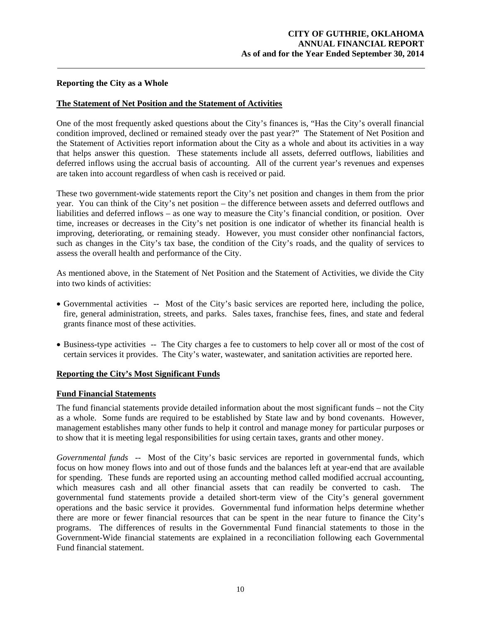#### **Reporting the City as a Whole**

 $\overline{a}$ 

#### **The Statement of Net Position and the Statement of Activities**

One of the most frequently asked questions about the City's finances is, "Has the City's overall financial condition improved, declined or remained steady over the past year?" The Statement of Net Position and the Statement of Activities report information about the City as a whole and about its activities in a way that helps answer this question. These statements include all assets, deferred outflows, liabilities and deferred inflows using the accrual basis of accounting. All of the current year's revenues and expenses are taken into account regardless of when cash is received or paid.

These two government-wide statements report the City's net position and changes in them from the prior year. You can think of the City's net position – the difference between assets and deferred outflows and liabilities and deferred inflows – as one way to measure the City's financial condition, or position. Over time, increases or decreases in the City's net position is one indicator of whether its financial health is improving, deteriorating, or remaining steady. However, you must consider other nonfinancial factors, such as changes in the City's tax base, the condition of the City's roads, and the quality of services to assess the overall health and performance of the City.

As mentioned above, in the Statement of Net Position and the Statement of Activities, we divide the City into two kinds of activities:

- Governmental activities -- Most of the City's basic services are reported here, including the police, fire, general administration, streets, and parks. Sales taxes, franchise fees, fines, and state and federal grants finance most of these activities.
- Business-type activities -- The City charges a fee to customers to help cover all or most of the cost of certain services it provides. The City's water, wastewater, and sanitation activities are reported here.

#### **Reporting the City's Most Significant Funds**

#### **Fund Financial Statements**

The fund financial statements provide detailed information about the most significant funds – not the City as a whole. Some funds are required to be established by State law and by bond covenants. However, management establishes many other funds to help it control and manage money for particular purposes or to show that it is meeting legal responsibilities for using certain taxes, grants and other money.

*Governmental funds* -- Most of the City's basic services are reported in governmental funds, which focus on how money flows into and out of those funds and the balances left at year-end that are available for spending. These funds are reported using an accounting method called modified accrual accounting, which measures cash and all other financial assets that can readily be converted to cash. The governmental fund statements provide a detailed short-term view of the City's general government operations and the basic service it provides. Governmental fund information helps determine whether there are more or fewer financial resources that can be spent in the near future to finance the City's programs. The differences of results in the Governmental Fund financial statements to those in the Government-Wide financial statements are explained in a reconciliation following each Governmental Fund financial statement.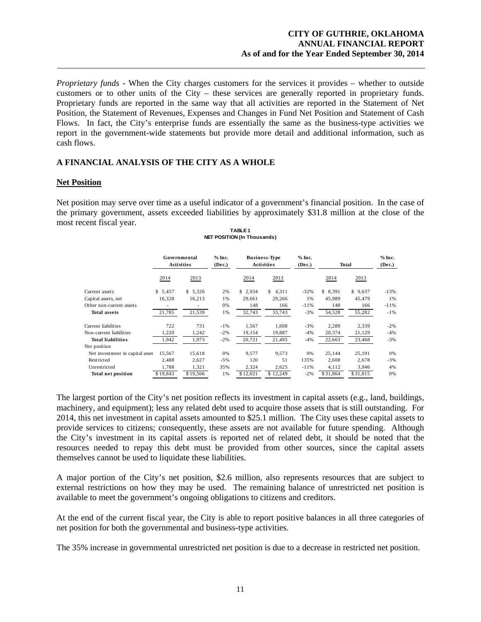*Proprietary funds* - When the City charges customers for the services it provides – whether to outside customers or to other units of the City – these services are generally reported in proprietary funds. Proprietary funds are reported in the same way that all activities are reported in the Statement of Net Position, the Statement of Revenues, Expenses and Changes in Fund Net Position and Statement of Cash Flows. In fact, the City's enterprise funds are essentially the same as the business-type activities we report in the government-wide statements but provide more detail and additional information, such as cash flows.

## **A FINANCIAL ANALYSIS OF THE CITY AS A WHOLE**

#### **Net Position**

 $\overline{a}$ 

Net position may serve over time as a useful indicator of a government's financial position. In the case of the primary government, assets exceeded liabilities by approximately \$31.8 million at the close of the most recent fiscal year.

#### **TABLE 1 NET POSITION (In Thousands)**

|                                 | Governmental<br>Activities |          | % Inc.<br>(Dec.) | <b>Business-Type</b><br><b>Activities</b> |             |        | Total    | $%$ Inc.<br>(Dec.) |        |
|---------------------------------|----------------------------|----------|------------------|-------------------------------------------|-------------|--------|----------|--------------------|--------|
|                                 | 2014                       | 2013     |                  | 2014                                      | 2013        |        | 2014     | 2013               |        |
| Current assets                  | 5,457<br>\$                | \$5,326  | 2%               | 2,934<br>S.                               | 4,311<br>\$ | $-32%$ | \$8,391  | \$9,637            | $-13%$ |
| Capital assets, net             | 16,328                     | 16,213   | 1%               | 29.661                                    | 29.266      | 1%     | 45,989   | 45,479             | 1%     |
| Other non-current assets        |                            |          | 0%               | 148                                       | 166         | $-11%$ | 148      | 166                | $-11%$ |
| <b>Total assets</b>             | 21,785                     | 21,539   | 1%               | 32,743                                    | 33,743      | $-3%$  | 54,528   | 55,282             | $-1%$  |
| Current liabilities             | 722                        | 731      | $-1%$            | 1,567                                     | 1,608       | $-3%$  | 2,289    | 2,339              | $-2%$  |
| Non-current liabilities         | 1,220                      | 1,242    | $-2%$            | 19,154                                    | 19,887      | $-4%$  | 20,374   | 21,129             | $-4%$  |
| <b>Total liabilities</b>        | 1,942                      | 1,973    | $-2%$            | 20,721                                    | 21,495      | $-4%$  | 22,663   | 23,468             | $-3%$  |
| Net position                    |                            |          |                  |                                           |             |        |          |                    |        |
| Net investment in capital asset | 15,567                     | 15,618   | 0%               | 9,577                                     | 9,573       | 0%     | 25,144   | 25,191             | 0%     |
| Restricted                      | 2.488                      | 2,627    | $-5%$            | 120                                       | 51          | 135%   | 2,608    | 2,678              | $-3%$  |
| Unrestricted                    | 1,788                      | 1,321    | 35%              | 2,324                                     | 2,625       | $-11%$ | 4,112    | 3,946              | 4%     |
| <b>Total net position</b>       | \$19,843                   | \$19,566 | 1%               | \$12,021                                  | \$12,249    | $-2%$  | \$31,864 | \$31,815           | 0%     |

The largest portion of the City's net position reflects its investment in capital assets (e.g., land, buildings, machinery, and equipment); less any related debt used to acquire those assets that is still outstanding. For 2014, this net investment in capital assets amounted to \$25.1 million. The City uses these capital assets to provide services to citizens; consequently, these assets are not available for future spending. Although the City's investment in its capital assets is reported net of related debt, it should be noted that the resources needed to repay this debt must be provided from other sources, since the capital assets themselves cannot be used to liquidate these liabilities.

A major portion of the City's net position, \$2.6 million, also represents resources that are subject to external restrictions on how they may be used. The remaining balance of unrestricted net position is available to meet the government's ongoing obligations to citizens and creditors.

At the end of the current fiscal year, the City is able to report positive balances in all three categories of net position for both the governmental and business-type activities.

The 35% increase in governmental unrestricted net position is due to a decrease in restricted net position.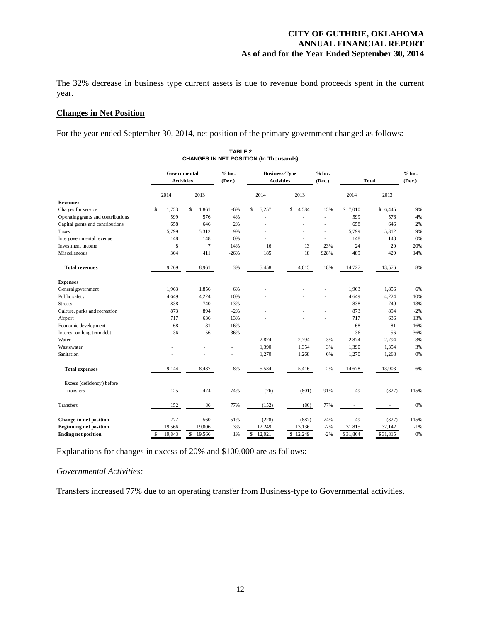The 32% decrease in business type current assets is due to revenue bond proceeds spent in the current year.

## **Changes in Net Position**

 $\overline{a}$ 

For the year ended September 30, 2014, net position of the primary government changed as follows:

|                                    |              | Governmental<br><b>Activities</b> | $%$ Inc.<br>(Dec.) |             | <b>Business-Type</b><br><b>Activities</b> | $%$ Inc.<br>(Dec.) | <b>Total</b> | $%$ Inc.<br>(Dec.) |         |
|------------------------------------|--------------|-----------------------------------|--------------------|-------------|-------------------------------------------|--------------------|--------------|--------------------|---------|
|                                    | 2014         | 2013                              |                    | 2014        | 2013                                      |                    | 2014         | 2013               |         |
| <b>Revenues</b>                    |              |                                   |                    |             |                                           |                    |              |                    |         |
| Charges for service                | \$<br>1,753  | 1,861<br>S                        | $-6%$              | 5,257<br>\$ | \$<br>4,584                               | 15%                | \$7,010      | \$6,445            | 9%      |
| Operating grants and contributions | 599          | 576                               | 4%                 |             |                                           |                    | 599          | 576                | 4%      |
| Capital grants and contributions   | 658          | 646                               | 2%                 |             |                                           |                    | 658          | 646                | 2%      |
| Taxes                              | 5,799        | 5,312                             | 9%                 |             |                                           |                    | 5,799        | 5,312              | 9%      |
| Intergovernmental revenue          | 148          | 148                               | 0%                 |             |                                           | ÷                  | 148          | 148                | 0%      |
| Investment income                  | 8            | $\overline{7}$                    | 14%                | 16          | 13                                        | 23%                | 24           | 20                 | 20%     |
| M iscellaneous                     | 304          | 411                               | $-26%$             | 185         | 18                                        | 928%               | 489          | 429                | 14%     |
| <b>Total revenues</b>              | 9,269        | 8,961                             | 3%                 | 5,458       | 4,615                                     | 18%                | 14,727       | 13,576             | 8%      |
| <b>Expenses</b>                    |              |                                   |                    |             |                                           |                    |              |                    |         |
| General government                 | 1,963        | 1,856                             | 6%                 |             |                                           |                    | 1,963        | 1,856              | 6%      |
| Public safety                      | 4,649        | 4,224                             | 10%                |             |                                           |                    | 4,649        | 4,224              | 10%     |
| <b>Streets</b>                     | 838          | 740                               | 13%                |             |                                           |                    | 838          | 740                | 13%     |
| Culture, parks and recreation      | 873          | 894                               | $-2%$              |             |                                           |                    | 873          | 894                | $-2%$   |
| Airport                            | 717          | 636                               | 13%                |             |                                           |                    | 717          | 636                | 13%     |
| Economic development               | 68           | 81                                | $-16%$             |             |                                           |                    | 68           | 81                 | $-16%$  |
| Interest on long-term debt         | 36           | 56                                | $-36%$             |             |                                           |                    | 36           | 56                 | $-36%$  |
| Water                              |              |                                   |                    | 2,874       | 2,794                                     | 3%                 | 2,874        | 2,794              | 3%      |
| Wastewater                         |              |                                   |                    | 1,390       | 1,354                                     | 3%                 | 1,390        | 1,354              | 3%      |
| Sanitation                         |              | $\overline{\phantom{a}}$          |                    | 1,270       | 1,268                                     | $0\%$              | 1,270        | 1,268              | 0%      |
| <b>Total expenses</b>              | 9,144        | 8,487                             | 8%                 | 5,534       | 5,416                                     | 2%                 | 14,678       | 13,903             | 6%      |
| Excess (deficiency) before         |              |                                   |                    |             |                                           |                    |              |                    |         |
| transfers                          | 125          | 474                               | $-74%$             | (76)        | (801)                                     | $-91%$             | 49           | (327)              | $-115%$ |
| Transfers                          | 152          | 86                                | 77%                | (152)       | (86)                                      | 77%                |              |                    | 0%      |
| Change in net position             | 277          | 560                               | $-51%$             | (228)       | (887)                                     | $-74%$             | 49           | (327)              | $-115%$ |
| <b>Beginning net position</b>      | 19,566       | 19,006                            | 3%                 | 12,249      | 13,136                                    | $-7%$              | 31,815       | 32,142             | $-1%$   |
| <b>Ending net position</b>         | 19,843<br>\$ | \$19,566                          | 1%                 | \$12,021    | \$12,249                                  | $-2%$              | \$31,864     | \$31,815           | 0%      |

#### **TABLE 2 CHANGES IN NET POSITION (In Thousands)**

Explanations for changes in excess of 20% and \$100,000 are as follows:

#### *Governmental Activities:*

Transfers increased 77% due to an operating transfer from Business-type to Governmental activities.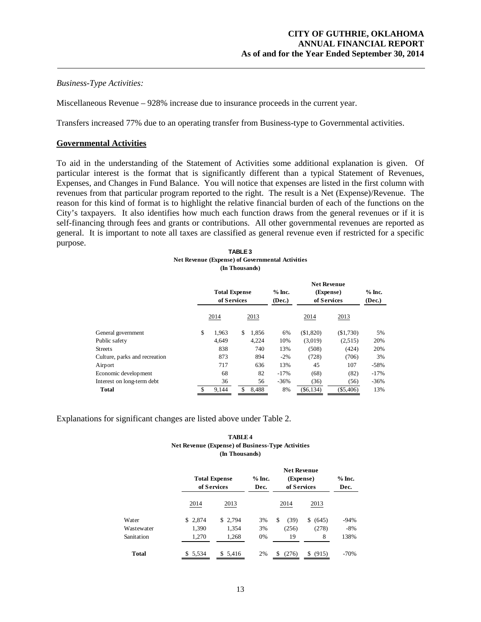#### *Business-Type Activities:*

 $\overline{a}$ 

Miscellaneous Revenue – 928% increase due to insurance proceeds in the current year.

Transfers increased 77% due to an operating transfer from Business-type to Governmental activities.

#### **Governmental Activities**

To aid in the understanding of the Statement of Activities some additional explanation is given. Of particular interest is the format that is significantly different than a typical Statement of Revenues, Expenses, and Changes in Fund Balance. You will notice that expenses are listed in the first column with revenues from that particular program reported to the right. The result is a Net (Expense)/Revenue. The reason for this kind of format is to highlight the relative financial burden of each of the functions on the City's taxpayers. It also identifies how much each function draws from the general revenues or if it is self-financing through fees and grants or contributions. All other governmental revenues are reported as general. It is important to note all taxes are classified as general revenue even if restricted for a specific purpose.

#### **Net Revenue (Expense) of Governmental Activities (In Thousands) TABLE 3**

|                               | <b>Total Expense</b><br>of Services |             | $%$ Inc.<br>(Dec.) | <b>Net Revenue</b><br>(Expense)<br>of Services | $%$ Inc.<br>(Dec.) |        |  |
|-------------------------------|-------------------------------------|-------------|--------------------|------------------------------------------------|--------------------|--------|--|
|                               | 2014                                | 2013        |                    | 2014                                           | 2013               |        |  |
| General government            | \$<br>1.963                         | \$<br>1.856 | 6%                 | (\$1,820)                                      | (\$1,730)          | 5%     |  |
| Public safety                 | 4.649                               | 4,224       | 10%                | (3,019)                                        | (2,515)            | 20%    |  |
| <b>Streets</b>                | 838                                 | 740         | 13%                | (508)                                          | (424)              | 20%    |  |
| Culture, parks and recreation | 873                                 | 894         | $-2\%$             | (728)                                          | (706)              | 3%     |  |
| Airport                       | 717                                 | 636         | 13%                | 45                                             | 107                | $-58%$ |  |
| Economic development          | 68                                  | 82          | $-17%$             | (68)                                           | (82)               | $-17%$ |  |
| Interest on long-term debt    | 36                                  | 56          | $-36%$             | (36)                                           | (56)               | $-36%$ |  |
| <b>Total</b>                  | \$<br>9.144                         | \$<br>8.488 | 8%                 | $(\$6,134)$                                    | $(\$5,406)$        | 13%    |  |

Explanations for significant changes are listed above under Table 2.

#### **TABLE 4 Net Revenue (Expense) of Business-Type Activities (In Thousands)**

|              |         | <b>Total Expense</b><br>of Services | $%$ Inc.<br>Dec. | <b>Net Revenue</b><br>(Expense)<br>of Services | $%$ Inc.<br>Dec. |        |
|--------------|---------|-------------------------------------|------------------|------------------------------------------------|------------------|--------|
|              | 2014    | 2013                                |                  | 2014                                           | 2013             |        |
| Water        | \$2,874 | \$2,794                             | 3%               | \$<br>(39)                                     | (645)<br>\$      | $-94%$ |
| Wastewater   | 1,390   | 1,354                               | 3%               | (256)                                          | (278)            | $-8%$  |
| Sanitation   | 1,270   | 1,268                               | 0%               | 19                                             | 8                | 138%   |
| <b>Total</b> | \$5,534 | \$5,416                             | 2%               | (276)<br>\$.                                   | \$<br>(915)      | $-70%$ |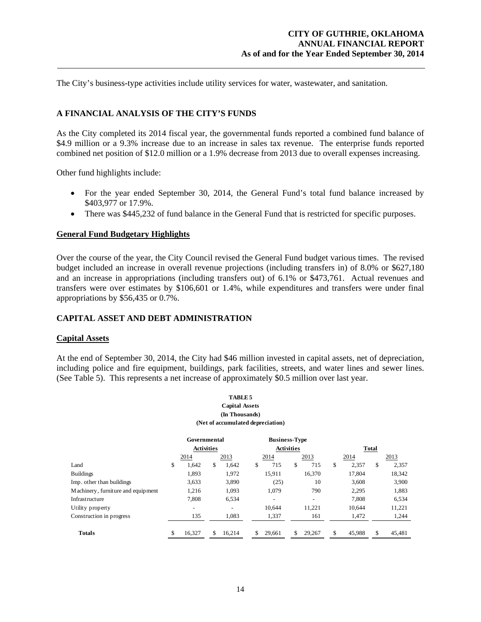The City's business-type activities include utility services for water, wastewater, and sanitation.

#### **A FINANCIAL ANALYSIS OF THE CITY'S FUNDS**

As the City completed its 2014 fiscal year, the governmental funds reported a combined fund balance of \$4.9 million or a 9.3% increase due to an increase in sales tax revenue. The enterprise funds reported combined net position of \$12.0 million or a 1.9% decrease from 2013 due to overall expenses increasing.

Other fund highlights include:

 $\overline{a}$ 

- For the year ended September 30, 2014, the General Fund's total fund balance increased by \$403,977 or 17.9%.
- There was \$445,232 of fund balance in the General Fund that is restricted for specific purposes.

#### **General Fund Budgetary Highlights**

Over the course of the year, the City Council revised the General Fund budget various times. The revised budget included an increase in overall revenue projections (including transfers in) of 8.0% or \$627,180 and an increase in appropriations (including transfers out) of 6.1% or \$473,761. Actual revenues and transfers were over estimates by \$106,601 or 1.4%, while expenditures and transfers were under final appropriations by \$56,435 or 0.7%.

#### **CAPITAL ASSET AND DEBT ADMINISTRATION**

#### **Capital Assets**

At the end of September 30, 2014, the City had \$46 million invested in capital assets, net of depreciation, including police and fire equipment, buildings, park facilities, streets, and water lines and sewer lines. (See Table 5). This represents a net increase of approximately \$0.5 million over last year.

| TABLE 5                           |
|-----------------------------------|
| <b>Capital Assets</b>             |
| (In Thousands)                    |
| (Net of accumulated depreciation) |

|                                    |    | Governmental      |   |                          |    | <b>Business-Type</b> |                   |        |       |        |    |        |  |
|------------------------------------|----|-------------------|---|--------------------------|----|----------------------|-------------------|--------|-------|--------|----|--------|--|
|                                    |    | <b>Activities</b> |   |                          |    |                      | <b>Activities</b> |        | Total |        |    |        |  |
|                                    |    | 2014              |   | 2013                     |    | 2014                 |                   | 2013   | 2014  |        |    | 2013   |  |
| Land                               | \$ | 1,642             | S | 1.642                    | \$ | 715                  | \$                | 715    | \$    | 2,357  | \$ | 2,357  |  |
| <b>Buildings</b>                   |    | 1,893             |   | 1,972                    |    | 15,911               |                   | 16,370 |       | 17,804 |    | 18,342 |  |
| Imp. other than buildings          |    | 3,633             |   | 3.890                    |    | (25)                 |                   | 10     |       | 3,608  |    | 3,900  |  |
| Machinery, furniture and equipment |    | 1,216             |   | 1.093                    |    | 1.079                |                   | 790    |       | 2,295  |    | 1,883  |  |
| Infrastructure                     |    | 7,808             |   | 6,534                    |    |                      |                   | -      |       | 7,808  |    | 6,534  |  |
| Utility property                   |    |                   |   | $\overline{\phantom{0}}$ |    | 10.644               |                   | 11,221 |       | 10.644 |    | 11,221 |  |
| Construction in progress           |    | 135               |   | 1,083                    |    | 1,337                |                   | 161    |       | 1,472  |    | 1,244  |  |
| <b>Totals</b>                      | \$ | 16.327            |   | 16.214                   | \$ | 29.661               | \$                | 29.267 | \$    | 45.988 | \$ | 45.481 |  |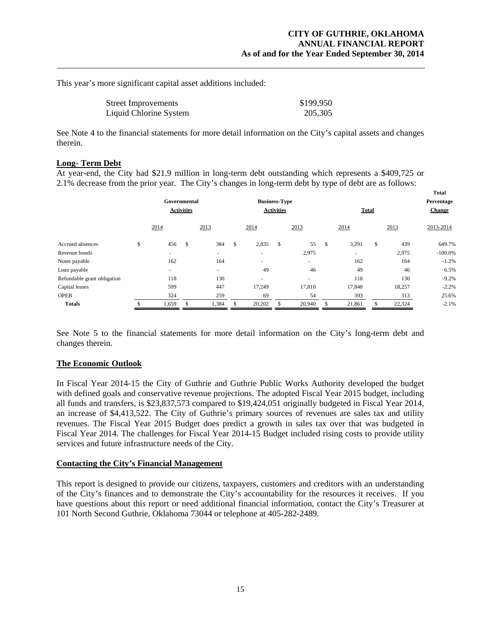**Total**

This year's more significant capital asset additions included:

| <b>Street Improvements</b> | \$199,950 |
|----------------------------|-----------|
| Liquid Chlorine System     | 205,305   |

See Note 4 to the financial statements for more detail information on the City's capital assets and changes therein.

#### **Long- Term Debt**

 $\overline{a}$ 

At year-end, the City had \$21.9 million in long-term debt outstanding which represents a \$409,725 or 2.1% decrease from the prior year. The City's changes in long-term debt by type of debt are as follows:

|                             |                   |    |                          |    |                          |               |                          |               |              |               | 1 otal     |
|-----------------------------|-------------------|----|--------------------------|----|--------------------------|---------------|--------------------------|---------------|--------------|---------------|------------|
|                             | Governmental      |    |                          |    | <b>Business-Type</b>     |               |                          |               |              |               | Percentage |
|                             | <b>Activities</b> |    |                          |    | <b>Activities</b>        |               |                          |               | <b>Total</b> | <b>Change</b> |            |
|                             | 2014              |    | 2013                     |    | 2014                     |               | 2013                     |               | 2014         | 2013          | 2013-2014  |
| Accrued absences            | \$<br>456         | -S | 384                      | \$ | 2,835                    | <sup>\$</sup> | 55                       | <sup>\$</sup> | 3,291        | \$<br>439     | 649.7%     |
| Revenue bonds               | ٠                 |    | $\overline{\phantom{a}}$ |    | $\sim$                   |               | 2,975                    |               | $\sim$       | 2,975         | $-100.0%$  |
| Notes payable               | 162               |    | 164                      |    | $\overline{\phantom{0}}$ |               | $\overline{\phantom{a}}$ |               | 162          | 164           | $-1.2%$    |
| Loan payable                | ٠                 |    | $\overline{a}$           |    | 49                       |               | 46                       |               | 49           | 46            | 6.5%       |
| Refundable grant obligation | 118               |    | 130                      |    | $\overline{\phantom{0}}$ |               |                          |               | 118          | 130           | $-9.2%$    |
| Capital leases              | 599               |    | 447                      |    | 17,249                   |               | 17,810                   |               | 17,848       | 18,257        | $-2.2%$    |
| <b>OPEB</b>                 | 324               |    | 259                      |    | 69                       |               | 54                       |               | 393          | 313           | 25.6%      |
| <b>Totals</b>               | 1,659             |    | 1,384                    |    | 20,202                   |               | 20,940                   |               | 21,861       | 22,324        | $-2.1%$    |
|                             |                   |    |                          |    |                          |               |                          |               |              |               |            |

See Note 5 to the financial statements for more detail information on the City's long-term debt and changes therein.

#### **The Economic Outlook**

In Fiscal Year 2014-15 the City of Guthrie and Guthrie Public Works Authority developed the budget with defined goals and conservative revenue projections. The adopted Fiscal Year 2015 budget, including all funds and transfers, is \$23,837,573 compared to \$19,424,051 originally budgeted in Fiscal Year 2014, an increase of \$4,413,522. The City of Guthrie's primary sources of revenues are sales tax and utility revenues. The Fiscal Year 2015 Budget does predict a growth in sales tax over that was budgeted in Fiscal Year 2014. The challenges for Fiscal Year 2014-15 Budget included rising costs to provide utility services and future infrastructure needs of the City.

#### **Contacting the City's Financial Management**

This report is designed to provide our citizens, taxpayers, customers and creditors with an understanding of the City's finances and to demonstrate the City's accountability for the resources it receives. If you have questions about this report or need additional financial information, contact the City's Treasurer at 101 North Second Guthrie, Oklahoma 73044 or telephone at 405-282-2489.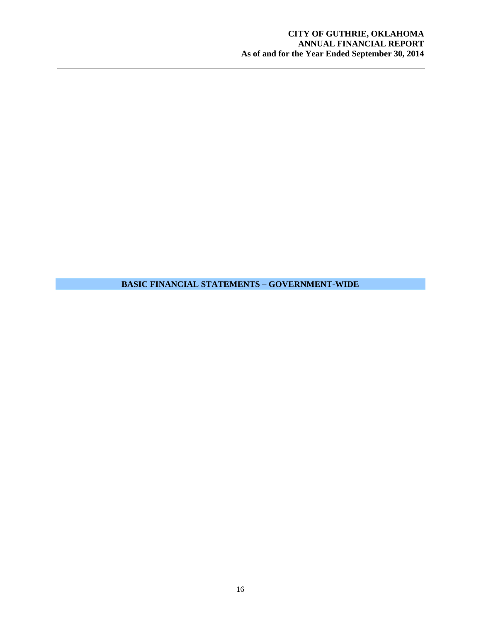**BASIC FINANCIAL STATEMENTS – GOVERNMENT-WIDE**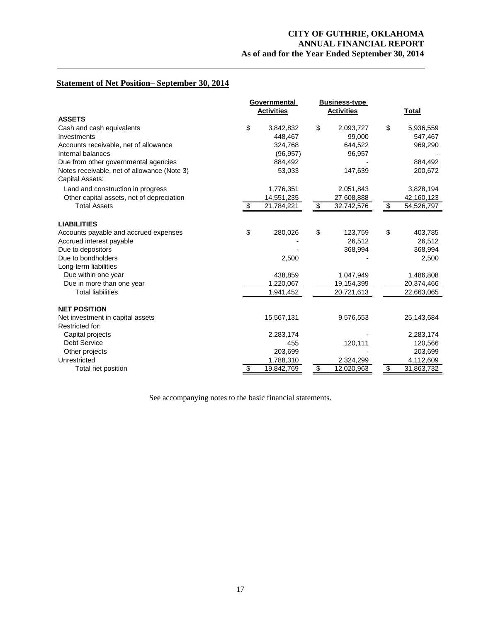## **Statement of Net Position– September 30, 2014**

 $\overline{a}$ 

|                                             | Governmental      | <b>Business-type</b> |                  |
|---------------------------------------------|-------------------|----------------------|------------------|
|                                             | <b>Activities</b> | <b>Activities</b>    | <b>Total</b>     |
| <b>ASSETS</b>                               |                   |                      |                  |
| Cash and cash equivalents                   | \$<br>3,842,832   | \$<br>2,093,727      | \$<br>5,936,559  |
| Investments                                 | 448,467           | 99,000               | 547,467          |
| Accounts receivable, net of allowance       | 324,768           | 644,522              | 969,290          |
| Internal balances                           | (96, 957)         | 96,957               |                  |
| Due from other governmental agencies        | 884,492           |                      | 884,492          |
| Notes receivable, net of allowance (Note 3) | 53,033            | 147,639              | 200,672          |
| Capital Assets:                             |                   |                      |                  |
| Land and construction in progress           | 1,776,351         | 2,051,843            | 3,828,194        |
| Other capital assets, net of depreciation   | 14,551,235        | 27,608,888           | 42,160,123       |
| <b>Total Assets</b>                         | \$<br>21,784,221  | \$<br>32,742,576     | \$<br>54,526,797 |
| <b>LIABILITIES</b>                          |                   |                      |                  |
| Accounts payable and accrued expenses       | \$<br>280,026     | \$<br>123,759        | \$<br>403,785    |
| Accrued interest payable                    |                   | 26,512               | 26,512           |
| Due to depositors                           |                   | 368,994              | 368,994          |
| Due to bondholders                          | 2,500             |                      | 2,500            |
| Long-term liabilities                       |                   |                      |                  |
| Due within one year                         | 438,859           | 1,047,949            | 1,486,808        |
| Due in more than one year                   | 1,220,067         | 19,154,399           | 20,374,466       |
| <b>Total liabilities</b>                    | 1,941,452         | 20,721,613           | 22,663,065       |
| <b>NET POSITION</b>                         |                   |                      |                  |
| Net investment in capital assets            | 15,567,131        | 9,576,553            | 25,143,684       |
| Restricted for:                             |                   |                      |                  |
| Capital projects                            | 2,283,174         |                      | 2,283,174        |
| <b>Debt Service</b>                         | 455               | 120,111              | 120,566          |
| Other projects                              | 203,699           |                      | 203,699          |
| Unrestricted                                | 1,788,310         | 2,324,299            | 4,112,609        |
| Total net position                          | \$<br>19,842,769  | \$<br>12,020,963     | \$<br>31,863,732 |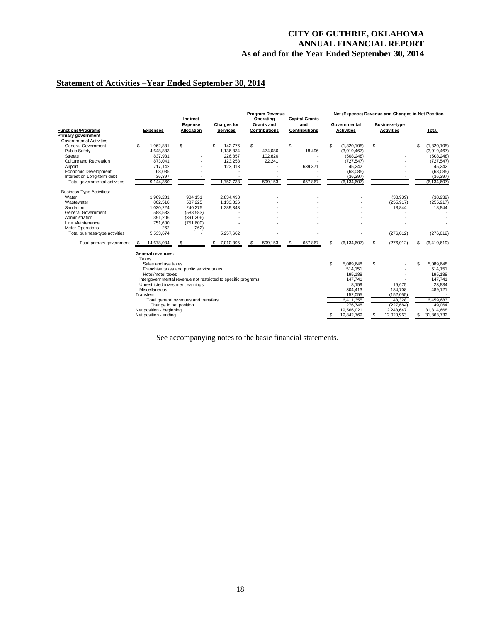## **Statement of Activities –Year Ended September 30, 2014**

 $\overline{a}$ 

|                                |                                  |                                          |                                                               | <b>Program Revenue</b>                                 |                                                      |    | Net (Expense) Revenue and Changes in Net Position |                                           |            |    |               |  |  |  |
|--------------------------------|----------------------------------|------------------------------------------|---------------------------------------------------------------|--------------------------------------------------------|------------------------------------------------------|----|---------------------------------------------------|-------------------------------------------|------------|----|---------------|--|--|--|
| <b>Functions/Programs</b>      | <b>Expenses</b>                  | Indirect<br><b>Expense</b><br>Allocation | <b>Charges for</b><br><b>Services</b>                         | Operating<br><b>Grants and</b><br><b>Contributions</b> | <b>Capital Grants</b><br>and<br><b>Contributions</b> |    | Governmental<br><b>Activities</b>                 | <b>Business-type</b><br><b>Activities</b> |            |    | Total         |  |  |  |
| Primary government             |                                  |                                          |                                                               |                                                        |                                                      |    |                                                   |                                           |            |    |               |  |  |  |
| <b>Governmental Activities</b> |                                  |                                          |                                                               |                                                        |                                                      |    |                                                   |                                           |            |    |               |  |  |  |
| General Government             | \$<br>1.962.881                  | \$                                       | \$<br>142,776                                                 | \$                                                     | \$                                                   | \$ | (1,820,105)                                       | \$                                        |            | \$ | (1,820,105)   |  |  |  |
| <b>Public Safety</b>           | 4.648.883                        |                                          | 1,136,834                                                     | 474.086                                                | 18.496                                               |    | (3,019,467)                                       |                                           |            |    | (3,019,467)   |  |  |  |
| <b>Streets</b>                 | 837,931                          |                                          | 226,857                                                       | 102,826                                                |                                                      |    | (508, 248)                                        |                                           |            |    | (508, 248)    |  |  |  |
| <b>Culture and Recreation</b>  | 873.041                          |                                          | 123,253                                                       | 22,241                                                 |                                                      |    | (727, 547)                                        |                                           |            |    | (727, 547)    |  |  |  |
| Airport                        | 717,142                          |                                          | 123,013                                                       |                                                        | 639,371                                              |    | 45,242                                            |                                           |            |    | 45,242        |  |  |  |
| Economic Development           | 68,085                           |                                          |                                                               |                                                        |                                                      |    | (68,085)                                          |                                           |            |    | (68,085)      |  |  |  |
| Interest on Long-term debt     | 36,397                           |                                          |                                                               |                                                        |                                                      |    | (36, 397)                                         |                                           |            |    | (36, 397)     |  |  |  |
| Total governmental activities  | 9,144,360                        |                                          | 1,752,733                                                     | 599,153                                                | 657,867                                              |    | (6, 134, 607)                                     |                                           |            |    | (6, 134, 607) |  |  |  |
| Business-Type Activities:      |                                  |                                          |                                                               |                                                        |                                                      |    |                                                   |                                           |            |    |               |  |  |  |
| Water                          | 1,969,281                        | 904,151                                  | 2,834,493                                                     |                                                        |                                                      |    |                                                   |                                           | (38,939)   |    | (38, 939)     |  |  |  |
| Wastewater                     | 802.518                          | 587,225                                  | 1,133,826                                                     |                                                        |                                                      |    |                                                   |                                           | (255, 917) |    | (255, 917)    |  |  |  |
| Sanitation                     | 1,030,224                        | 240.275                                  | 1,289,343                                                     |                                                        |                                                      |    |                                                   |                                           | 18,844     |    | 18,844        |  |  |  |
| <b>General Government</b>      | 588,583                          | (588, 583)                               |                                                               |                                                        |                                                      |    |                                                   |                                           |            |    |               |  |  |  |
| Administration                 | 391,206                          | (391, 206)                               |                                                               |                                                        |                                                      |    |                                                   |                                           |            |    |               |  |  |  |
| Line Maintenance               | 751,600                          | (751,600)                                |                                                               |                                                        |                                                      |    |                                                   |                                           |            |    |               |  |  |  |
| <b>Meter Operations</b>        | 262                              | (262)                                    |                                                               |                                                        |                                                      |    |                                                   |                                           |            |    |               |  |  |  |
|                                | 5,533,674                        |                                          | 5,257,662                                                     |                                                        |                                                      |    |                                                   |                                           | (276, 012) |    | (276, 012)    |  |  |  |
| Total business-type activities |                                  |                                          |                                                               |                                                        |                                                      |    |                                                   |                                           |            |    |               |  |  |  |
| Total primary government       | 14,678,034<br>\$                 |                                          | 7,010,395<br>\$                                               | 599,153<br>S                                           | 657,867<br>\$                                        | \$ | (6, 134, 607)                                     | \$                                        | (276, 012) | \$ | (6,410,619)   |  |  |  |
|                                | <b>General revenues:</b>         |                                          |                                                               |                                                        |                                                      |    |                                                   |                                           |            |    |               |  |  |  |
|                                | Taxes:                           |                                          |                                                               |                                                        |                                                      |    |                                                   |                                           |            |    |               |  |  |  |
|                                | Sales and use taxes              |                                          |                                                               |                                                        |                                                      | \$ | 5.089.648                                         | S                                         |            | \$ | 5.089.648     |  |  |  |
|                                |                                  | Franchise taxes and public service taxes |                                                               |                                                        |                                                      |    | 514,151                                           |                                           |            |    | 514,151       |  |  |  |
|                                | Hotel/motel taxes                |                                          |                                                               |                                                        |                                                      |    | 195.188                                           |                                           |            |    | 195,188       |  |  |  |
|                                |                                  |                                          | Intergovernmental revenue not restricted to specific programs |                                                        |                                                      |    | 147.741                                           |                                           |            |    | 147.741       |  |  |  |
|                                | Unrestricted investment earnings |                                          |                                                               |                                                        |                                                      |    | 8.159                                             |                                           | 15,675     |    | 23,834        |  |  |  |
|                                | Miscellaneous                    |                                          |                                                               |                                                        |                                                      |    | 304,413                                           |                                           | 184,708    |    | 489,121       |  |  |  |
|                                | Transfers                        |                                          |                                                               |                                                        |                                                      |    | 152,055                                           |                                           | (152, 055) |    |               |  |  |  |
|                                |                                  | Total general revenues and transfers     |                                                               |                                                        |                                                      |    | 6,411,355                                         |                                           | 48,328     |    | 6,459,683     |  |  |  |
|                                |                                  | Change in net position                   |                                                               |                                                        |                                                      |    | 276.748                                           |                                           | (227, 684) |    | 49.064        |  |  |  |
|                                | Net position - beginning         |                                          |                                                               |                                                        |                                                      |    | 19,566,021                                        |                                           | 12,248,647 |    | 31,814,668    |  |  |  |
|                                | Net position - ending            |                                          |                                                               |                                                        |                                                      | S  | 19,842,769                                        | S                                         | 12.020.963 | S  | 31,863,732    |  |  |  |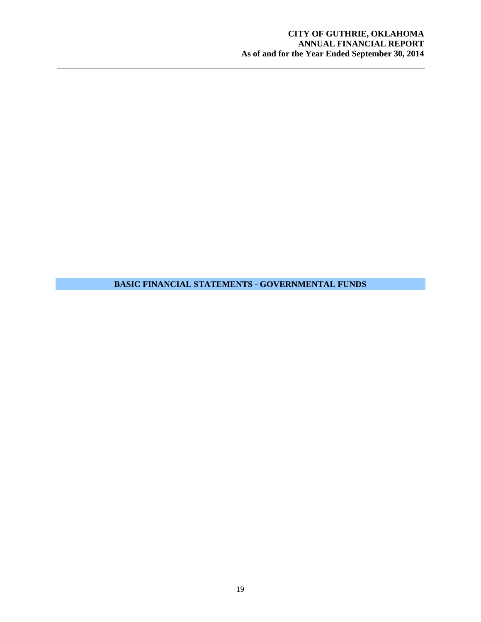**BASIC FINANCIAL STATEMENTS - GOVERNMENTAL FUNDS**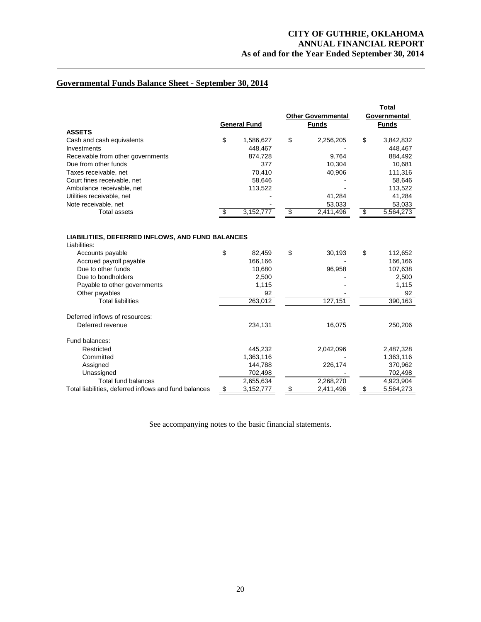## **Governmental Funds Balance Sheet - September 30, 2014**

 $\overline{a}$ 

|                                                       |                     |                          |                           | Total           |
|-------------------------------------------------------|---------------------|--------------------------|---------------------------|-----------------|
|                                                       |                     |                          | <b>Other Governmental</b> | Governmental    |
|                                                       | <b>General Fund</b> |                          | <b>Funds</b>              | <b>Funds</b>    |
| <b>ASSETS</b>                                         |                     |                          |                           |                 |
| Cash and cash equivalents                             | \$<br>1,586,627     | \$                       | 2,256,205                 | \$<br>3,842,832 |
| Investments                                           | 448,467             |                          |                           | 448,467         |
| Receivable from other governments                     | 874,728             |                          | 9,764                     | 884,492         |
| Due from other funds                                  | 377                 |                          | 10,304                    | 10,681          |
| Taxes receivable, net                                 | 70,410              |                          | 40,906                    | 111,316         |
| Court fines receivable, net                           | 58,646              |                          |                           | 58,646          |
| Ambulance receivable, net                             | 113,522             |                          |                           | 113,522         |
| Utilities receivable, net                             |                     |                          | 41,284                    | 41,284          |
| Note receivable, net                                  |                     |                          | 53,033                    | 53,033          |
| <b>Total assets</b>                                   | \$<br>3,152,777     | $\overline{\mathcal{E}}$ | 2,411,496                 | \$<br>5,564,273 |
| LIABILITIES, DEFERRED INFLOWS, AND FUND BALANCES      |                     |                          |                           |                 |
| Liabilities:                                          |                     |                          |                           |                 |
| Accounts payable                                      | \$<br>82,459        | \$                       | 30,193                    | \$<br>112,652   |
| Accrued payroll payable                               | 166,166             |                          |                           | 166,166         |
| Due to other funds                                    | 10,680              |                          | 96,958                    | 107,638         |
| Due to bondholders                                    | 2,500               |                          |                           | 2,500           |
| Payable to other governments                          | 1,115               |                          |                           | 1,115           |
| Other payables                                        | 92                  |                          |                           | 92              |
| <b>Total liabilities</b>                              | 263,012             |                          | 127,151                   | 390,163         |
| Deferred inflows of resources:                        |                     |                          |                           |                 |
| Deferred revenue                                      | 234,131             |                          | 16,075                    | 250,206         |
| Fund balances:                                        |                     |                          |                           |                 |
| Restricted                                            | 445,232             |                          | 2,042,096                 | 2,487,328       |
| Committed                                             | 1,363,116           |                          |                           | 1,363,116       |
| Assigned                                              | 144,788             |                          | 226,174                   | 370,962         |
| Unassigned                                            | 702,498             |                          |                           | 702,498         |
| Total fund balances                                   | 2,655,634           |                          | 2,268,270                 | 4,923,904       |
| Total liabilities, deferred inflows and fund balances | \$<br>3,152,777     | \$                       | 2,411,496                 | \$<br>5,564,273 |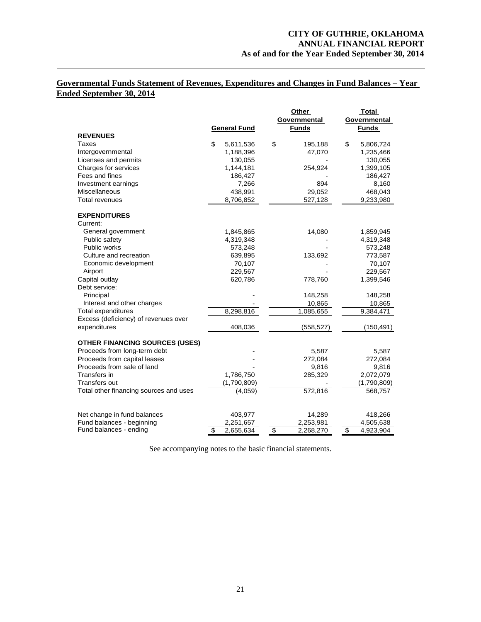## **Governmental Funds Statement of Revenues, Expenditures and Changes in Fund Balances – Year Ended September 30, 2014**

 $\overline{a}$ 

|                                                          |                      | Other               | <b>Total</b>         |
|----------------------------------------------------------|----------------------|---------------------|----------------------|
|                                                          |                      | Governmental        | Governmental         |
| <b>REVENUES</b>                                          | <b>General Fund</b>  | <b>Funds</b>        | <b>Funds</b>         |
| Taxes                                                    | \$<br>5,611,536      | \$<br>195,188       | \$<br>5,806,724      |
| Intergovernmental                                        | 1,188,396            | 47,070              | 1,235,466            |
| Licenses and permits                                     | 130,055              |                     | 130,055              |
| Charges for services                                     | 1,144,181            | 254,924             | 1,399,105            |
| Fees and fines                                           | 186,427              |                     | 186,427              |
| Investment earnings                                      | 7,266                | 894                 | 8,160                |
| Miscellaneous                                            | 438,991              | 29,052              | 468,043              |
| <b>Total revenues</b>                                    | 8,706,852            | 527,128             | 9,233,980            |
| <b>EXPENDITURES</b>                                      |                      |                     |                      |
| Current:                                                 |                      |                     |                      |
| General government                                       | 1,845,865            | 14,080              | 1,859,945            |
| Public safety                                            | 4,319,348            |                     | 4,319,348            |
| Public works                                             | 573,248              |                     | 573,248              |
| Culture and recreation                                   | 639,895              | 133,692             | 773,587              |
| Economic development                                     | 70,107               |                     | 70,107               |
| Airport                                                  | 229,567              |                     | 229,567              |
| Capital outlay                                           | 620,786              | 778,760             | 1,399,546            |
| Debt service:                                            |                      |                     |                      |
| Principal                                                |                      | 148,258             | 148,258              |
| Interest and other charges                               |                      | 10,865              | 10,865               |
| Total expenditures                                       | 8,298,816            | 1,085,655           | 9,384,471            |
| Excess (deficiency) of revenues over                     |                      |                     |                      |
| expenditures                                             | 408,036              | (558, 527)          | (150, 491)           |
| <b>OTHER FINANCING SOURCES (USES)</b>                    |                      |                     |                      |
| Proceeds from long-term debt                             |                      | 5,587               | 5,587                |
| Proceeds from capital leases                             |                      | 272,084             | 272,084              |
| Proceeds from sale of land                               |                      | 9,816               | 9,816                |
| Transfers in                                             | 1,786,750            | 285,329             | 2,072,079            |
| Transfers out                                            | (1,790,809)          |                     | (1,790,809)          |
| Total other financing sources and uses                   | (4,059)              | 572,816             | 568,757              |
|                                                          |                      |                     |                      |
| Net change in fund balances<br>Fund balances - beginning | 403,977<br>2,251,657 | 14,289<br>2,253,981 | 418,266<br>4,505,638 |
| Fund balances - ending                                   | \$<br>2,655,634      | \$<br>2,268,270     | \$<br>4,923,904      |
|                                                          |                      |                     |                      |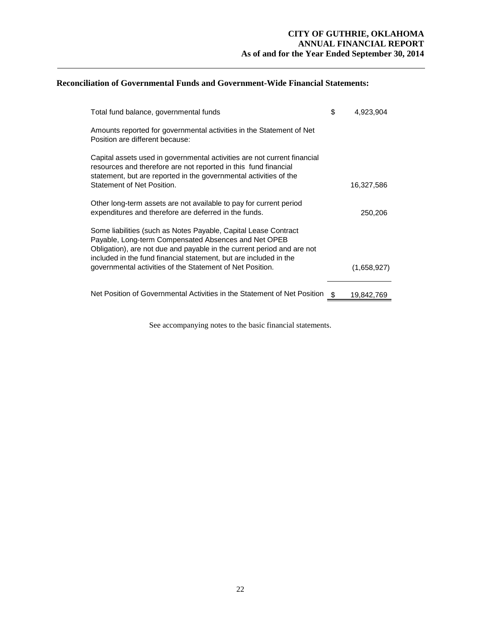## **Reconciliation of Governmental Funds and Government-Wide Financial Statements:**

 $\overline{a}$ 

| Total fund balance, governmental funds                                                                                                                                                                                                                                 | \$<br>4,923,904 |
|------------------------------------------------------------------------------------------------------------------------------------------------------------------------------------------------------------------------------------------------------------------------|-----------------|
| Amounts reported for governmental activities in the Statement of Net<br>Position are different because:                                                                                                                                                                |                 |
| Capital assets used in governmental activities are not current financial<br>resources and therefore are not reported in this fund financial<br>statement, but are reported in the governmental activities of the<br>Statement of Net Position.                         | 16,327,586      |
| Other long-term assets are not available to pay for current period<br>expenditures and therefore are deferred in the funds.                                                                                                                                            | 250,206         |
| Some liabilities (such as Notes Payable, Capital Lease Contract<br>Payable, Long-term Compensated Absences and Net OPEB<br>Obligation), are not due and payable in the current period and are not<br>included in the fund financial statement, but are included in the |                 |
| governmental activities of the Statement of Net Position.                                                                                                                                                                                                              | (1,658,927)     |
| Net Position of Governmental Activities in the Statement of Net Position                                                                                                                                                                                               | 19,842,769      |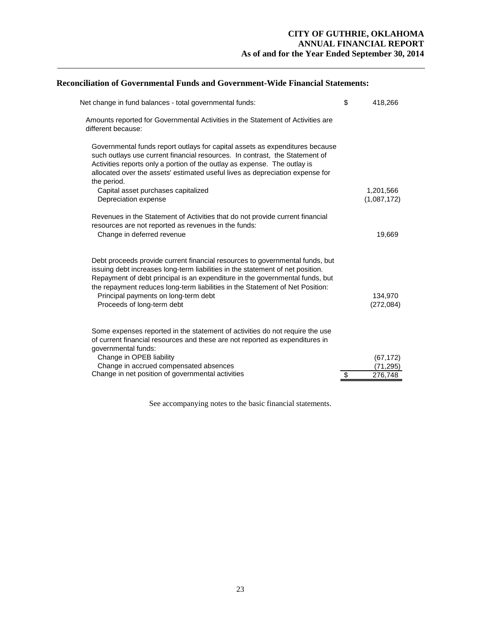## **Reconciliation of Governmental Funds and Government-Wide Financial Statements:**

 $\overline{a}$ 

| Net change in fund balances - total governmental funds:                                                                                                                                                                                                                                                                                                                                               | \$                      | 418,266                  |
|-------------------------------------------------------------------------------------------------------------------------------------------------------------------------------------------------------------------------------------------------------------------------------------------------------------------------------------------------------------------------------------------------------|-------------------------|--------------------------|
| Amounts reported for Governmental Activities in the Statement of Activities are<br>different because:                                                                                                                                                                                                                                                                                                 |                         |                          |
| Governmental funds report outlays for capital assets as expenditures because<br>such outlays use current financial resources. In contrast, the Statement of<br>Activities reports only a portion of the outlay as expense. The outlay is<br>allocated over the assets' estimated useful lives as depreciation expense for<br>the period.                                                              |                         |                          |
| Capital asset purchases capitalized<br>Depreciation expense                                                                                                                                                                                                                                                                                                                                           |                         | 1,201,566<br>(1,087,172) |
| Revenues in the Statement of Activities that do not provide current financial<br>resources are not reported as revenues in the funds:<br>Change in deferred revenue                                                                                                                                                                                                                                   |                         | 19,669                   |
| Debt proceeds provide current financial resources to governmental funds, but<br>issuing debt increases long-term liabilities in the statement of net position.<br>Repayment of debt principal is an expenditure in the governmental funds, but<br>the repayment reduces long-term liabilities in the Statement of Net Position:<br>Principal payments on long-term debt<br>Proceeds of long-term debt |                         | 134,970<br>(272, 084)    |
| Some expenses reported in the statement of activities do not require the use<br>of current financial resources and these are not reported as expenditures in<br>governmental funds:                                                                                                                                                                                                                   |                         |                          |
| Change in OPEB liability                                                                                                                                                                                                                                                                                                                                                                              |                         | (67, 172)                |
| Change in accrued compensated absences                                                                                                                                                                                                                                                                                                                                                                |                         | (71,295)                 |
| Change in net position of governmental activities                                                                                                                                                                                                                                                                                                                                                     | $\overline{\mathbb{S}}$ | 276,748                  |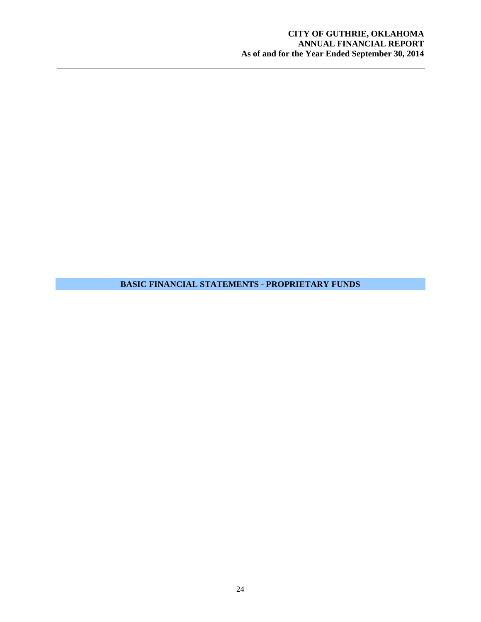**BASIC FINANCIAL STATEMENTS - PROPRIETARY FUNDS**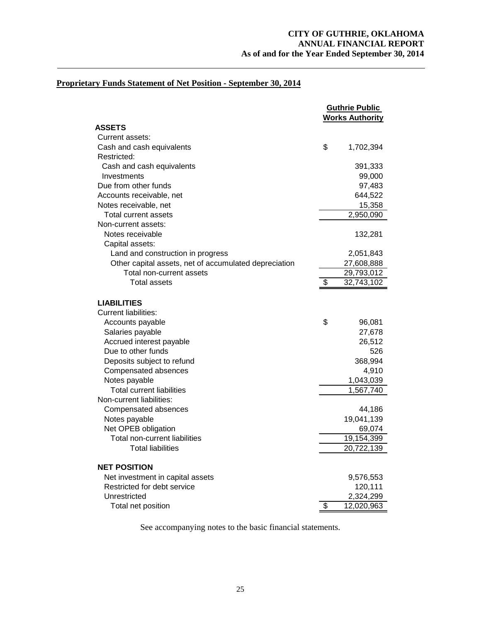## **Proprietary Funds Statement of Net Position - September 30, 2014**

 $\overline{a}$ 

|                                                       | <b>Guthrie Public</b>                |            |
|-------------------------------------------------------|--------------------------------------|------------|
|                                                       | <b>Works Authority</b>               |            |
| <b>ASSETS</b>                                         |                                      |            |
| Current assets:                                       |                                      |            |
| Cash and cash equivalents                             | \$                                   | 1,702,394  |
| Restricted:                                           |                                      |            |
| Cash and cash equivalents                             |                                      | 391,333    |
| Investments                                           |                                      | 99,000     |
| Due from other funds                                  |                                      | 97,483     |
| Accounts receivable, net                              |                                      | 644,522    |
| Notes receivable, net                                 |                                      | 15,358     |
| Total current assets                                  |                                      | 2,950,090  |
| Non-current assets:                                   |                                      |            |
| Notes receivable                                      |                                      | 132,281    |
| Capital assets:                                       |                                      |            |
| Land and construction in progress                     |                                      | 2,051,843  |
| Other capital assets, net of accumulated depreciation |                                      | 27,608,888 |
| Total non-current assets                              |                                      | 29,793,012 |
| Total assets                                          | \$                                   | 32,743,102 |
| <b>LIABILITIES</b>                                    |                                      |            |
| <b>Current liabilities:</b>                           |                                      |            |
| Accounts payable                                      | \$                                   | 96,081     |
| Salaries payable                                      |                                      | 27,678     |
| Accrued interest payable                              |                                      | 26,512     |
| Due to other funds                                    |                                      | 526        |
| Deposits subject to refund                            |                                      | 368,994    |
| Compensated absences                                  |                                      | 4,910      |
| Notes payable                                         |                                      | 1,043,039  |
| <b>Total current liabilities</b>                      |                                      | 1,567,740  |
| Non-current liabilities:                              |                                      |            |
| Compensated absences                                  |                                      | 44,186     |
| Notes payable                                         |                                      | 19,041,139 |
| Net OPEB obligation                                   |                                      | 69,074     |
| Total non-current liabilities                         |                                      | 19,154,399 |
| <b>Total liabilities</b>                              |                                      | 20,722,139 |
|                                                       |                                      |            |
| <b>NET POSITION</b>                                   |                                      |            |
| Net investment in capital assets                      |                                      | 9,576,553  |
| Restricted for debt service                           |                                      | 120,111    |
| Unrestricted                                          |                                      | 2,324,299  |
| Total net position                                    | $\overline{\boldsymbol{\mathsf{S}}}$ | 12,020,963 |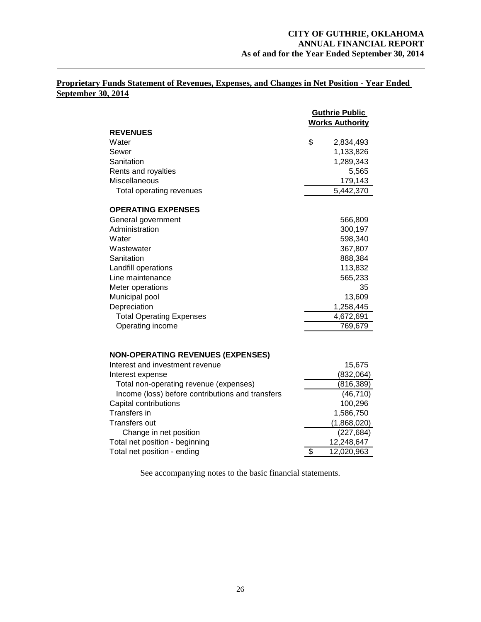## **Proprietary Funds Statement of Revenues, Expenses, and Changes in Net Position - Year Ended September 30, 2014**

 $\overline{a}$ 

|                                                  | <b>Guthrie Public</b>  |  |  |
|--------------------------------------------------|------------------------|--|--|
|                                                  | <b>Works Authority</b> |  |  |
| <b>REVENUES</b>                                  |                        |  |  |
| Water                                            | \$<br>2,834,493        |  |  |
| Sewer                                            | 1,133,826              |  |  |
| Sanitation                                       | 1,289,343              |  |  |
| Rents and royalties                              | 5,565                  |  |  |
| Miscellaneous                                    | 179,143                |  |  |
| Total operating revenues                         | 5,442,370              |  |  |
| <b>OPERATING EXPENSES</b>                        |                        |  |  |
| General government                               | 566,809                |  |  |
| Administration                                   | 300,197                |  |  |
| Water                                            | 598,340                |  |  |
| Wastewater                                       | 367,807                |  |  |
| Sanitation                                       | 888,384                |  |  |
| Landfill operations                              | 113,832                |  |  |
| Line maintenance                                 | 565,233                |  |  |
| Meter operations                                 | 35                     |  |  |
| Municipal pool                                   | 13,609                 |  |  |
| Depreciation                                     | 1,258,445              |  |  |
| <b>Total Operating Expenses</b>                  | 4,672,691              |  |  |
| Operating income                                 | 769,679                |  |  |
|                                                  |                        |  |  |
| <b>NON-OPERATING REVENUES (EXPENSES)</b>         |                        |  |  |
| Interest and investment revenue                  | 15,675                 |  |  |
| Interest expense                                 | (832,064)              |  |  |
| Total non-operating revenue (expenses)           | (816, 389)             |  |  |
| Income (loss) before contributions and transfers | (46, 710)              |  |  |
| Capital contributions                            | 100,296                |  |  |
| <b>Transfers</b> in                              | 1,586,750              |  |  |
| <b>Transfers out</b>                             | (1,868,020)            |  |  |
| Change in net position                           | (227, 684)             |  |  |
| Total net position - beginning                   | 12,248,647             |  |  |
| Total net position - ending                      | \$<br>12,020,963       |  |  |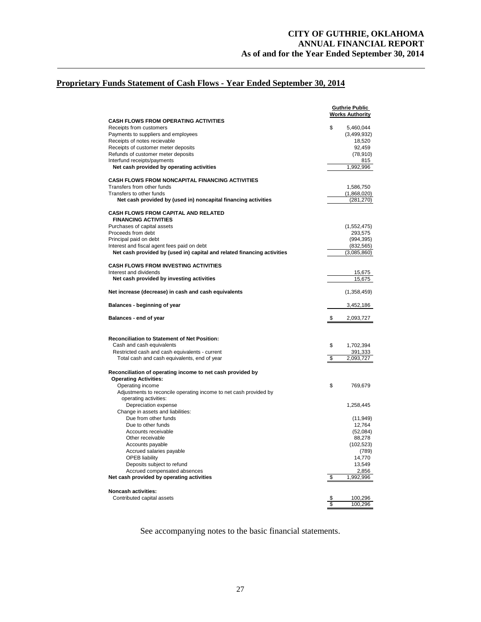## **Proprietary Funds Statement of Cash Flows - Year Ended September 30, 2014**

 $\overline{a}$ 

|                                                                                       | <b>Guthrie Public</b>  |
|---------------------------------------------------------------------------------------|------------------------|
| <b>CASH FLOWS FROM OPERATING ACTIVITIES</b>                                           | <b>Works Authority</b> |
| Receipts from customers                                                               | \$<br>5,460,044        |
| Payments to suppliers and employees                                                   | (3,499,932)            |
| Receipts of notes recievable                                                          | 18,520                 |
| Receipts of customer meter deposits                                                   | 92,459                 |
| Refunds of customer meter deposits                                                    | (78, 910)              |
| Interfund receipts/payments                                                           | 815                    |
| Net cash provided by operating activities                                             | 1,992,996              |
| <b>CASH FLOWS FROM NONCAPITAL FINANCING ACTIVITIES</b>                                |                        |
| Transfers from other funds                                                            | 1,586,750              |
| Transfers to other funds                                                              | (1,868,020)            |
| Net cash provided by (used in) noncapital financing activities                        | (281, 270)             |
| CASH FLOWS FROM CAPITAL AND RELATED                                                   |                        |
| <b>FINANCING ACTIVITIES</b>                                                           |                        |
| Purchases of capital assets<br>Proceeds from debt                                     | (1,552,475)<br>293,575 |
| Principal paid on debt                                                                | (994, 395)             |
| Interest and fiscal agent fees paid on debt                                           | (832, 565)             |
| Net cash provided by (used in) capital and related financing activities               | (3,085,860)            |
| <b>CASH FLOWS FROM INVESTING ACTIVITIES</b>                                           |                        |
| Interest and dividends                                                                | 15,675                 |
| Net cash provided by investing activities                                             | 15,675                 |
| Net increase (decrease) in cash and cash equivalents                                  | (1,358,459)            |
| Balances - beginning of year                                                          | 3,452,186              |
| Balances - end of year                                                                | \$<br>2,093,727        |
|                                                                                       |                        |
| <b>Reconciliation to Statement of Net Position:</b>                                   |                        |
| Cash and cash equivalents                                                             | \$<br>1,702,394        |
| Restricted cash and cash equivalents - current                                        | 391,333                |
| Total cash and cash equivalents, end of year                                          | \$<br>2,093,727        |
| Reconciliation of operating income to net cash provided by                            |                        |
| <b>Operating Activities:</b>                                                          | \$                     |
| Operating income<br>Adjustments to reconcile operating income to net cash provided by | 769,679                |
| operating activities:                                                                 |                        |
| Depreciation expense                                                                  | 1,258,445              |
| Change in assets and liabilities:                                                     |                        |
| Due from other funds                                                                  | (11, 949)              |
| Due to other funds                                                                    | 12,764                 |
| Accounts receivable                                                                   | (52,084)               |
| Other receivable<br>Accounts payable                                                  | 88,278<br>(102, 523)   |
| Accrued salaries payable                                                              | (789)                  |
| <b>OPEB liability</b>                                                                 | 14,770                 |
| Deposits subject to refund                                                            | 13,549                 |
| Accrued compensated absences                                                          | 2,856                  |
| Net cash provided by operating activities                                             | \$<br>1,992,996        |
| Noncash activities:                                                                   |                        |
| Contributed capital assets                                                            | \$<br>100,296          |
|                                                                                       | \$<br>100,296          |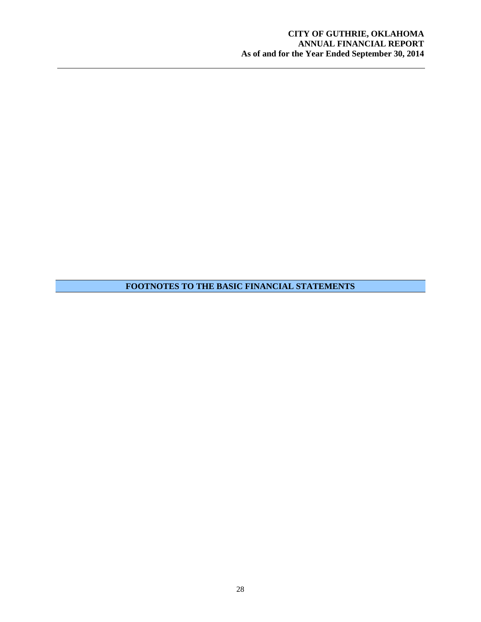**FOOTNOTES TO THE BASIC FINANCIAL STATEMENTS**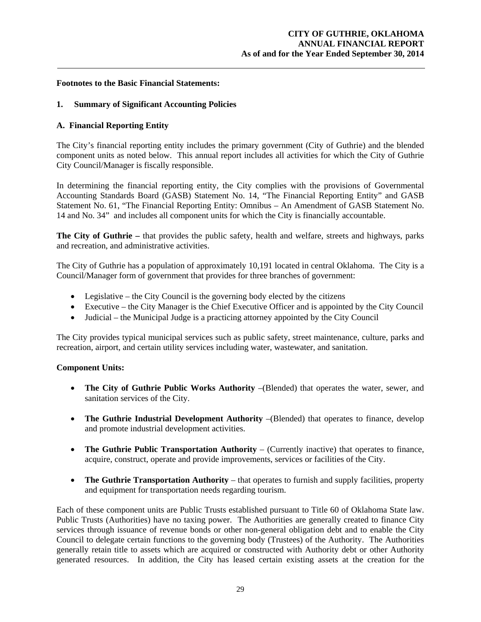#### **Footnotes to the Basic Financial Statements:**

#### **1. Summary of Significant Accounting Policies**

#### **A. Financial Reporting Entity**

 $\overline{a}$ 

 The City's financial reporting entity includes the primary government (City of Guthrie) and the blended component units as noted below. This annual report includes all activities for which the City of Guthrie City Council/Manager is fiscally responsible.

In determining the financial reporting entity, the City complies with the provisions of Governmental Accounting Standards Board (GASB) Statement No. 14, "The Financial Reporting Entity" and GASB Statement No. 61, "The Financial Reporting Entity: Omnibus – An Amendment of GASB Statement No. 14 and No. 34" and includes all component units for which the City is financially accountable.

**The City of Guthrie –** that provides the public safety, health and welfare, streets and highways, parks and recreation, and administrative activities.

The City of Guthrie has a population of approximately 10,191 located in central Oklahoma. The City is a Council/Manager form of government that provides for three branches of government:

- Legislative the City Council is the governing body elected by the citizens
- Executive the City Manager is the Chief Executive Officer and is appointed by the City Council
- Judicial the Municipal Judge is a practicing attorney appointed by the City Council

The City provides typical municipal services such as public safety, street maintenance, culture, parks and recreation, airport, and certain utility services including water, wastewater, and sanitation.

#### **Component Units:**

- **The City of Guthrie Public Works Authority** –(Blended) that operates the water, sewer, and sanitation services of the City.
- The Guthrie Industrial Development Authority –(Blended) that operates to finance, develop and promote industrial development activities.
- The Guthrie Public Transportation Authority (Currently inactive) that operates to finance, acquire, construct, operate and provide improvements, services or facilities of the City.
- The Guthrie Transportation Authority that operates to furnish and supply facilities, property and equipment for transportation needs regarding tourism.

Each of these component units are Public Trusts established pursuant to Title 60 of Oklahoma State law. Public Trusts (Authorities) have no taxing power. The Authorities are generally created to finance City services through issuance of revenue bonds or other non-general obligation debt and to enable the City Council to delegate certain functions to the governing body (Trustees) of the Authority. The Authorities generally retain title to assets which are acquired or constructed with Authority debt or other Authority generated resources. In addition, the City has leased certain existing assets at the creation for the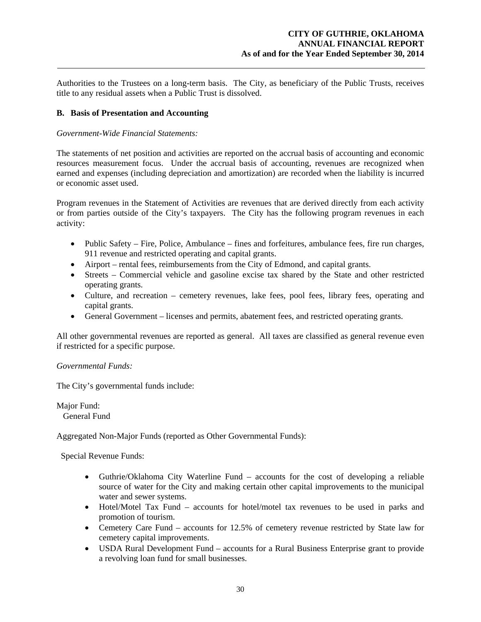Authorities to the Trustees on a long-term basis. The City, as beneficiary of the Public Trusts, receives title to any residual assets when a Public Trust is dissolved.

#### **B. Basis of Presentation and Accounting**

#### *Government-Wide Financial Statements:*

 $\overline{a}$ 

 The statements of net position and activities are reported on the accrual basis of accounting and economic resources measurement focus. Under the accrual basis of accounting, revenues are recognized when earned and expenses (including depreciation and amortization) are recorded when the liability is incurred or economic asset used.

Program revenues in the Statement of Activities are revenues that are derived directly from each activity or from parties outside of the City's taxpayers. The City has the following program revenues in each activity:

- Public Safety Fire, Police, Ambulance fines and forfeitures, ambulance fees, fire run charges, 911 revenue and restricted operating and capital grants.
- Airport rental fees, reimbursements from the City of Edmond, and capital grants.
- Streets Commercial vehicle and gasoline excise tax shared by the State and other restricted operating grants.
- Culture, and recreation cemetery revenues, lake fees, pool fees, library fees, operating and capital grants.
- General Government licenses and permits, abatement fees, and restricted operating grants.

All other governmental revenues are reported as general. All taxes are classified as general revenue even if restricted for a specific purpose.

#### *Governmental Funds:*

The City's governmental funds include:

Major Fund: General Fund

Aggregated Non-Major Funds (reported as Other Governmental Funds):

Special Revenue Funds:

- Guthrie/Oklahoma City Waterline Fund accounts for the cost of developing a reliable source of water for the City and making certain other capital improvements to the municipal water and sewer systems.
- Hotel/Motel Tax Fund accounts for hotel/motel tax revenues to be used in parks and promotion of tourism.
- Cemetery Care Fund accounts for 12.5% of cemetery revenue restricted by State law for cemetery capital improvements.
- USDA Rural Development Fund accounts for a Rural Business Enterprise grant to provide a revolving loan fund for small businesses.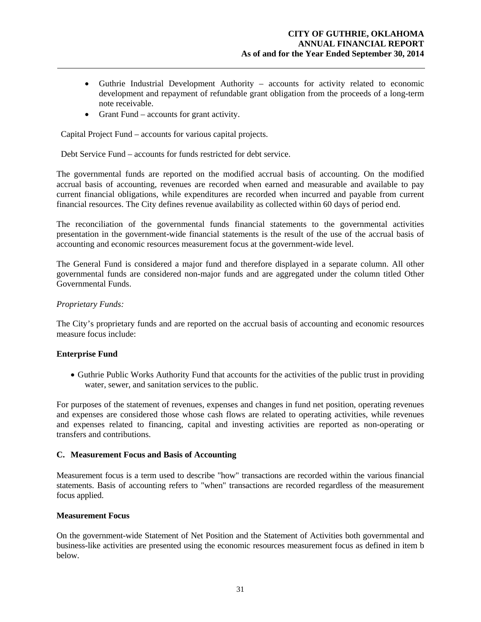- Guthrie Industrial Development Authority accounts for activity related to economic development and repayment of refundable grant obligation from the proceeds of a long-term note receivable.
- Grant Fund accounts for grant activity.

Capital Project Fund – accounts for various capital projects.

Debt Service Fund – accounts for funds restricted for debt service.

The governmental funds are reported on the modified accrual basis of accounting. On the modified accrual basis of accounting, revenues are recorded when earned and measurable and available to pay current financial obligations, while expenditures are recorded when incurred and payable from current financial resources. The City defines revenue availability as collected within 60 days of period end.

The reconciliation of the governmental funds financial statements to the governmental activities presentation in the government-wide financial statements is the result of the use of the accrual basis of accounting and economic resources measurement focus at the government-wide level.

The General Fund is considered a major fund and therefore displayed in a separate column. All other governmental funds are considered non-major funds and are aggregated under the column titled Other Governmental Funds.

#### *Proprietary Funds:*

 $\overline{a}$ 

The City's proprietary funds and are reported on the accrual basis of accounting and economic resources measure focus include:

#### **Enterprise Fund**

 Guthrie Public Works Authority Fund that accounts for the activities of the public trust in providing water, sewer, and sanitation services to the public.

For purposes of the statement of revenues, expenses and changes in fund net position, operating revenues and expenses are considered those whose cash flows are related to operating activities, while revenues and expenses related to financing, capital and investing activities are reported as non-operating or transfers and contributions.

#### **C. Measurement Focus and Basis of Accounting**

Measurement focus is a term used to describe "how" transactions are recorded within the various financial statements. Basis of accounting refers to "when" transactions are recorded regardless of the measurement focus applied.

#### **Measurement Focus**

On the government-wide Statement of Net Position and the Statement of Activities both governmental and business-like activities are presented using the economic resources measurement focus as defined in item b below.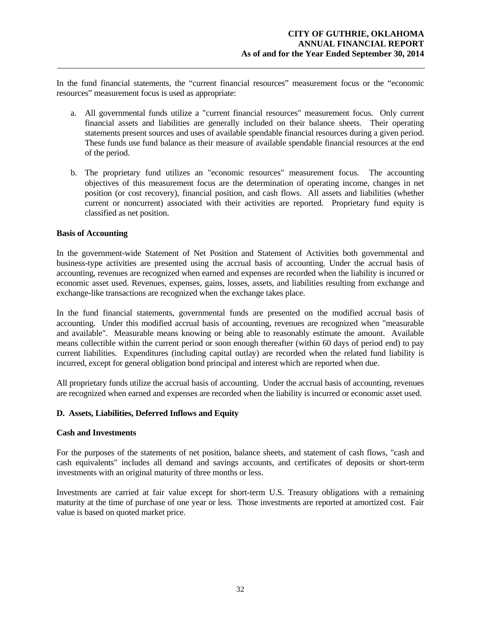In the fund financial statements, the "current financial resources" measurement focus or the "economic resources" measurement focus is used as appropriate:

- a. All governmental funds utilize a "current financial resources" measurement focus. Only current financial assets and liabilities are generally included on their balance sheets. Their operating statements present sources and uses of available spendable financial resources during a given period. These funds use fund balance as their measure of available spendable financial resources at the end of the period.
- b. The proprietary fund utilizes an "economic resources" measurement focus. The accounting objectives of this measurement focus are the determination of operating income, changes in net position (or cost recovery), financial position, and cash flows. All assets and liabilities (whether current or noncurrent) associated with their activities are reported. Proprietary fund equity is classified as net position.

#### **Basis of Accounting**

 $\overline{a}$ 

In the government-wide Statement of Net Position and Statement of Activities both governmental and business-type activities are presented using the accrual basis of accounting. Under the accrual basis of accounting, revenues are recognized when earned and expenses are recorded when the liability is incurred or economic asset used. Revenues, expenses, gains, losses, assets, and liabilities resulting from exchange and exchange-like transactions are recognized when the exchange takes place.

In the fund financial statements, governmental funds are presented on the modified accrual basis of accounting. Under this modified accrual basis of accounting, revenues are recognized when "measurable and available". Measurable means knowing or being able to reasonably estimate the amount. Available means collectible within the current period or soon enough thereafter (within 60 days of period end) to pay current liabilities. Expenditures (including capital outlay) are recorded when the related fund liability is incurred, except for general obligation bond principal and interest which are reported when due.

All proprietary funds utilize the accrual basis of accounting. Under the accrual basis of accounting, revenues are recognized when earned and expenses are recorded when the liability is incurred or economic asset used.

## **D. Assets, Liabilities, Deferred Inflows and Equity**

#### **Cash and Investments**

For the purposes of the statements of net position, balance sheets, and statement of cash flows, "cash and cash equivalents" includes all demand and savings accounts, and certificates of deposits or short-term investments with an original maturity of three months or less.

Investments are carried at fair value except for short-term U.S. Treasury obligations with a remaining maturity at the time of purchase of one year or less. Those investments are reported at amortized cost. Fair value is based on quoted market price.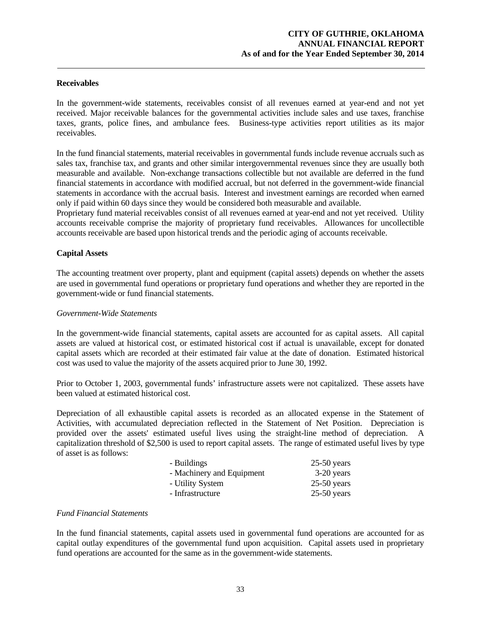#### **Receivables**

 $\overline{a}$ 

In the government-wide statements, receivables consist of all revenues earned at year-end and not yet received. Major receivable balances for the governmental activities include sales and use taxes, franchise taxes, grants, police fines, and ambulance fees. Business-type activities report utilities as its major receivables.

In the fund financial statements, material receivables in governmental funds include revenue accruals such as sales tax, franchise tax, and grants and other similar intergovernmental revenues since they are usually both measurable and available. Non-exchange transactions collectible but not available are deferred in the fund financial statements in accordance with modified accrual, but not deferred in the government-wide financial statements in accordance with the accrual basis. Interest and investment earnings are recorded when earned only if paid within 60 days since they would be considered both measurable and available.

Proprietary fund material receivables consist of all revenues earned at year-end and not yet received. Utility accounts receivable comprise the majority of proprietary fund receivables. Allowances for uncollectible accounts receivable are based upon historical trends and the periodic aging of accounts receivable.

#### **Capital Assets**

 The accounting treatment over property, plant and equipment (capital assets) depends on whether the assets are used in governmental fund operations or proprietary fund operations and whether they are reported in the government-wide or fund financial statements.

#### *Government-Wide Statements*

In the government-wide financial statements, capital assets are accounted for as capital assets. All capital assets are valued at historical cost, or estimated historical cost if actual is unavailable, except for donated capital assets which are recorded at their estimated fair value at the date of donation. Estimated historical cost was used to value the majority of the assets acquired prior to June 30, 1992.

 Prior to October 1, 2003, governmental funds' infrastructure assets were not capitalized. These assets have been valued at estimated historical cost.

Depreciation of all exhaustible capital assets is recorded as an allocated expense in the Statement of Activities, with accumulated depreciation reflected in the Statement of Net Position. Depreciation is provided over the assets' estimated useful lives using the straight-line method of depreciation. A capitalization threshold of \$2,500 is used to report capital assets. The range of estimated useful lives by type of asset is as follows:

| - Buildings               | $25-50$ years |
|---------------------------|---------------|
| - Machinery and Equipment | $3-20$ years  |
| - Utility System          | $25-50$ years |
| - Infrastructure          | $25-50$ years |

#### *Fund Financial Statements*

 In the fund financial statements, capital assets used in governmental fund operations are accounted for as capital outlay expenditures of the governmental fund upon acquisition. Capital assets used in proprietary fund operations are accounted for the same as in the government-wide statements.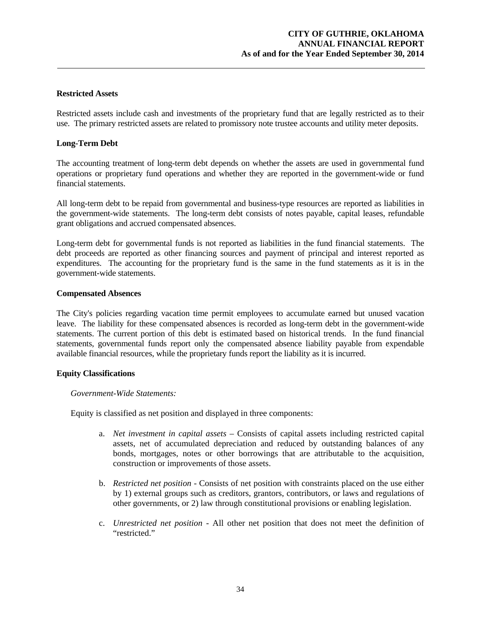#### **Restricted Assets**

 $\overline{a}$ 

 Restricted assets include cash and investments of the proprietary fund that are legally restricted as to their use. The primary restricted assets are related to promissory note trustee accounts and utility meter deposits.

#### **Long-Term Debt**

 The accounting treatment of long-term debt depends on whether the assets are used in governmental fund operations or proprietary fund operations and whether they are reported in the government-wide or fund financial statements.

All long-term debt to be repaid from governmental and business-type resources are reported as liabilities in the government-wide statements. The long-term debt consists of notes payable, capital leases, refundable grant obligations and accrued compensated absences.

Long-term debt for governmental funds is not reported as liabilities in the fund financial statements. The debt proceeds are reported as other financing sources and payment of principal and interest reported as expenditures. The accounting for the proprietary fund is the same in the fund statements as it is in the government-wide statements.

#### **Compensated Absences**

 The City's policies regarding vacation time permit employees to accumulate earned but unused vacation leave. The liability for these compensated absences is recorded as long-term debt in the government-wide statements. The current portion of this debt is estimated based on historical trends. In the fund financial statements, governmental funds report only the compensated absence liability payable from expendable available financial resources, while the proprietary funds report the liability as it is incurred.

#### **Equity Classifications**

*Government-Wide Statements:* 

Equity is classified as net position and displayed in three components:

- a. *Net investment in capital assets* Consists of capital assets including restricted capital assets, net of accumulated depreciation and reduced by outstanding balances of any bonds, mortgages, notes or other borrowings that are attributable to the acquisition, construction or improvements of those assets.
- b. *Restricted net position* Consists of net position with constraints placed on the use either by 1) external groups such as creditors, grantors, contributors, or laws and regulations of other governments, or 2) law through constitutional provisions or enabling legislation.
- c. *Unrestricted net position* All other net position that does not meet the definition of "restricted"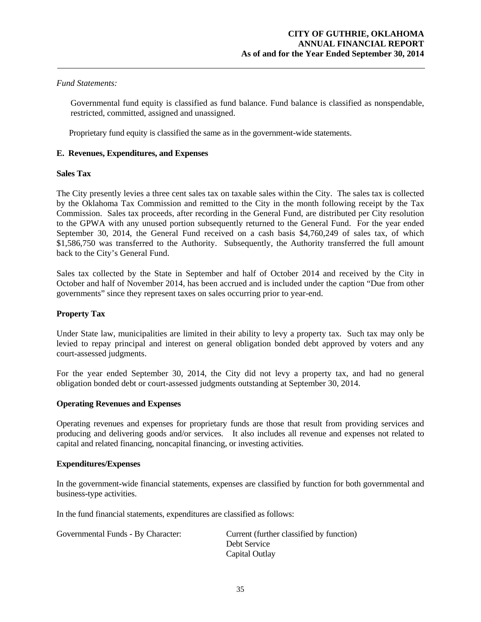#### *Fund Statements:*

 $\overline{a}$ 

Governmental fund equity is classified as fund balance. Fund balance is classified as nonspendable, restricted, committed, assigned and unassigned.

Proprietary fund equity is classified the same as in the government-wide statements.

#### **E. Revenues, Expenditures, and Expenses**

#### **Sales Tax**

The City presently levies a three cent sales tax on taxable sales within the City. The sales tax is collected by the Oklahoma Tax Commission and remitted to the City in the month following receipt by the Tax Commission. Sales tax proceeds, after recording in the General Fund, are distributed per City resolution to the GPWA with any unused portion subsequently returned to the General Fund. For the year ended September 30, 2014, the General Fund received on a cash basis \$4,760,249 of sales tax, of which \$1,586,750 was transferred to the Authority. Subsequently, the Authority transferred the full amount back to the City's General Fund.

Sales tax collected by the State in September and half of October 2014 and received by the City in October and half of November 2014, has been accrued and is included under the caption "Due from other governments" since they represent taxes on sales occurring prior to year-end.

#### **Property Tax**

Under State law, municipalities are limited in their ability to levy a property tax. Such tax may only be levied to repay principal and interest on general obligation bonded debt approved by voters and any court-assessed judgments.

For the year ended September 30, 2014, the City did not levy a property tax, and had no general obligation bonded debt or court-assessed judgments outstanding at September 30, 2014.

#### **Operating Revenues and Expenses**

Operating revenues and expenses for proprietary funds are those that result from providing services and producing and delivering goods and/or services. It also includes all revenue and expenses not related to capital and related financing, noncapital financing, or investing activities.

#### **Expenditures/Expenses**

In the government-wide financial statements, expenses are classified by function for both governmental and business-type activities.

In the fund financial statements, expenditures are classified as follows:

| Governmental Funds - By Character: | Current (further classified by function) |
|------------------------------------|------------------------------------------|
|                                    | Debt Service                             |
|                                    | Capital Outlay                           |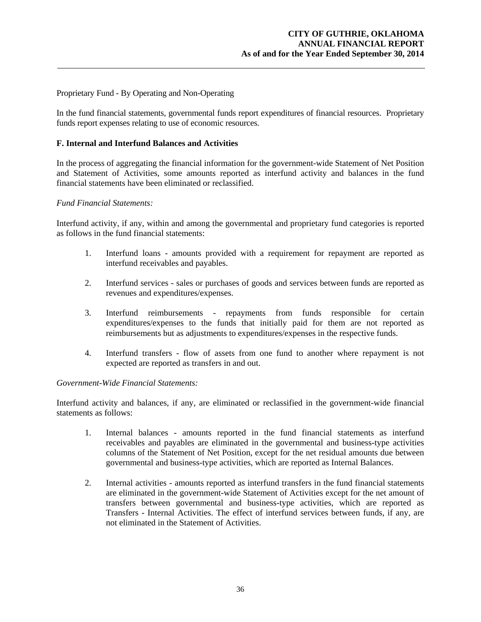## Proprietary Fund - By Operating and Non-Operating

In the fund financial statements, governmental funds report expenditures of financial resources. Proprietary funds report expenses relating to use of economic resources.

#### **F. Internal and Interfund Balances and Activities**

In the process of aggregating the financial information for the government-wide Statement of Net Position and Statement of Activities, some amounts reported as interfund activity and balances in the fund financial statements have been eliminated or reclassified.

#### *Fund Financial Statements:*

 $\overline{a}$ 

Interfund activity, if any, within and among the governmental and proprietary fund categories is reported as follows in the fund financial statements:

- 1. Interfund loans amounts provided with a requirement for repayment are reported as interfund receivables and payables.
- 2. Interfund services sales or purchases of goods and services between funds are reported as revenues and expenditures/expenses.
- 3. Interfund reimbursements repayments from funds responsible for certain expenditures/expenses to the funds that initially paid for them are not reported as reimbursements but as adjustments to expenditures/expenses in the respective funds.
- 4. Interfund transfers flow of assets from one fund to another where repayment is not expected are reported as transfers in and out.

#### *Government-Wide Financial Statements:*

Interfund activity and balances, if any, are eliminated or reclassified in the government-wide financial statements as follows:

- 1. Internal balances amounts reported in the fund financial statements as interfund receivables and payables are eliminated in the governmental and business-type activities columns of the Statement of Net Position, except for the net residual amounts due between governmental and business-type activities, which are reported as Internal Balances.
- 2. Internal activities amounts reported as interfund transfers in the fund financial statements are eliminated in the government-wide Statement of Activities except for the net amount of transfers between governmental and business-type activities, which are reported as Transfers - Internal Activities. The effect of interfund services between funds, if any, are not eliminated in the Statement of Activities.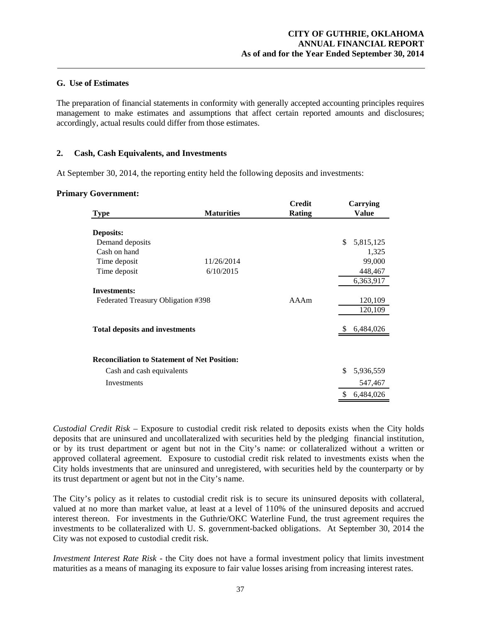#### **G. Use of Estimates**

 $\overline{a}$ 

The preparation of financial statements in conformity with generally accepted accounting principles requires management to make estimates and assumptions that affect certain reported amounts and disclosures; accordingly, actual results could differ from those estimates.

#### **2. Cash, Cash Equivalents, and Investments**

At September 30, 2014, the reporting entity held the following deposits and investments:

#### **Primary Government:**

|                                                     |                   | <b>Credit</b> | <b>Carrying</b> |
|-----------------------------------------------------|-------------------|---------------|-----------------|
| <b>Type</b>                                         | <b>Maturities</b> | Rating        | Value           |
| <b>Deposits:</b>                                    |                   |               |                 |
| Demand deposits                                     |                   |               | 5,815,125<br>\$ |
|                                                     |                   |               |                 |
| Cash on hand                                        |                   |               | 1,325           |
| Time deposit                                        | 11/26/2014        |               | 99,000          |
| Time deposit                                        | 6/10/2015         |               | 448,467         |
|                                                     |                   |               | 6,363,917       |
| <b>Investments:</b>                                 |                   |               |                 |
| Federated Treasury Obligation #398                  |                   | AAAm          | 120,109         |
|                                                     |                   |               | 120,109         |
|                                                     |                   |               |                 |
| <b>Total deposits and investments</b>               |                   |               | 6,484,026       |
|                                                     |                   |               |                 |
| <b>Reconciliation to Statement of Net Position:</b> |                   |               |                 |
| Cash and cash equivalents                           |                   |               | \$<br>5,936,559 |
| Investments                                         |                   |               | 547,467         |
|                                                     |                   |               | \$<br>6,484,026 |

*Custodial Credit Risk –* Exposure to custodial credit risk related to deposits exists when the City holds deposits that are uninsured and uncollateralized with securities held by the pledging financial institution, or by its trust department or agent but not in the City's name: or collateralized without a written or approved collateral agreement. Exposure to custodial credit risk related to investments exists when the City holds investments that are uninsured and unregistered, with securities held by the counterparty or by its trust department or agent but not in the City's name.

The City's policy as it relates to custodial credit risk is to secure its uninsured deposits with collateral, valued at no more than market value, at least at a level of 110% of the uninsured deposits and accrued interest thereon. For investments in the Guthrie/OKC Waterline Fund, the trust agreement requires the investments to be collateralized with U. S. government-backed obligations. At September 30, 2014 the City was not exposed to custodial credit risk.

*Investment Interest Rate Risk* - the City does not have a formal investment policy that limits investment maturities as a means of managing its exposure to fair value losses arising from increasing interest rates.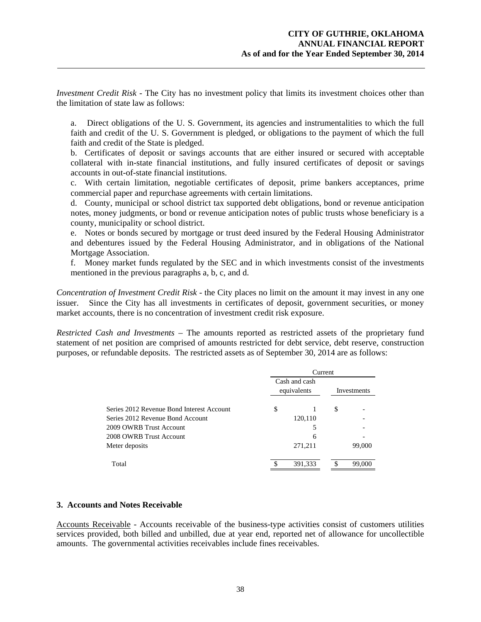*Investment Credit Risk* - The City has no investment policy that limits its investment choices other than the limitation of state law as follows:

a. Direct obligations of the U. S. Government, its agencies and instrumentalities to which the full faith and credit of the U. S. Government is pledged, or obligations to the payment of which the full faith and credit of the State is pledged.

b. Certificates of deposit or savings accounts that are either insured or secured with acceptable collateral with in-state financial institutions, and fully insured certificates of deposit or savings accounts in out-of-state financial institutions.

c. With certain limitation, negotiable certificates of deposit, prime bankers acceptances, prime commercial paper and repurchase agreements with certain limitations.

d. County, municipal or school district tax supported debt obligations, bond or revenue anticipation notes, money judgments, or bond or revenue anticipation notes of public trusts whose beneficiary is a county, municipality or school district.

e. Notes or bonds secured by mortgage or trust deed insured by the Federal Housing Administrator and debentures issued by the Federal Housing Administrator, and in obligations of the National Mortgage Association.

f. Money market funds regulated by the SEC and in which investments consist of the investments mentioned in the previous paragraphs a, b, c, and d.

*Concentration of Investment Credit Risk* - the City places no limit on the amount it may invest in any one issuer. Since the City has all investments in certificates of deposit, government securities, or money market accounts, there is no concentration of investment credit risk exposure.

*Restricted Cash and Investments –* The amounts reported as restricted assets of the proprietary fund statement of net position are comprised of amounts restricted for debt service, debt reserve, construction purposes, or refundable deposits. The restricted assets as of September 30, 2014 are as follows:

|                                           | Current                      |         |             |        |
|-------------------------------------------|------------------------------|---------|-------------|--------|
|                                           | Cash and cash<br>equivalents |         | Investments |        |
| Series 2012 Revenue Bond Interest Account | \$                           |         | \$          |        |
| Series 2012 Revenue Bond Account          |                              | 120,110 |             |        |
| 2009 OWRB Trust Account                   |                              | 5       |             |        |
| 2008 OWRB Trust Account                   |                              | 6       |             |        |
| Meter deposits                            |                              | 271,211 |             | 99,000 |
|                                           |                              |         |             |        |
| Total                                     |                              | 391,333 |             | 99,000 |

#### **3. Accounts and Notes Receivable**

 $\overline{a}$ 

Accounts Receivable - Accounts receivable of the business-type activities consist of customers utilities services provided, both billed and unbilled, due at year end, reported net of allowance for uncollectible amounts. The governmental activities receivables include fines receivables.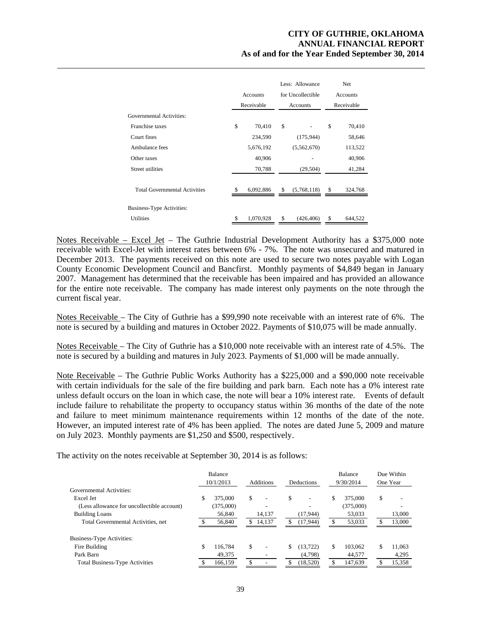## **CITY OF GUTHRIE, OKLAHOMA ANNUAL FINANCIAL REPORT As of and for the Year Ended September 30, 2014**

| Governmental Activities:             | Accounts<br>Receivable | Less: Allowance<br>for Uncollectible<br>Accounts |    | Net<br><b>Accounts</b><br>Receivable |
|--------------------------------------|------------------------|--------------------------------------------------|----|--------------------------------------|
| Franchise taxes                      | \$<br>70,410           | \$                                               | \$ | 70,410                               |
| Court fines                          | 234,590                | (175, 944)                                       |    | 58,646                               |
| Ambulance fees                       | 5,676,192              | (5,562,670)                                      |    | 113,522                              |
| Other taxes                          | 40,906                 |                                                  |    | 40,906                               |
| Street utilities                     | 70,788                 | (29, 504)                                        |    | 41,284                               |
| <b>Total Governmental Activities</b> | \$<br>6,092,886        | \$<br>(5,768,118)                                | S  | 324,768                              |
| Business-Type Activities:            |                        |                                                  |    |                                      |
| Utilities                            | \$<br>1,070,928        | \$<br>(426, 406)                                 | \$ | 644,522                              |

Notes Receivable – Excel Jet – The Guthrie Industrial Development Authority has a \$375,000 note receivable with Excel-Jet with interest rates between 6% - 7%. The note was unsecured and matured in December 2013. The payments received on this note are used to secure two notes payable with Logan County Economic Development Council and Bancfirst. Monthly payments of \$4,849 began in January 2007. Management has determined that the receivable has been impaired and has provided an allowance for the entire note receivable. The company has made interest only payments on the note through the current fiscal year.

Notes Receivable – The City of Guthrie has a \$99,990 note receivable with an interest rate of 6%. The note is secured by a building and matures in October 2022. Payments of \$10,075 will be made annually.

Notes Receivable – The City of Guthrie has a \$10,000 note receivable with an interest rate of 4.5%. The note is secured by a building and matures in July 2023. Payments of \$1,000 will be made annually.

Note Receivable – The Guthrie Public Works Authority has a \$225,000 and a \$90,000 note receivable with certain individuals for the sale of the fire building and park barn. Each note has a 0% interest rate unless default occurs on the loan in which case, the note will bear a 10% interest rate. Events of default include failure to rehabilitate the property to occupancy status within 36 months of the date of the note and failure to meet minimum maintenance requirements within 12 months of the date of the note. However, an imputed interest rate of 4% has been applied. The notes are dated June 5, 2009 and mature on July 2023. Monthly payments are \$1,250 and \$500, respectively.

The activity on the notes receivable at September 30, 2014 is as follows:

|                                            |     | <b>Balance</b><br>10/1/2013 | <b>Additions</b> |        |    | <b>Deductions</b> | <b>Balance</b><br>9/30/2014 |           |    | Due Within<br>One Year |
|--------------------------------------------|-----|-----------------------------|------------------|--------|----|-------------------|-----------------------------|-----------|----|------------------------|
| Governmental Activities:                   |     |                             |                  |        |    |                   |                             |           |    |                        |
| Excel Jet                                  | \$. | 375,000                     | \$.              |        | \$ | $\overline{a}$    | \$                          | 375,000   | \$ |                        |
| (Less allowance for uncollectible account) |     | (375,000)                   |                  | -      |    |                   |                             | (375,000) |    |                        |
| <b>Building Loans</b>                      |     | 56,840                      |                  | 14,137 |    | (17,944)          |                             | 53,033    |    | 13,000                 |
| Total Governmental Activities, net         |     | 56,840                      | S.               | 14.137 |    | (17, 944)         |                             | 53,033    |    | 13,000                 |
| Business-Type Activities:                  |     |                             |                  |        |    |                   |                             |           |    |                        |
| Fire Building                              | \$  | 116.784                     | \$               |        |    | (13, 722)         | \$                          | 103.062   | \$ | 11.063                 |
| Park Barn                                  |     | 49,375                      |                  |        |    | (4,798)           |                             | 44,577    |    | 4,295                  |
| <b>Total Business-Type Activities</b>      |     | 166.159                     | \$               |        |    | (18,520)          |                             | 147,639   |    | 15,358                 |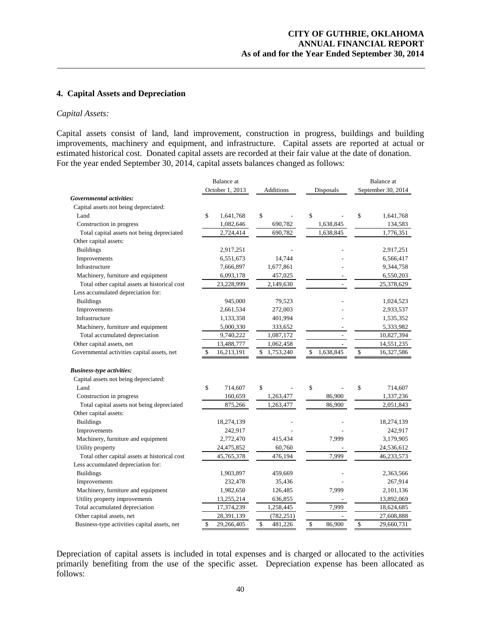#### **4. Capital Assets and Depreciation**

#### *Capital Assets:*

 $\overline{a}$ 

Capital assets consist of land, land improvement, construction in progress, buildings and building improvements, machinery and equipment, and infrastructure. Capital assets are reported at actual or estimated historical cost. Donated capital assets are recorded at their fair value at the date of donation. For the year ended September 30, 2014, capital assets balances changed as follows:

|                                               | <b>Balance</b> at |                  |              |           | <b>Balance</b> at  |              |  |
|-----------------------------------------------|-------------------|------------------|--------------|-----------|--------------------|--------------|--|
|                                               | October 1, 2013   | <b>Additions</b> |              | Disposals | September 30, 2014 |              |  |
| Governmental activities:                      |                   |                  |              |           |                    |              |  |
| Capital assets not being depreciated:         |                   |                  |              |           |                    |              |  |
| Land                                          | \$<br>1,641,768   | \$               | \$           |           | \$                 | 1,641,768    |  |
| Construction in progress                      | 1,082,646         | 690,782          |              | 1,638,845 |                    | 134,583      |  |
| Total capital assets not being depreciated    | 2,724,414         | 690,782          |              | 1,638,845 |                    | 1,776,351    |  |
| Other capital assets:                         |                   |                  |              |           |                    |              |  |
| <b>Buildings</b>                              | 2,917,251         |                  |              |           |                    | 2,917,251    |  |
| Improvements                                  | 6,551,673         | 14,744           |              |           |                    | 6,566,417    |  |
| Infrastructure                                | 7,666,897         | 1,677,861        |              |           |                    | 9,344,758    |  |
| Machinery, furniture and equipment            | 6,093,178         | 457,025          |              |           |                    | 6,550,203    |  |
| Total other capital assets at historical cost | 23,228,999        | 2,149,630        |              |           |                    | 25,378,629   |  |
| Less accumulated depreciation for:            |                   |                  |              |           |                    |              |  |
| <b>Buildings</b>                              | 945,000           | 79,523           |              |           |                    | 1,024,523    |  |
| Improvements                                  | 2,661,534         | 272,003          |              |           |                    | 2,933,537    |  |
| Infrastructure                                | 1,133,358         | 401,994          |              |           |                    | 1,535,352    |  |
| Machinery, furniture and equipment            | 5,000,330         | 333,652          |              |           |                    | 5,333,982    |  |
| Total accumulated depreciation                | 9,740,222         | 1,087,172        |              |           |                    | 10,827,394   |  |
| Other capital assets, net                     | 13,488,777        | 1,062,458        |              |           |                    | 14,551,235   |  |
| Governmental activities capital assets, net   | \$<br>16,213,191  | \$<br>1,753,240  | $\mathbb{S}$ | 1,638,845 | \$                 | 16,327,586   |  |
|                                               |                   |                  |              |           |                    |              |  |
| <b>Business-type activities:</b>              |                   |                  |              |           |                    |              |  |
| Capital assets not being depreciated:         |                   |                  |              |           |                    |              |  |
| Land                                          | \$<br>714,607     | \$               | \$           |           | \$                 | 714,607      |  |
| Construction in progress                      | 160,659           | 1,263,477        |              | 86,900    |                    | 1,337,236    |  |
| Total capital assets not being depreciated    | 875,266           | 1,263,477        |              | 86,900    |                    | 2,051,843    |  |
| Other capital assets:                         |                   |                  |              |           |                    |              |  |
| <b>Buildings</b>                              | 18,274,139        |                  |              |           |                    | 18,274,139   |  |
| Improvements                                  | 242,917           |                  |              |           |                    | 242,917      |  |
| Machinery, furniture and equipment            | 2,772,470         | 415,434          |              | 7,999     |                    | 3,179,905    |  |
| Utility property                              | 24,475,852        | 60,760           |              |           |                    | 24,536,612   |  |
| Total other capital assets at historical cost | 45,765,378        | 476,194          |              | 7,999     |                    | 46, 233, 573 |  |
| Less accumulated depreciation for:            |                   |                  |              |           |                    |              |  |
| <b>Buildings</b>                              | 1,903,897         | 459,669          |              |           |                    | 2,363,566    |  |
| Improvements                                  | 232,478           | 35,436           |              |           |                    | 267,914      |  |
| Machinery, furniture and equipment            | 1,982,650         | 126,485          |              | 7,999     |                    | 2,101,136    |  |
| Utility property improvements                 | 13,255,214        | 636,855          |              |           |                    | 13,892,069   |  |
| Total accumulated depreciation                | 17,374,239        | 1,258,445        |              | 7,999     |                    | 18,624,685   |  |
| Other capital assets, net                     | 28,391,139        | (782, 251)       |              |           |                    | 27,608,888   |  |
| Business-type activities capital assets, net  | \$<br>29,266,405  | \$<br>481,226    | \$           | 86,900    | \$                 | 29,660,731   |  |

Depreciation of capital assets is included in total expenses and is charged or allocated to the activities primarily benefiting from the use of the specific asset. Depreciation expense has been allocated as follows: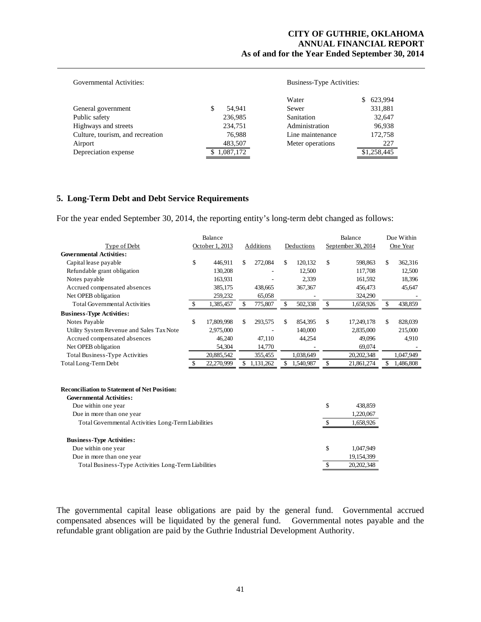#### **CITY OF GUTHRIE, OKLAHOMA ANNUAL FINANCIAL REPORT As of and for the Year Ended September 30, 2014**

| Governmental Activities:         | Business-Type Activities: |                  |                |  |  |  |
|----------------------------------|---------------------------|------------------|----------------|--|--|--|
|                                  |                           | Water            | 623,994<br>\$. |  |  |  |
| General government               | \$<br>54.941              | Sewer            | 331,881        |  |  |  |
| Public safety                    | 236,985                   | Sanitation       | 32.647         |  |  |  |
| Highways and streets             | 234,751                   | Administration   | 96,938         |  |  |  |
| Culture, tourism, and recreation | 76.988                    | Line maintenance | 172,758        |  |  |  |
| Airport                          | 483,507                   | Meter operations | 227            |  |  |  |
| Depreciation expense             | 1,087,172                 |                  | \$1,258,445    |  |  |  |

## **5. Long-Term Debt and Debt Service Requirements**

 $\overline{a}$ 

For the year ended September 30, 2014, the reporting entity's long-term debt changed as follows:

|                                                      |              | Balance         |           |             |    |            |                    | Balance    |          | Due Within |
|------------------------------------------------------|--------------|-----------------|-----------|-------------|----|------------|--------------------|------------|----------|------------|
| Type of Debt                                         |              | October 1, 2013 | Additions |             |    | Deductions | September 30, 2014 |            | One Year |            |
| <b>Governmental Activities:</b>                      |              |                 |           |             |    |            |                    |            |          |            |
| Capital lease payable                                | \$           | 446,911         | \$        | 272,084     | \$ | 120.132    | \$                 | 598,863    | \$       | 362,316    |
| Refundable grant obligation                          |              | 130,208         |           |             |    | 12,500     |                    | 117,708    |          | 12,500     |
| Notes payable                                        |              | 163,931         |           |             |    | 2.339      |                    | 161,592    |          | 18,396     |
| Accrued compensated absences                         |              | 385,175         |           | 438,665     |    | 367,367    |                    | 456,473    |          | 45,647     |
| Net OPEB obligation                                  |              | 259,232         |           | 65.058      |    |            |                    | 324,290    |          |            |
| <b>Total Governmental Activities</b>                 | S.           | 1,385,457       | \$        | 775,807     | \$ | 502,338    | \$                 | 1,658,926  | \$       | 438,859    |
| <b>Business-Type Activities:</b>                     |              |                 |           |             |    |            |                    |            |          |            |
| Notes Payable                                        | $\mathbb{S}$ | 17,809,998      | \$        | 293,575     | \$ | 854,395    | \$                 | 17,249,178 | \$       | 828,039    |
| Utility System Revenue and Sales Tax Note            |              | 2,975,000       |           |             |    | 140,000    |                    | 2,835,000  |          | 215,000    |
| Accrued compensated absences                         |              | 46,240          |           | 47,110      |    | 44,254     |                    | 49,096     |          | 4,910      |
| Net OPEB obligation                                  |              | 54,304          |           | 14,770      |    |            |                    | 69,074     |          |            |
| <b>Total Business-Type Activities</b>                |              | 20,885,542      |           | 355,455     |    | 1,038,649  |                    | 20,202,348 |          | 1,047,949  |
| Total Long-Term Debt                                 |              | 22,270,999      |           | \$1,131,262 | \$ | 1,540,987  | \$                 | 21,861,274 | \$       | 1,486,808  |
| <b>Reconciliation to Statement of Net Position:</b>  |              |                 |           |             |    |            |                    |            |          |            |
| <b>Governmental Activities:</b>                      |              |                 |           |             |    |            |                    |            |          |            |
| Due within one year                                  |              |                 |           |             |    |            | \$                 | 438,859    |          |            |
| Due in more than one year                            |              |                 |           |             |    |            |                    | 1,220,067  |          |            |
| Total Governmental Activities Long-Term Liabilities  |              |                 |           |             |    |            | $\mathbb{S}$       | 1,658,926  |          |            |
|                                                      |              |                 |           |             |    |            |                    |            |          |            |
| <b>Business-Type Activities:</b>                     |              |                 |           |             |    |            |                    |            |          |            |
| Due within one year                                  |              |                 |           |             |    |            | \$                 | 1,047,949  |          |            |
| Due in more than one year                            |              |                 |           |             |    |            |                    | 19,154,399 |          |            |
| Total Business-Type Activities Long-Term Liabilities |              |                 |           |             |    |            | \$                 | 20,202,348 |          |            |

The governmental capital lease obligations are paid by the general fund. Governmental accrued compensated absences will be liquidated by the general fund. Governmental notes payable and the refundable grant obligation are paid by the Guthrie Industrial Development Authority.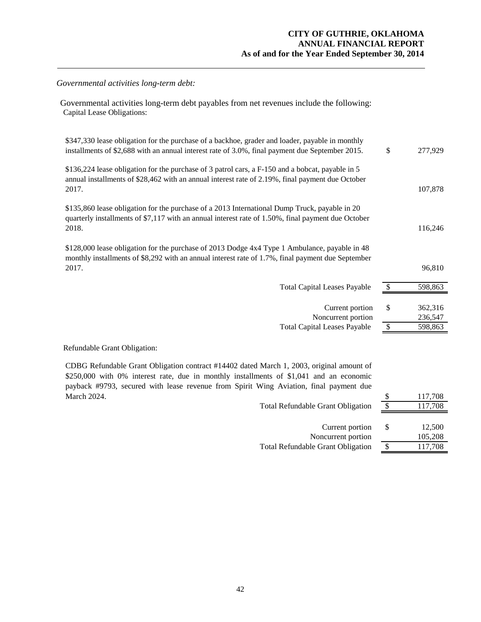*Governmental activities long-term debt:* 

 $\overline{a}$ 

 Governmental activities long-term debt payables from net revenues include the following: Capital Lease Obligations:

| \$347,330 lease obligation for the purchase of a backhoe, grader and loader, payable in monthly<br>installments of \$2,688 with an annual interest rate of 3.0%, final payment due September 2015.            | \$<br>277,929            |
|---------------------------------------------------------------------------------------------------------------------------------------------------------------------------------------------------------------|--------------------------|
| \$136,224 lease obligation for the purchase of 3 patrol cars, a F-150 and a bobcat, payable in 5<br>annual installments of \$28,462 with an annual interest rate of 2.19%, final payment due October<br>2017. | 107,878                  |
| \$135,860 lease obligation for the purchase of a 2013 International Dump Truck, payable in 20<br>quarterly installments of \$7,117 with an annual interest rate of 1.50%, final payment due October<br>2018.  | 116,246                  |
| \$128,000 lease obligation for the purchase of 2013 Dodge 4x4 Type 1 Ambulance, payable in 48<br>monthly installments of \$8,292 with an annual interest rate of 1.7%, final payment due September<br>2017.   | 96,810                   |
| <b>Total Capital Leases Payable</b>                                                                                                                                                                           | 598,863                  |
| Current portion<br>Noncurrent portion                                                                                                                                                                         | \$<br>362,316<br>236,547 |
| <b>Total Capital Leases Payable</b>                                                                                                                                                                           | 598,863                  |

Refundable Grant Obligation:

CDBG Refundable Grant Obligation contract #14402 dated March 1, 2003, original amount of \$250,000 with 0% interest rate, due in monthly installments of \$1,041 and an economic payback #9793, secured with lease revenue from Spirit Wing Aviation, final payment due

| March 2024. | <b>Total Refundable Grant Obligation</b>                                          | 117,708<br>117,708           |
|-------------|-----------------------------------------------------------------------------------|------------------------------|
|             | Current portion<br>Noncurrent portion<br><b>Total Refundable Grant Obligation</b> | 12,500<br>105,208<br>117,708 |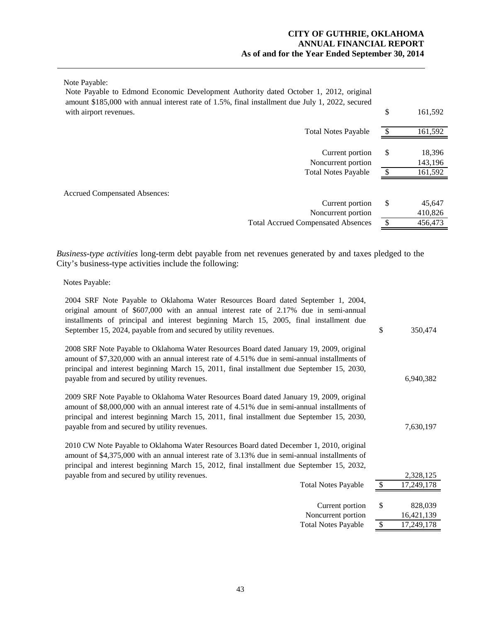Note Payable:

 $\overline{a}$ 

Note Payable to Edmond Economic Development Authority dated October 1, 2012, original amount \$185,000 with annual interest rate of 1.5%, final installment due July 1, 2022, secured with airport revenues.  $\qquad$  161,592

| <b>Total Notes Payable</b>                              | 161,592                 |
|---------------------------------------------------------|-------------------------|
| Current portion<br>Noncurrent portion                   | \$<br>18,396<br>143,196 |
| <b>Total Notes Payable</b>                              | 161,592                 |
| <b>Accrued Compensated Absences:</b><br>Current portion | \$<br>45,647            |
| Noncurrent portion                                      | 410,826                 |
| <b>Total Accrued Compensated Absences</b>               | 456,473                 |

*Business-type activities* long-term debt payable from net revenues generated by and taxes pledged to the City's business-type activities include the following:

Notes Payable:

| 2004 SRF Note Payable to Oklahoma Water Resources Board dated September 1, 2004,<br>original amount of $$607,000$ with an annual interest rate of $2.17\%$ due in semi-annual<br>installments of principal and interest beginning March 15, 2005, final installment due                                                                   |                           |            |
|-------------------------------------------------------------------------------------------------------------------------------------------------------------------------------------------------------------------------------------------------------------------------------------------------------------------------------------------|---------------------------|------------|
| September 15, 2024, payable from and secured by utility revenues.                                                                                                                                                                                                                                                                         | \$                        | 350,474    |
| 2008 SRF Note Payable to Oklahoma Water Resources Board dated January 19, 2009, original<br>amount of \$7,320,000 with an annual interest rate of 4.51% due in semi-annual installments of<br>principal and interest beginning March 15, 2011, final installment due September 15, 2030,<br>payable from and secured by utility revenues. |                           | 6,940,382  |
| 2009 SRF Note Payable to Oklahoma Water Resources Board dated January 19, 2009, original<br>amount of \$8,000,000 with an annual interest rate of 4.51% due in semi-annual installments of<br>principal and interest beginning March 15, 2011, final installment due September 15, 2030,<br>payable from and secured by utility revenues. |                           | 7,630,197  |
| 2010 CW Note Payable to Oklahoma Water Resources Board dated December 1, 2010, original<br>amount of \$4,375,000 with an annual interest rate of 3.13% due in semi-annual installments of<br>principal and interest beginning March 15, 2012, final installment due September 15, 2032,                                                   |                           |            |
| payable from and secured by utility revenues.                                                                                                                                                                                                                                                                                             |                           | 2,328,125  |
| <b>Total Notes Payable</b>                                                                                                                                                                                                                                                                                                                | $\boldsymbol{\mathsf{S}}$ | 17,249,178 |
| Current portion                                                                                                                                                                                                                                                                                                                           | \$                        | 828,039    |
| Noncurrent portion                                                                                                                                                                                                                                                                                                                        |                           | 16,421,139 |
| <b>Total Notes Payable</b>                                                                                                                                                                                                                                                                                                                | \$                        | 17,249,178 |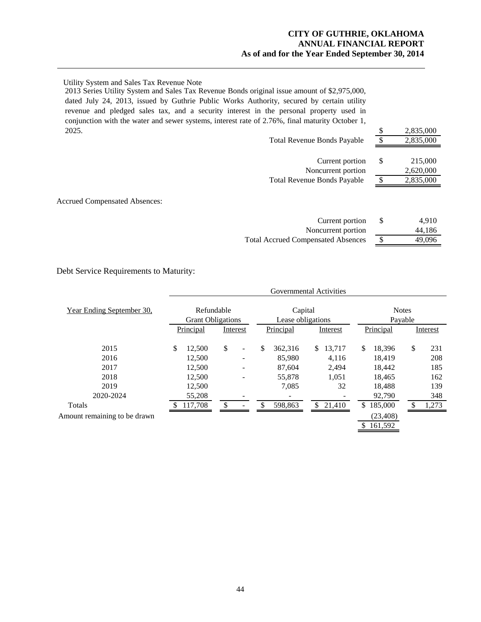| Utility System and Sales Tax Revenue Note                                                       |     |           |
|-------------------------------------------------------------------------------------------------|-----|-----------|
| 2013 Series Utility System and Sales Tax Revenue Bonds original issue amount of \$2,975,000,    |     |           |
| dated July 24, 2013, issued by Guthrie Public Works Authority, secured by certain utility       |     |           |
| revenue and pledged sales tax, and a security interest in the personal property used in         |     |           |
| conjunction with the water and sewer systems, interest rate of 2.76%, final maturity October 1, |     |           |
| 2025.                                                                                           |     | 2,835,000 |
| <b>Total Revenue Bonds Payable</b>                                                              |     | 2,835,000 |
|                                                                                                 |     |           |
| Current portion                                                                                 | \$. | 215,000   |
| Noncurrent portion                                                                              |     | 2,620,000 |
| <b>Total Revenue Bonds Payable</b>                                                              |     | 2,835,000 |
|                                                                                                 |     |           |
| <b>Accrued Compensated Absences:</b>                                                            |     |           |
| Current portion                                                                                 | \$  | 4,910     |
| Noncurrent portion                                                                              |     | 44,186    |
| <b>Total Accrued Compensated Absences</b>                                                       |     | 49,096    |
|                                                                                                 |     |           |

Debt Service Requirements to Maturity:

|                                  |                                        |                  |    |          |    | <b>Governmental Activities</b> |     |          |    |                         |    |          |  |
|----------------------------------|----------------------------------------|------------------|----|----------|----|--------------------------------|-----|----------|----|-------------------------|----|----------|--|
| <b>Year Ending September 30,</b> | Refundable<br><b>Grant Obligations</b> |                  |    |          |    | Capital<br>Lease obligations   |     |          |    | <b>Notes</b><br>Pavable |    |          |  |
|                                  |                                        | <b>Principal</b> |    | Interest |    | Principal                      |     | Interest |    | Principal               |    | Interest |  |
| 2015                             | \$                                     | 12,500           | \$ | -        | \$ | 362,316                        | \$. | 13,717   | \$ | 18,396                  | \$ | 231      |  |
| 2016                             |                                        | 12,500           |    | ۰        |    | 85,980                         |     | 4.116    |    | 18.419                  |    | 208      |  |
| 2017                             |                                        | 12,500           |    |          |    | 87,604                         |     | 2,494    |    | 18,442                  |    | 185      |  |
| 2018                             |                                        | 12,500           |    | ۰        |    | 55,878                         |     | 1,051    |    | 18,465                  |    | 162      |  |
| 2019                             |                                        | 12,500           |    |          |    | 7.085                          |     | 32       |    | 18,488                  |    | 139      |  |
| 2020-2024                        |                                        | 55,208           |    |          |    | -                              |     |          |    | 92,790                  |    | 348      |  |
| Totals                           |                                        | 117,708          |    |          | \$ | 598,863                        | \$  | 21,410   | \$ | 185,000                 |    | 1,273    |  |
| Amount remaining to be drawn     |                                        |                  |    |          |    |                                |     |          |    | (23, 408)               |    |          |  |
|                                  |                                        |                  |    |          |    |                                |     |          |    | 161,592                 |    |          |  |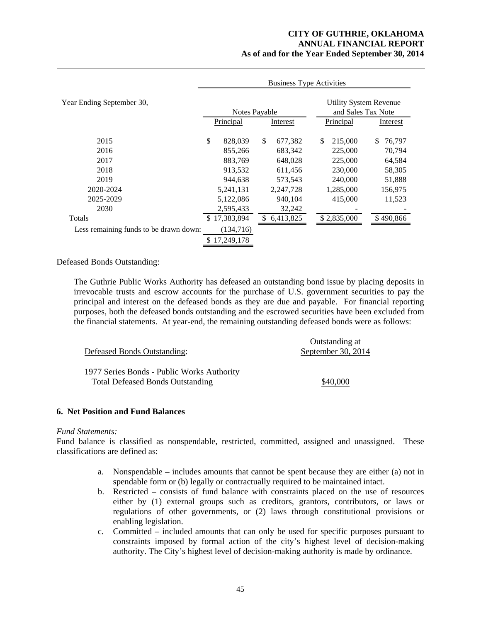|                                        |               |               | <b>Business Type Activities</b> |                                                     |             |    |           |
|----------------------------------------|---------------|---------------|---------------------------------|-----------------------------------------------------|-------------|----|-----------|
| Year Ending September 30,              | Notes Payable |               |                                 | <b>Utility System Revenue</b><br>and Sales Tax Note |             |    |           |
|                                        | Principal     |               | Interest                        |                                                     | Principal   |    | Interest  |
| 2015                                   | \$<br>828,039 | <sup>\$</sup> | 677,382                         | \$                                                  | 215,000     | \$ | 76,797    |
| 2016                                   | 855,266       |               | 683,342                         |                                                     | 225,000     |    | 70.794    |
| 2017                                   | 883,769       |               | 648,028                         |                                                     | 225,000     |    | 64,584    |
| 2018                                   | 913,532       |               | 611,456                         |                                                     | 230,000     |    | 58,305    |
| 2019                                   | 944,638       |               | 573,543                         |                                                     | 240,000     |    | 51,888    |
| 2020-2024                              | 5,241,131     |               | 2,247,728                       |                                                     | 1,285,000   |    | 156,975   |
| 2025-2029                              | 5,122,086     |               | 940,104                         |                                                     | 415,000     |    | 11,523    |
| 2030                                   | 2,595,433     |               | 32,242                          |                                                     |             |    |           |
| Totals                                 | \$17,383,894  | \$.           | 6,413,825                       |                                                     | \$2,835,000 |    | \$490,866 |
| Less remaining funds to be drawn down: | (134,716)     |               |                                 |                                                     |             |    |           |
|                                        | \$17,249,178  |               |                                 |                                                     |             |    |           |

Defeased Bonds Outstanding:

 $\overline{a}$ 

The Guthrie Public Works Authority has defeased an outstanding bond issue by placing deposits in irrevocable trusts and escrow accounts for the purchase of U.S. government securities to pay the principal and interest on the defeased bonds as they are due and payable. For financial reporting purposes, both the defeased bonds outstanding and the escrowed securities have been excluded from the financial statements. At year-end, the remaining outstanding defeased bonds were as follows:

|                                            | Outstanding at     |
|--------------------------------------------|--------------------|
| Defeased Bonds Outstanding:                | September 30, 2014 |
| 1977 Series Bonds - Public Works Authority |                    |
| <b>Total Defeased Bonds Outstanding</b>    | \$40,000           |

#### **6. Net Position and Fund Balances**

#### *Fund Statements:*

Fund balance is classified as nonspendable, restricted, committed, assigned and unassigned. These classifications are defined as:

- a. Nonspendable includes amounts that cannot be spent because they are either (a) not in spendable form or (b) legally or contractually required to be maintained intact.
- b. Restricted consists of fund balance with constraints placed on the use of resources either by (1) external groups such as creditors, grantors, contributors, or laws or regulations of other governments, or (2) laws through constitutional provisions or enabling legislation.
- c. Committed included amounts that can only be used for specific purposes pursuant to constraints imposed by formal action of the city's highest level of decision-making authority. The City's highest level of decision-making authority is made by ordinance.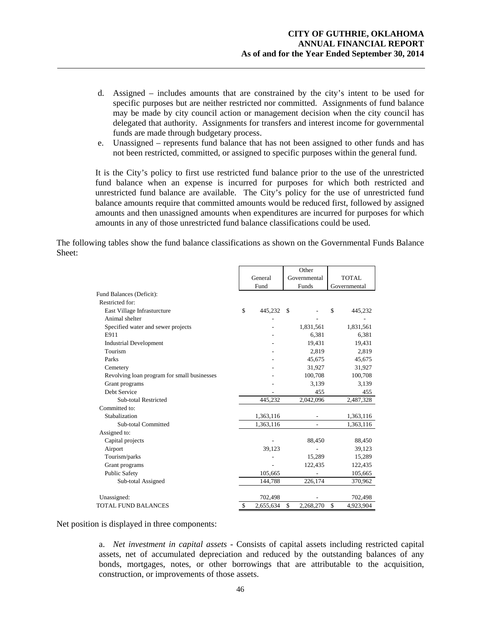- d. Assigned includes amounts that are constrained by the city's intent to be used for specific purposes but are neither restricted nor committed. Assignments of fund balance may be made by city council action or management decision when the city council has delegated that authority. Assignments for transfers and interest income for governmental funds are made through budgetary process.
- e. Unassigned represents fund balance that has not been assigned to other funds and has not been restricted, committed, or assigned to specific purposes within the general fund.

It is the City's policy to first use restricted fund balance prior to the use of the unrestricted fund balance when an expense is incurred for purposes for which both restricted and unrestricted fund balance are available. The City's policy for the use of unrestricted fund balance amounts require that committed amounts would be reduced first, followed by assigned amounts and then unassigned amounts when expenditures are incurred for purposes for which amounts in any of those unrestricted fund balance classifications could be used.

The following tables show the fund balance classifications as shown on the Governmental Funds Balance Sheet:

|                                             |                 |    | Other                    |    |              |  |
|---------------------------------------------|-----------------|----|--------------------------|----|--------------|--|
|                                             | General         |    | Governmental             |    | TOTAL        |  |
|                                             | Fund            |    | Funds                    |    | Governmental |  |
| Fund Balances (Deficit):                    |                 |    |                          |    |              |  |
| Restricted for:                             |                 |    |                          |    |              |  |
| East Village Infrasturcture                 | \$<br>445.232   | \$ |                          | \$ | 445,232      |  |
| Animal shelter                              |                 |    |                          |    |              |  |
| Specified water and sewer projects          |                 |    | 1,831,561                |    | 1,831,561    |  |
| E911                                        |                 |    | 6,381                    |    | 6,381        |  |
| <b>Industrial Development</b>               |                 |    | 19,431                   |    | 19,431       |  |
| Tourism                                     |                 |    | 2,819                    |    | 2,819        |  |
| Parks                                       |                 |    | 45,675                   |    | 45,675       |  |
| Cemetery                                    |                 |    | 31,927                   |    | 31,927       |  |
| Revolving loan program for small businesses |                 |    | 100,708                  |    | 100,708      |  |
| Grant programs                              |                 |    | 3,139                    |    | 3,139        |  |
| Debt Service                                |                 |    | 455                      |    | 455          |  |
| <b>Sub-total Restricted</b>                 | 445,232         |    | 2,042,096                |    | 2,487,328    |  |
| Committed to:                               |                 |    |                          |    |              |  |
| Stabalization                               | 1,363,116       |    |                          |    | 1,363,116    |  |
| Sub-total Committed                         | 1,363,116       |    |                          |    | 1,363,116    |  |
| Assigned to:                                |                 |    |                          |    |              |  |
| Capital projects                            |                 |    | 88,450                   |    | 88,450       |  |
| Airport                                     | 39,123          |    |                          |    | 39,123       |  |
| Tourism/parks                               |                 |    | 15,289                   |    | 15,289       |  |
| Grant programs                              |                 |    | 122,435                  |    | 122,435      |  |
| <b>Public Safety</b>                        | 105,665         |    | $\overline{\phantom{a}}$ |    | 105,665      |  |
| Sub-total Assigned                          | 144,788         |    | 226,174                  |    | 370,962      |  |
|                                             |                 |    |                          |    |              |  |
| Unassigned:                                 | 702,498         |    |                          |    | 702,498      |  |
| <b>TOTAL FUND BALANCES</b>                  | \$<br>2,655,634 | \$ | 2,268,270                | \$ | 4,923,904    |  |

#### Net position is displayed in three components:

 $\overline{a}$ 

 a. *Net investment in capital assets* - Consists of capital assets including restricted capital assets, net of accumulated depreciation and reduced by the outstanding balances of any bonds, mortgages, notes, or other borrowings that are attributable to the acquisition, construction, or improvements of those assets.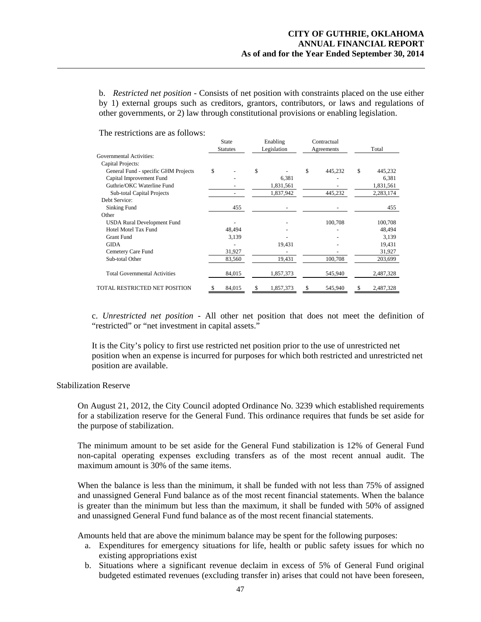b. *Restricted net position* - Consists of net position with constraints placed on the use either by 1) external groups such as creditors, grantors, contributors, or laws and regulations of other governments, or 2) law through constitutional provisions or enabling legislation.

|                                      | <b>State</b><br><b>Statutes</b> |    | Enabling<br>Legislation | Contractual<br>Agreements | Total           |
|--------------------------------------|---------------------------------|----|-------------------------|---------------------------|-----------------|
| Governmental Activities:             |                                 |    |                         |                           |                 |
| Capital Projects:                    |                                 |    |                         |                           |                 |
| General Fund - specific GHM Projects | \$                              | \$ |                         | \$<br>445,232             | \$<br>445,232   |
| Capital Improvement Fund             |                                 |    | 6,381                   |                           | 6,381           |
| Guthrie/OKC Waterline Fund           |                                 |    | 1,831,561               |                           | 1,831,561       |
| Sub-total Capital Projects           |                                 |    | 1,837,942               | 445,232                   | 2,283,174       |
| Debt Service:                        |                                 |    |                         |                           |                 |
| Sinking Fund                         | 455                             |    |                         |                           | 455             |
| Other                                |                                 |    |                         |                           |                 |
| <b>USDA Rural Development Fund</b>   |                                 |    |                         | 100,708                   | 100,708         |
| Hotel Motel Tax Fund                 | 48,494                          |    |                         |                           | 48.494          |
| <b>Grant Fund</b>                    | 3,139                           |    |                         |                           | 3,139           |
| <b>GIDA</b>                          |                                 |    | 19,431                  |                           | 19,431          |
| Cemetery Care Fund                   | 31,927                          |    |                         |                           | 31,927          |
| Sub-total Other                      | 83,560                          |    | 19,431                  | 100,708                   | 203,699         |
| <b>Total Governmental Activities</b> | 84,015                          |    | 1,857,373               | 545,940                   | 2,487,328       |
| TOTAL RESTRICTED NET POSITION        | \$<br>84,015                    | S  | 1,857,373               | \$<br>545,940             | \$<br>2,487,328 |

The restrictions are as follows:

 c. *Unrestricted net position* - All other net position that does not meet the definition of "restricted" or "net investment in capital assets."

It is the City's policy to first use restricted net position prior to the use of unrestricted net position when an expense is incurred for purposes for which both restricted and unrestricted net position are available.

#### Stabilization Reserve

 $\overline{a}$ 

On August 21, 2012, the City Council adopted Ordinance No. 3239 which established requirements for a stabilization reserve for the General Fund. This ordinance requires that funds be set aside for the purpose of stabilization.

The minimum amount to be set aside for the General Fund stabilization is 12% of General Fund non-capital operating expenses excluding transfers as of the most recent annual audit. The maximum amount is 30% of the same items.

When the balance is less than the minimum, it shall be funded with not less than 75% of assigned and unassigned General Fund balance as of the most recent financial statements. When the balance is greater than the minimum but less than the maximum, it shall be funded with 50% of assigned and unassigned General Fund fund balance as of the most recent financial statements.

Amounts held that are above the minimum balance may be spent for the following purposes:

- a. Expenditures for emergency situations for life, health or public safety issues for which no existing appropriations exist
- b. Situations where a significant revenue declaim in excess of 5% of General Fund original budgeted estimated revenues (excluding transfer in) arises that could not have been foreseen,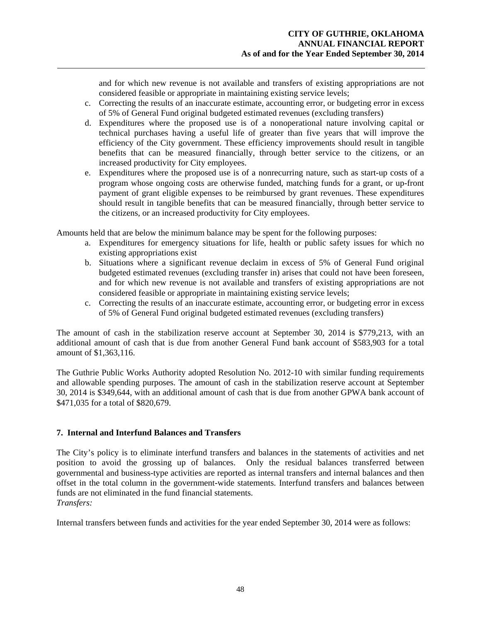and for which new revenue is not available and transfers of existing appropriations are not considered feasible or appropriate in maintaining existing service levels;

- c. Correcting the results of an inaccurate estimate, accounting error, or budgeting error in excess of 5% of General Fund original budgeted estimated revenues (excluding transfers)
- d. Expenditures where the proposed use is of a nonoperational nature involving capital or technical purchases having a useful life of greater than five years that will improve the efficiency of the City government. These efficiency improvements should result in tangible benefits that can be measured financially, through better service to the citizens, or an increased productivity for City employees.
- e. Expenditures where the proposed use is of a nonrecurring nature, such as start-up costs of a program whose ongoing costs are otherwise funded, matching funds for a grant, or up-front payment of grant eligible expenses to be reimbursed by grant revenues. These expenditures should result in tangible benefits that can be measured financially, through better service to the citizens, or an increased productivity for City employees.

Amounts held that are below the minimum balance may be spent for the following purposes:

- a. Expenditures for emergency situations for life, health or public safety issues for which no existing appropriations exist
- b. Situations where a significant revenue declaim in excess of 5% of General Fund original budgeted estimated revenues (excluding transfer in) arises that could not have been foreseen, and for which new revenue is not available and transfers of existing appropriations are not considered feasible or appropriate in maintaining existing service levels;
- c. Correcting the results of an inaccurate estimate, accounting error, or budgeting error in excess of 5% of General Fund original budgeted estimated revenues (excluding transfers)

The amount of cash in the stabilization reserve account at September 30, 2014 is \$779,213, with an additional amount of cash that is due from another General Fund bank account of \$583,903 for a total amount of \$1,363,116.

The Guthrie Public Works Authority adopted Resolution No. 2012-10 with similar funding requirements and allowable spending purposes. The amount of cash in the stabilization reserve account at September 30, 2014 is \$349,644, with an additional amount of cash that is due from another GPWA bank account of \$471,035 for a total of \$820,679.

#### **7. Internal and Interfund Balances and Transfers**

 $\overline{a}$ 

The City's policy is to eliminate interfund transfers and balances in the statements of activities and net position to avoid the grossing up of balances. Only the residual balances transferred between governmental and business-type activities are reported as internal transfers and internal balances and then offset in the total column in the government-wide statements. Interfund transfers and balances between funds are not eliminated in the fund financial statements. *Transfers:* 

Internal transfers between funds and activities for the year ended September 30, 2014 were as follows: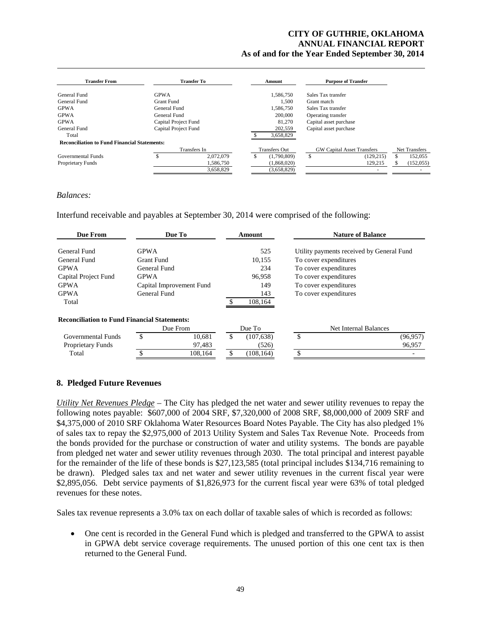## **CITY OF GUTHRIE, OKLAHOMA ANNUAL FINANCIAL REPORT As of and for the Year Ended September 30, 2014**

| <b>Transfer From</b>                                |                      | <b>Transfer To</b> |  | Amount               | <b>Purpose of Transfer</b> |                                   |    |                      |
|-----------------------------------------------------|----------------------|--------------------|--|----------------------|----------------------------|-----------------------------------|----|----------------------|
| General Fund                                        | <b>GPWA</b>          |                    |  | 1.586.750            | Sales Tax transfer         |                                   |    |                      |
| General Fund                                        | <b>Grant Fund</b>    |                    |  | 1.500                | Grant match                |                                   |    |                      |
| <b>GPWA</b>                                         | General Fund         |                    |  | 1,586,750            | Sales Tax transfer         |                                   |    |                      |
| <b>GPWA</b>                                         | General Fund         |                    |  | 200,000              | Operating transfer         |                                   |    |                      |
| <b>GPWA</b>                                         | Capital Project Fund |                    |  | 81,270               | Capital asset purchase     |                                   |    |                      |
| General Fund                                        | Capital Project Fund |                    |  | 202,559              | Capital asset purchase     |                                   |    |                      |
| Total                                               |                      |                    |  | 3,658,829            |                            |                                   |    |                      |
| <b>Reconciliation to Fund Financial Statements:</b> |                      |                    |  |                      |                            |                                   |    |                      |
|                                                     |                      | Transfers In       |  | <b>Transfers Out</b> |                            | <b>GW Capital Asset Transfers</b> |    | <b>Net Transfers</b> |
| Governmental Funds                                  |                      | 2.072.079          |  | (1.790.809)          | \$                         | (129, 215)                        | \$ | 152,055              |
| <b>Proprietary Funds</b>                            |                      | 1,586,750          |  | (1,868,020)          |                            | 129,215                           |    | (152, 055)           |
|                                                     |                      | 3.658.829          |  | (3,658,829)          |                            |                                   |    |                      |

#### *Balances:*

 $\overline{a}$ 

Interfund receivable and payables at September 30, 2014 were comprised of the following:

| Due From                                            | Due To                   | <b>Amount</b>    | <b>Nature of Balance</b>                  |  |  |
|-----------------------------------------------------|--------------------------|------------------|-------------------------------------------|--|--|
| General Fund                                        | <b>GPWA</b>              | 525              | Utility payments received by General Fund |  |  |
| General Fund                                        | <b>Grant Fund</b>        | 10,155           | To cover expenditures                     |  |  |
| <b>GPWA</b>                                         | General Fund             | 234              | To cover expenditures                     |  |  |
| Capital Project Fund                                | <b>GPWA</b>              | 96,958           | To cover expenditures                     |  |  |
| <b>GPWA</b>                                         | Capital Improvement Fund | 149              | To cover expenditures                     |  |  |
| <b>GPWA</b>                                         | General Fund             | 143              | To cover expenditures                     |  |  |
| Total                                               |                          | 108,164          |                                           |  |  |
| <b>Reconciliation to Fund Financial Statements:</b> |                          |                  |                                           |  |  |
|                                                     | Due From                 | Due To           | Net Internal Balances                     |  |  |
| Governmental Funds                                  | 10,681<br>\$.            | \$<br>(107, 638) | (96, 957)                                 |  |  |
| <b>Proprietary Funds</b>                            | 97,483                   | (526)            | 96,957                                    |  |  |
| Total                                               | 108,164                  | (108, 164)       |                                           |  |  |

## **8. Pledged Future Revenues**

*Utility Net Revenues Pledge* – The City has pledged the net water and sewer utility revenues to repay the following notes payable: \$607,000 of 2004 SRF, \$7,320,000 of 2008 SRF, \$8,000,000 of 2009 SRF and \$4,375,000 of 2010 SRF Oklahoma Water Resources Board Notes Payable. The City has also pledged 1% of sales tax to repay the \$2,975,000 of 2013 Utility System and Sales Tax Revenue Note. Proceeds from the bonds provided for the purchase or construction of water and utility systems. The bonds are payable from pledged net water and sewer utility revenues through 2030. The total principal and interest payable for the remainder of the life of these bonds is \$27,123,585 (total principal includes \$134,716 remaining to be drawn). Pledged sales tax and net water and sewer utility revenues in the current fiscal year were \$2,895,056. Debt service payments of \$1,826,973 for the current fiscal year were 63% of total pledged revenues for these notes.

Sales tax revenue represents a 3.0% tax on each dollar of taxable sales of which is recorded as follows:

• One cent is recorded in the General Fund which is pledged and transferred to the GPWA to assist in GPWA debt service coverage requirements. The unused portion of this one cent tax is then returned to the General Fund.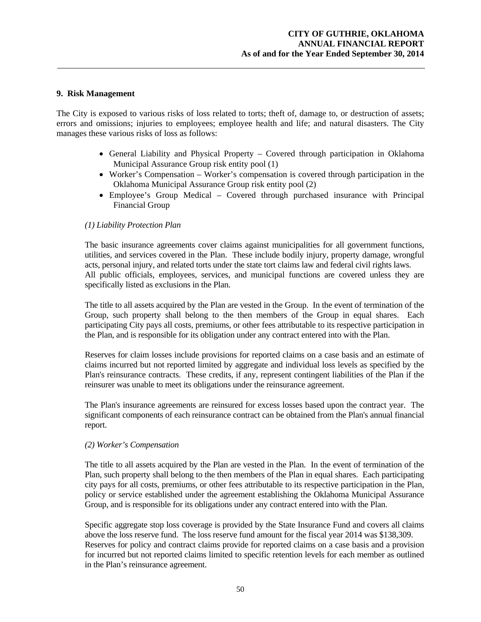#### **9. Risk Management**

 $\overline{a}$ 

The City is exposed to various risks of loss related to torts; theft of, damage to, or destruction of assets; errors and omissions; injuries to employees; employee health and life; and natural disasters. The City manages these various risks of loss as follows:

- General Liability and Physical Property Covered through participation in Oklahoma Municipal Assurance Group risk entity pool (1)
- Worker's Compensation Worker's compensation is covered through participation in the Oklahoma Municipal Assurance Group risk entity pool (2)
- Employee's Group Medical Covered through purchased insurance with Principal Financial Group

#### *(1) Liability Protection Plan*

The basic insurance agreements cover claims against municipalities for all government functions, utilities, and services covered in the Plan. These include bodily injury, property damage, wrongful acts, personal injury, and related torts under the state tort claims law and federal civil rights laws. All public officials, employees, services, and municipal functions are covered unless they are specifically listed as exclusions in the Plan.

 The title to all assets acquired by the Plan are vested in the Group. In the event of termination of the Group, such property shall belong to the then members of the Group in equal shares. Each participating City pays all costs, premiums, or other fees attributable to its respective participation in the Plan, and is responsible for its obligation under any contract entered into with the Plan.

 Reserves for claim losses include provisions for reported claims on a case basis and an estimate of claims incurred but not reported limited by aggregate and individual loss levels as specified by the Plan's reinsurance contracts. These credits, if any, represent contingent liabilities of the Plan if the reinsurer was unable to meet its obligations under the reinsurance agreement.

 The Plan's insurance agreements are reinsured for excess losses based upon the contract year. The significant components of each reinsurance contract can be obtained from the Plan's annual financial report.

#### *(2) Worker's Compensation*

The title to all assets acquired by the Plan are vested in the Plan. In the event of termination of the Plan, such property shall belong to the then members of the Plan in equal shares. Each participating city pays for all costs, premiums, or other fees attributable to its respective participation in the Plan, policy or service established under the agreement establishing the Oklahoma Municipal Assurance Group, and is responsible for its obligations under any contract entered into with the Plan.

Specific aggregate stop loss coverage is provided by the State Insurance Fund and covers all claims above the loss reserve fund. The loss reserve fund amount for the fiscal year 2014 was \$138,309. Reserves for policy and contract claims provide for reported claims on a case basis and a provision for incurred but not reported claims limited to specific retention levels for each member as outlined in the Plan's reinsurance agreement.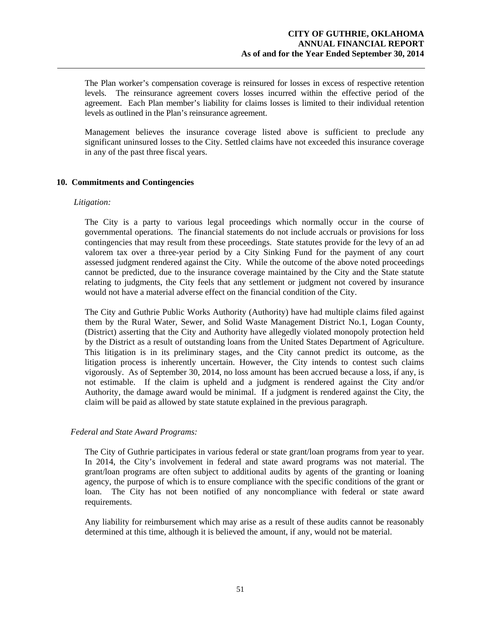The Plan worker's compensation coverage is reinsured for losses in excess of respective retention levels. The reinsurance agreement covers losses incurred within the effective period of the agreement. Each Plan member's liability for claims losses is limited to their individual retention levels as outlined in the Plan's reinsurance agreement.

Management believes the insurance coverage listed above is sufficient to preclude any significant uninsured losses to the City. Settled claims have not exceeded this insurance coverage in any of the past three fiscal years.

#### **10. Commitments and Contingencies**

#### *Litigation:*

 $\overline{a}$ 

The City is a party to various legal proceedings which normally occur in the course of governmental operations. The financial statements do not include accruals or provisions for loss contingencies that may result from these proceedings. State statutes provide for the levy of an ad valorem tax over a three-year period by a City Sinking Fund for the payment of any court assessed judgment rendered against the City. While the outcome of the above noted proceedings cannot be predicted, due to the insurance coverage maintained by the City and the State statute relating to judgments, the City feels that any settlement or judgment not covered by insurance would not have a material adverse effect on the financial condition of the City.

The City and Guthrie Public Works Authority (Authority) have had multiple claims filed against them by the Rural Water, Sewer, and Solid Waste Management District No.1, Logan County, (District) asserting that the City and Authority have allegedly violated monopoly protection held by the District as a result of outstanding loans from the United States Department of Agriculture. This litigation is in its preliminary stages, and the City cannot predict its outcome, as the litigation process is inherently uncertain. However, the City intends to contest such claims vigorously. As of September 30, 2014, no loss amount has been accrued because a loss, if any, is not estimable. If the claim is upheld and a judgment is rendered against the City and/or Authority, the damage award would be minimal. If a judgment is rendered against the City, the claim will be paid as allowed by state statute explained in the previous paragraph.

#### *Federal and State Award Programs:*

The City of Guthrie participates in various federal or state grant/loan programs from year to year. In 2014, the City's involvement in federal and state award programs was not material. The grant/loan programs are often subject to additional audits by agents of the granting or loaning agency, the purpose of which is to ensure compliance with the specific conditions of the grant or loan. The City has not been notified of any noncompliance with federal or state award requirements.

Any liability for reimbursement which may arise as a result of these audits cannot be reasonably determined at this time, although it is believed the amount, if any, would not be material.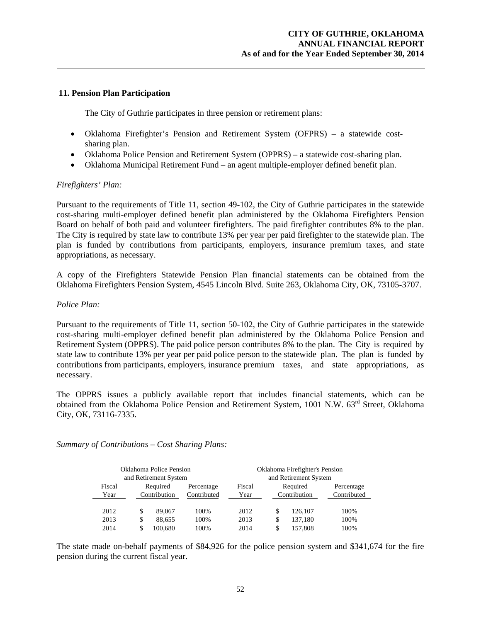#### **11. Pension Plan Participation**

The City of Guthrie participates in three pension or retirement plans:

- Oklahoma Firefighter's Pension and Retirement System (OFPRS) a statewide costsharing plan.
- Oklahoma Police Pension and Retirement System (OPPRS) a statewide cost-sharing plan.
- Oklahoma Municipal Retirement Fund an agent multiple-employer defined benefit plan.

#### *Firefighters' Plan:*

 $\overline{a}$ 

Pursuant to the requirements of Title 11, section 49-102, the City of Guthrie participates in the statewide cost-sharing multi-employer defined benefit plan administered by the Oklahoma Firefighters Pension Board on behalf of both paid and volunteer firefighters. The paid firefighter contributes 8% to the plan. The City is required by state law to contribute 13% per year per paid firefighter to the statewide plan. The plan is funded by contributions from participants, employers, insurance premium taxes, and state appropriations, as necessary.

 A copy of the Firefighters Statewide Pension Plan financial statements can be obtained from the Oklahoma Firefighters Pension System, 4545 Lincoln Blvd. Suite 263, Oklahoma City, OK, 73105-3707.

#### *Police Plan:*

Pursuant to the requirements of Title 11, section 50-102, the City of Guthrie participates in the statewide cost-sharing multi-employer defined benefit plan administered by the Oklahoma Police Pension and Retirement System (OPPRS). The paid police person contributes 8% to the plan. The City is required by state law to contribute 13% per year per paid police person to the statewide plan. The plan is funded by contributions from participants, employers, insurance premium taxes, and state appropriations, as necessary.

 The OPPRS issues a publicly available report that includes financial statements, which can be obtained from the Oklahoma Police Pension and Retirement System, 1001 N.W. 63<sup>rd</sup> Street, Oklahoma City, OK, 73116-7335.

*Summary of Contributions – Cost Sharing Plans:* 

| Oklahoma Police Pension |   |              | Oklahoma Firefighter's Pension |        |    |              |             |
|-------------------------|---|--------------|--------------------------------|--------|----|--------------|-------------|
| and Retirement System   |   |              | and Retirement System          |        |    |              |             |
| Fiscal                  |   | Required     | Percentage                     | Fiscal |    | Required     | Percentage  |
| Year                    |   | Contribution | Contributed                    | Year   |    | Contribution | Contributed |
|                         |   |              |                                |        |    |              |             |
| 2012                    | S | 89,067       | 100\%                          | 2012   | S  | 126,107      | 100%        |
| 2013                    | S | 88.655       | 100%                           | 2013   | \$ | 137,180      | 100%        |
| 2014                    |   | 100.680      | 100\%                          | 2014   | \$ | 157.808      | 100%        |

The state made on-behalf payments of \$84,926 for the police pension system and \$341,674 for the fire pension during the current fiscal year.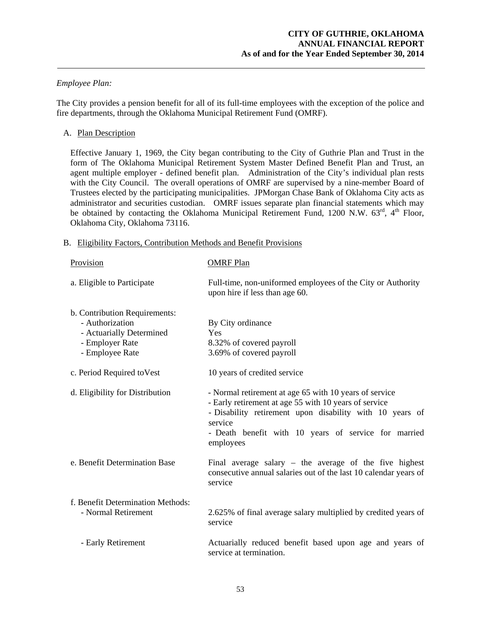#### *Employee Plan:*

 $\overline{a}$ 

The City provides a pension benefit for all of its full-time employees with the exception of the police and fire departments, through the Oklahoma Municipal Retirement Fund (OMRF).

#### A. Plan Description

Effective January 1, 1969, the City began contributing to the City of Guthrie Plan and Trust in the form of The Oklahoma Municipal Retirement System Master Defined Benefit Plan and Trust, an agent multiple employer - defined benefit plan. Administration of the City's individual plan rests with the City Council. The overall operations of OMRF are supervised by a nine-member Board of Trustees elected by the participating municipalities. JPMorgan Chase Bank of Oklahoma City acts as administrator and securities custodian. OMRF issues separate plan financial statements which may be obtained by contacting the Oklahoma Municipal Retirement Fund, 1200 N.W. 63<sup>rd</sup>, 4<sup>th</sup> Floor, Oklahoma City, Oklahoma 73116.

#### B. Eligibility Factors, Contribution Methods and Benefit Provisions

| Provision                                                                                                          | <b>OMRF Plan</b>                                                                                                                                                                                                                                            |
|--------------------------------------------------------------------------------------------------------------------|-------------------------------------------------------------------------------------------------------------------------------------------------------------------------------------------------------------------------------------------------------------|
| a. Eligible to Participate                                                                                         | Full-time, non-uniformed employees of the City or Authority<br>upon hire if less than age 60.                                                                                                                                                               |
| b. Contribution Requirements:<br>- Authorization<br>- Actuarially Determined<br>- Employer Rate<br>- Employee Rate | By City ordinance<br>Yes<br>8.32% of covered payroll<br>3.69% of covered payroll                                                                                                                                                                            |
| c. Period Required to Vest                                                                                         | 10 years of credited service                                                                                                                                                                                                                                |
| d. Eligibility for Distribution                                                                                    | - Normal retirement at age 65 with 10 years of service<br>- Early retirement at age 55 with 10 years of service<br>- Disability retirement upon disability with 10 years of<br>service<br>- Death benefit with 10 years of service for married<br>employees |
| e. Benefit Determination Base                                                                                      | Final average salary - the average of the five highest<br>consecutive annual salaries out of the last 10 calendar years of<br>service                                                                                                                       |
| f. Benefit Determination Methods:<br>- Normal Retirement                                                           | 2.625% of final average salary multiplied by credited years of<br>service                                                                                                                                                                                   |
| - Early Retirement                                                                                                 | Actuarially reduced benefit based upon age and years of<br>service at termination.                                                                                                                                                                          |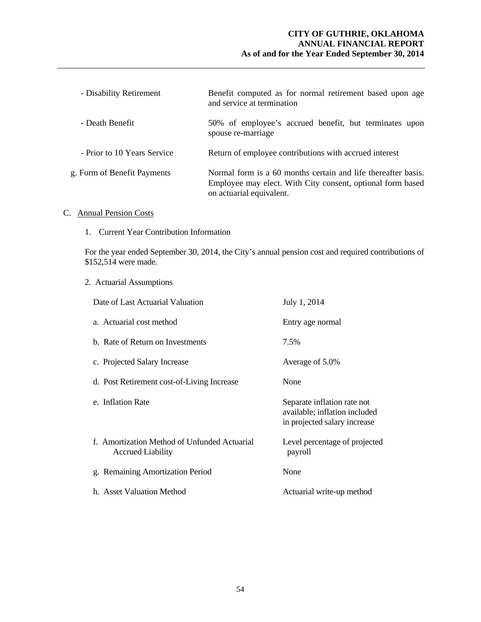| - Disability Retirement     | Benefit computed as for normal retirement based upon age<br>and service at termination                                                                  |
|-----------------------------|---------------------------------------------------------------------------------------------------------------------------------------------------------|
| - Death Benefit             | 50% of employee's accrued benefit, but terminates upon<br>spouse re-marriage                                                                            |
| - Prior to 10 Years Service | Return of employee contributions with accrued interest                                                                                                  |
| g. Form of Benefit Payments | Normal form is a 60 months certain and life thereafter basis.<br>Employee may elect. With City consent, optional form based<br>on actuarial equivalent. |

## C. Annual Pension Costs

 $\overline{a}$ 

1. Current Year Contribution Information

For the year ended September 30, 2014, the City's annual pension cost and required contributions of \$152,514 were made.

2. Actuarial Assumptions

| Date of Last Actuarial Valuation                                         | July 1, 2014                                                                                 |
|--------------------------------------------------------------------------|----------------------------------------------------------------------------------------------|
| a. Actuarial cost method                                                 | Entry age normal                                                                             |
| b. Rate of Return on Investments                                         | 7.5%                                                                                         |
| c. Projected Salary Increase                                             | Average of 5.0%                                                                              |
| d. Post Retirement cost-of-Living Increase                               | None                                                                                         |
| e. Inflation Rate                                                        | Separate inflation rate not<br>available; inflation included<br>in projected salary increase |
| f. Amortization Method of Unfunded Actuarial<br><b>Accrued Liability</b> | Level percentage of projected<br>payroll                                                     |
| g. Remaining Amortization Period                                         | None                                                                                         |
| h. Asset Valuation Method                                                | Actuarial write-up method                                                                    |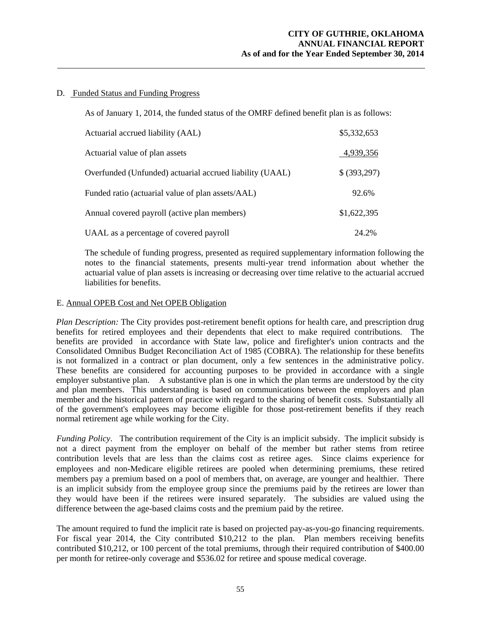#### D. Funded Status and Funding Progress

 $\overline{a}$ 

As of January 1, 2014, the funded status of the OMRF defined benefit plan is as follows:

| Actuarial accrued liability (AAL)                        | \$5,332,653  |
|----------------------------------------------------------|--------------|
| Actuarial value of plan assets                           | 4,939,356    |
| Overfunded (Unfunded) actuarial accrued liability (UAAL) | \$ (393,297) |
| Funded ratio (actuarial value of plan assets/AAL)        | 92.6%        |
| Annual covered payroll (active plan members)             | \$1,622,395  |
| UAAL as a percentage of covered payroll                  | 24.2%        |

The schedule of funding progress, presented as required supplementary information following the notes to the financial statements, presents multi-year trend information about whether the actuarial value of plan assets is increasing or decreasing over time relative to the actuarial accrued liabilities for benefits.

#### E. Annual OPEB Cost and Net OPEB Obligation

*Plan Description:* The City provides post-retirement benefit options for health care, and prescription drug benefits for retired employees and their dependents that elect to make required contributions. The benefits are provided in accordance with State law, police and firefighter's union contracts and the Consolidated Omnibus Budget Reconciliation Act of 1985 (COBRA). The relationship for these benefits is not formalized in a contract or plan document, only a few sentences in the administrative policy. These benefits are considered for accounting purposes to be provided in accordance with a single employer substantive plan. A substantive plan is one in which the plan terms are understood by the city and plan members. This understanding is based on communications between the employers and plan member and the historical pattern of practice with regard to the sharing of benefit costs. Substantially all of the government's employees may become eligible for those post-retirement benefits if they reach normal retirement age while working for the City.

*Funding Policy.* The contribution requirement of the City is an implicit subsidy. The implicit subsidy is not a direct payment from the employer on behalf of the member but rather stems from retiree contribution levels that are less than the claims cost as retiree ages. Since claims experience for employees and non-Medicare eligible retirees are pooled when determining premiums, these retired members pay a premium based on a pool of members that, on average, are younger and healthier. There is an implicit subsidy from the employee group since the premiums paid by the retirees are lower than they would have been if the retirees were insured separately. The subsidies are valued using the difference between the age-based claims costs and the premium paid by the retiree.

The amount required to fund the implicit rate is based on projected pay-as-you-go financing requirements. For fiscal year 2014, the City contributed \$10,212 to the plan. Plan members receiving benefits contributed \$10,212, or 100 percent of the total premiums, through their required contribution of \$400.00 per month for retiree-only coverage and \$536.02 for retiree and spouse medical coverage.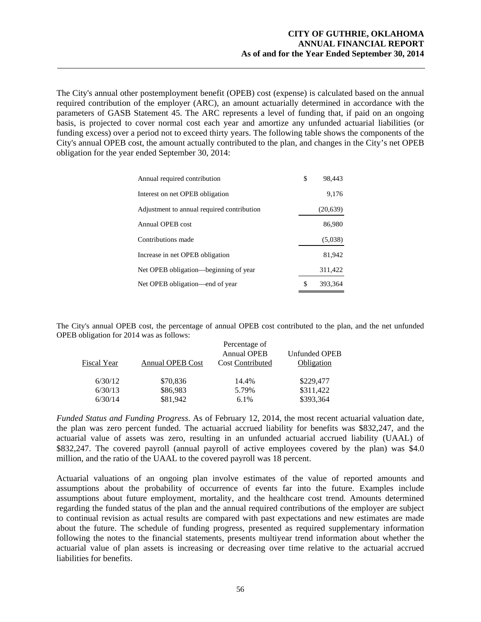The City's annual other postemployment benefit (OPEB) cost (expense) is calculated based on the annual required contribution of the employer (ARC), an amount actuarially determined in accordance with the parameters of GASB Statement 45. The ARC represents a level of funding that, if paid on an ongoing basis, is projected to cover normal cost each year and amortize any unfunded actuarial liabilities (or funding excess) over a period not to exceed thirty years. The following table shows the components of the City's annual OPEB cost, the amount actually contributed to the plan, and changes in the City's net OPEB obligation for the year ended September 30, 2014:

 $\overline{a}$ 

| Annual required contribution               | \$ | 98.443    |
|--------------------------------------------|----|-----------|
| Interest on net OPEB obligation            |    | 9,176     |
| Adjustment to annual required contribution |    | (20, 639) |
| Annual OPEB cost                           |    | 86,980    |
| Contributions made                         |    | (5,038)   |
| Increase in net OPEB obligation            |    | 81,942    |
| Net OPEB obligation—beginning of year      |    | 311,422   |
| Net OPEB obligation—end of year            | S  | 393.364   |

The City's annual OPEB cost, the percentage of annual OPEB cost contributed to the plan, and the net unfunded OPEB obligation for 2014 was as follows:

|             |                         | Percentage of           |               |
|-------------|-------------------------|-------------------------|---------------|
|             |                         | <b>Annual OPEB</b>      | Unfunded OPEB |
| Fiscal Year | <b>Annual OPEB Cost</b> | <b>Cost Contributed</b> | Obligation    |
| 6/30/12     | \$70,836                | 14.4%                   | \$229,477     |
| 6/30/13     | \$86,983                | 5.79%                   | \$311,422     |
| 6/30/14     | \$81,942                | $6.1\%$                 | \$393,364     |

*Funded Status and Funding Progress*. As of February 12, 2014, the most recent actuarial valuation date, the plan was zero percent funded. The actuarial accrued liability for benefits was \$832,247, and the actuarial value of assets was zero, resulting in an unfunded actuarial accrued liability (UAAL) of \$832,247. The covered payroll (annual payroll of active employees covered by the plan) was \$4.0 million, and the ratio of the UAAL to the covered payroll was 18 percent.

Actuarial valuations of an ongoing plan involve estimates of the value of reported amounts and assumptions about the probability of occurrence of events far into the future. Examples include assumptions about future employment, mortality, and the healthcare cost trend. Amounts determined regarding the funded status of the plan and the annual required contributions of the employer are subject to continual revision as actual results are compared with past expectations and new estimates are made about the future. The schedule of funding progress, presented as required supplementary information following the notes to the financial statements, presents multiyear trend information about whether the actuarial value of plan assets is increasing or decreasing over time relative to the actuarial accrued liabilities for benefits.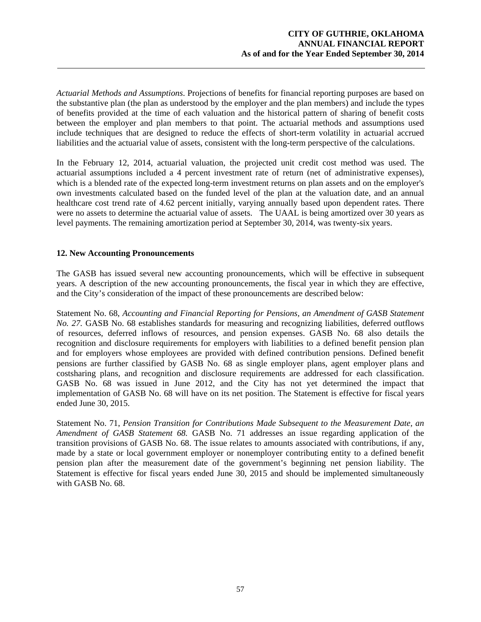*Actuarial Methods and Assumptions*. Projections of benefits for financial reporting purposes are based on the substantive plan (the plan as understood by the employer and the plan members) and include the types of benefits provided at the time of each valuation and the historical pattern of sharing of benefit costs between the employer and plan members to that point. The actuarial methods and assumptions used include techniques that are designed to reduce the effects of short-term volatility in actuarial accrued liabilities and the actuarial value of assets, consistent with the long-term perspective of the calculations.

In the February 12, 2014, actuarial valuation, the projected unit credit cost method was used. The actuarial assumptions included a 4 percent investment rate of return (net of administrative expenses), which is a blended rate of the expected long-term investment returns on plan assets and on the employer's own investments calculated based on the funded level of the plan at the valuation date, and an annual healthcare cost trend rate of 4.62 percent initially, varying annually based upon dependent rates. There were no assets to determine the actuarial value of assets. The UAAL is being amortized over 30 years as level payments. The remaining amortization period at September 30, 2014, was twenty-six years.

## **12. New Accounting Pronouncements**

 $\overline{a}$ 

The GASB has issued several new accounting pronouncements, which will be effective in subsequent years. A description of the new accounting pronouncements, the fiscal year in which they are effective, and the City's consideration of the impact of these pronouncements are described below:

Statement No. 68, *Accounting and Financial Reporting for Pensions, an Amendment of GASB Statement No. 27.* GASB No. 68 establishes standards for measuring and recognizing liabilities, deferred outflows of resources, deferred inflows of resources, and pension expenses. GASB No. 68 also details the recognition and disclosure requirements for employers with liabilities to a defined benefit pension plan and for employers whose employees are provided with defined contribution pensions. Defined benefit pensions are further classified by GASB No. 68 as single employer plans, agent employer plans and costsharing plans, and recognition and disclosure requirements are addressed for each classification. GASB No. 68 was issued in June 2012, and the City has not yet determined the impact that implementation of GASB No. 68 will have on its net position. The Statement is effective for fiscal years ended June 30, 2015.

Statement No. 71, *Pension Transition for Contributions Made Subsequent to the Measurement Date, an Amendment of GASB Statement 68.* GASB No. 71 addresses an issue regarding application of the transition provisions of GASB No. 68. The issue relates to amounts associated with contributions, if any, made by a state or local government employer or nonemployer contributing entity to a defined benefit pension plan after the measurement date of the government's beginning net pension liability. The Statement is effective for fiscal years ended June 30, 2015 and should be implemented simultaneously with GASB No. 68.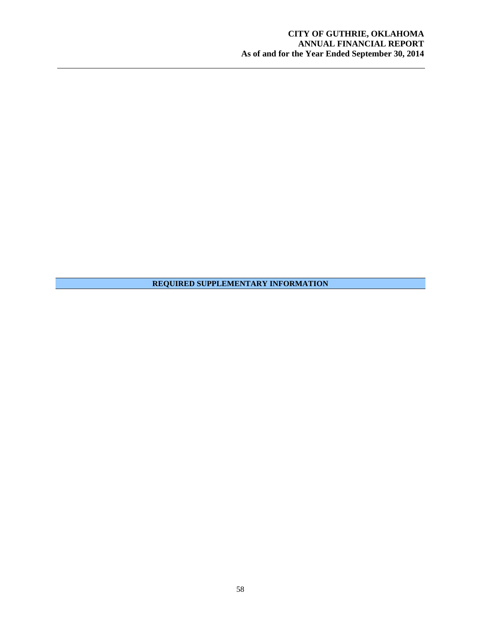**REQUIRED SUPPLEMENTARY INFORMATION**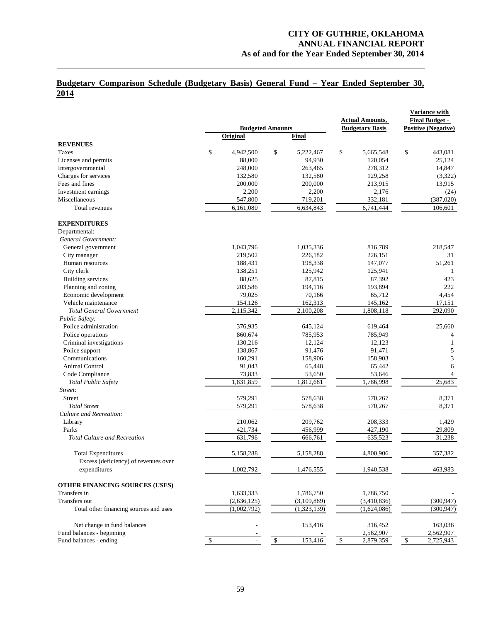## **Budgetary Comparison Schedule (Budgetary Basis) General Fund – Year Ended September 30, 2014**

|                                              | <b>Budgeted Amounts</b> |                 | <b>Actual Amounts,</b><br><b>Budgetary Basis</b> | Variance with<br><b>Final Budget -</b><br><b>Positive (Negative)</b> |  |
|----------------------------------------------|-------------------------|-----------------|--------------------------------------------------|----------------------------------------------------------------------|--|
|                                              | Original                | Final           |                                                  |                                                                      |  |
| <b>REVENUES</b>                              |                         |                 |                                                  |                                                                      |  |
| Taxes                                        | \$<br>4,942,500         | \$<br>5,222,467 | \$<br>5,665,548                                  | \$<br>443.081                                                        |  |
| Licenses and permits                         | 88,000                  | 94,930          | 120,054                                          | 25.124                                                               |  |
| Intergovernmental                            | 248,000                 | 263,465         | 278,312                                          | 14,847                                                               |  |
| Charges for services                         | 132,580                 | 132,580         | 129,258                                          | (3,322)                                                              |  |
| Fees and fines                               | 200,000                 | 200,000         | 213,915                                          | 13,915                                                               |  |
| Investment earnings                          | 2,200                   | 2,200           | 2,176                                            | (24)                                                                 |  |
| Miscellaneous                                | 547,800                 | 719,201         | 332,181                                          | (387,020)                                                            |  |
| Total revenues                               | 6,161,080               | 6,634,843       | 6,741,444                                        | $\overline{106,601}$                                                 |  |
| <b>EXPENDITURES</b>                          |                         |                 |                                                  |                                                                      |  |
| Departmental:                                |                         |                 |                                                  |                                                                      |  |
| General Government:                          |                         |                 |                                                  |                                                                      |  |
| General government                           | 1,043,796               | 1,035,336       | 816,789                                          | 218,547                                                              |  |
| City manager                                 | 219,502                 | 226,182         | 226,151                                          | 31                                                                   |  |
| Human resources                              | 188,431                 | 198,338         | 147,077                                          | 51,261                                                               |  |
| City clerk                                   | 138,251                 | 125,942         | 125,941                                          | -1                                                                   |  |
| <b>Building services</b>                     | 88,625                  | 87,815          | 87,392                                           | 423                                                                  |  |
| Planning and zoning                          | 203,586                 | 194,116         | 193,894                                          | 222                                                                  |  |
| Economic development                         | 79,025                  | 70,166          | 65,712                                           | 4,454                                                                |  |
| Vehicle maintenance                          | 154,126                 | 162,313         | 145,162                                          | 17,151                                                               |  |
| <b>Total General Government</b>              | $\overline{2,}115,342$  | 2,100,208       | 1,808,118                                        | 292,090                                                              |  |
| Public Safety:                               |                         | 645.124         |                                                  |                                                                      |  |
| Police administration                        | 376,935<br>860,674      | 785,953         | 619,464<br>785,949                               | 25,660<br>$\overline{4}$                                             |  |
| Police operations<br>Criminal investigations | 130,216                 | 12,124          | 12,123                                           | $\mathbf{1}$                                                         |  |
| Police support                               | 138,867                 | 91,476          | 91,471                                           | 5                                                                    |  |
| Communications                               | 160,291                 | 158,906         | 158,903                                          | $\mathfrak z$                                                        |  |
| Animal Control                               | 91,043                  | 65,448          | 65,442                                           | 6                                                                    |  |
| Code Compliance                              | 73,833                  | 53,650          | 53,646                                           | $\overline{4}$                                                       |  |
| <b>Total Public Safety</b>                   | 1,831,859               | 1,812,681       | 1,786,998                                        | 25,683                                                               |  |
| Street:                                      |                         |                 |                                                  |                                                                      |  |
| <b>Street</b>                                | 579,291                 | 578,638         | 570,267                                          | 8,371                                                                |  |
| <b>Total Street</b>                          | 579,291                 | 578,638         | 570,267                                          | 8,371                                                                |  |
| Culture and Recreation:                      |                         |                 |                                                  |                                                                      |  |
| Library                                      | 210,062                 | 209,762         | 208,333                                          | 1,429                                                                |  |
| Parks                                        | 421,734                 | 456,999         | 427,190                                          | 29,809                                                               |  |
| <b>Total Culture and Recreation</b>          | 631,796                 | 666,761         | 635,523                                          | 31,238                                                               |  |
| <b>Total Expenditures</b>                    | 5,158,288               | 5,158,288       | 4,800,906                                        | 357,382                                                              |  |
| Excess (deficiency) of revenues over         |                         |                 |                                                  |                                                                      |  |
| expenditures                                 | 1,002,792               | 1,476,555       | 1,940,538                                        | 463,983                                                              |  |
| <b>OTHER FINANCING SOURCES (USES)</b>        |                         |                 |                                                  |                                                                      |  |
| Transfers in                                 | 1,633,333               | 1,786,750       | 1,786,750                                        |                                                                      |  |
| Transfers out                                | (2,636,125)             | (3,109,889)     | (3,410,836)                                      | (300, 947)                                                           |  |
| Total other financing sources and uses       | (1,002,792)             | (1,323,139)     | (1,624,086)                                      | (300, 947)                                                           |  |
| Net change in fund balances                  |                         | 153,416         | 316,452                                          | 163,036                                                              |  |
| Fund balances - beginning                    |                         |                 | 2,562,907                                        | 2,562,907                                                            |  |
| Fund balances - ending                       | \$                      | 153,416<br>\$   | $\mathcal{S}$<br>2,879,359                       | 2,725,943<br>\$                                                      |  |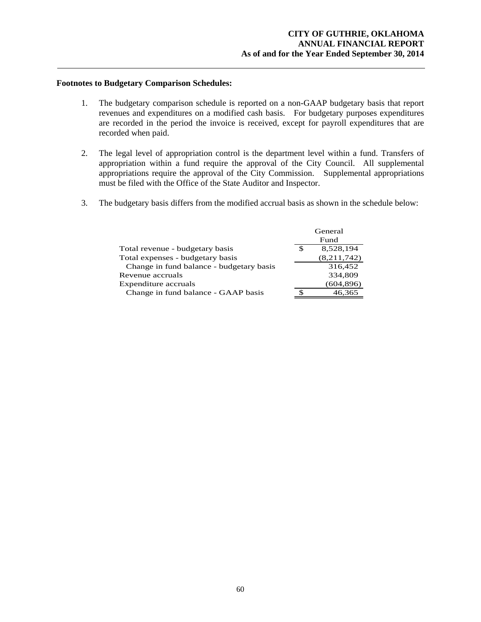#### **Footnotes to Budgetary Comparison Schedules:**

- 1. The budgetary comparison schedule is reported on a non-GAAP budgetary basis that report revenues and expenditures on a modified cash basis. For budgetary purposes expenditures are recorded in the period the invoice is received, except for payroll expenditures that are recorded when paid.
- 2. The legal level of appropriation control is the department level within a fund. Transfers of appropriation within a fund require the approval of the City Council. All supplemental appropriations require the approval of the City Commission. Supplemental appropriations must be filed with the Office of the State Auditor and Inspector.
- 3. The budgetary basis differs from the modified accrual basis as shown in the schedule below:

|                                          |   | General     |
|------------------------------------------|---|-------------|
|                                          |   | Fund        |
| Total revenue - budgetary basis          | S | 8,528,194   |
| Total expenses - budgetary basis         |   | (8,211,742) |
| Change in fund balance - budgetary basis |   | 316,452     |
| Revenue accruals                         |   | 334,809     |
| Expenditure accruals                     |   | (604, 896)  |
| Change in fund balance - GAAP basis      |   | 46,365      |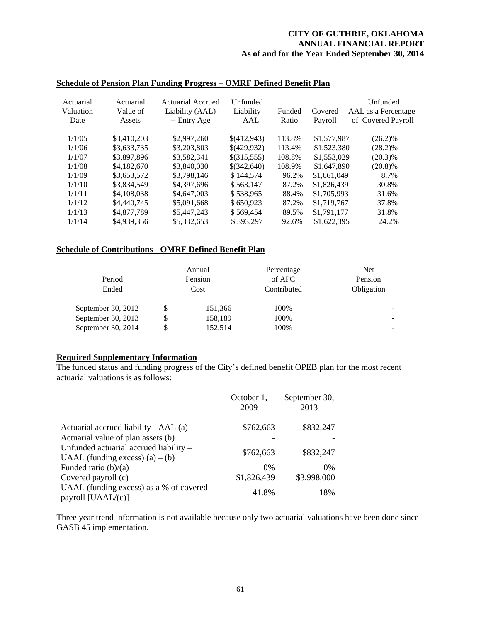|  | <b>Schedule of Pension Plan Funding Progress – OMRF Defined Benefit Plan</b> |
|--|------------------------------------------------------------------------------|
|  |                                                                              |

| Actuarial<br>Valuation<br>Date | Actuarial<br>Value of<br>Assets | Actuarial Accrued<br>Liability (AAL)<br>-- Entry Age | Unfunded<br>Liability<br>AAL | Funded<br>Ratio | Covered<br>Payroll | Unfunded<br>AAL as a Percentage<br>of Covered Payroll |
|--------------------------------|---------------------------------|------------------------------------------------------|------------------------------|-----------------|--------------------|-------------------------------------------------------|
| 1/1/05                         | \$3,410,203                     | \$2,997,260                                          | \$(412,943)                  | 113.8%          | \$1,577,987        | $(26.2)\%$                                            |
| 1/1/06                         | \$3,633,735                     | \$3,203,803                                          | \$(429,932)                  | 113.4%          | \$1,523,380        | $(28.2)\%$                                            |
| 1/1/07                         | \$3,897,896                     | \$3,582,341                                          | \$(315,555)                  | 108.8%          | \$1,553,029        | $(20.3)\%$                                            |
| 1/1/08                         | \$4,182,670                     | \$3,840,030                                          | \$(342,640)                  | 108.9%          | \$1,647,890        | $(20.8)\%$                                            |
| 1/1/09                         | \$3,653,572                     | \$3,798,146                                          | \$144,574                    | 96.2%           | \$1,661,049        | 8.7%                                                  |
| 1/1/10                         | \$3,834,549                     | \$4,397,696                                          | \$563,147                    | 87.2%           | \$1,826,439        | 30.8%                                                 |
| 1/1/11                         | \$4,108,038                     | \$4,647,003                                          | \$538,965                    | 88.4%           | \$1,705,993        | 31.6%                                                 |
| 1/1/12                         | \$4,440,745                     | \$5,091,668                                          | \$650,923                    | 87.2%           | \$1,719,767        | 37.8%                                                 |
| 1/1/13                         | \$4,877,789                     | \$5,447,243                                          | \$569.454                    | 89.5%           | \$1,791,177        | 31.8%                                                 |
| 1/1/14                         | \$4,939,356                     | \$5,332,653                                          | \$393,297                    | 92.6%           | \$1,622,395        | 24.2%                                                 |

#### **Schedule of Contributions - OMRF Defined Benefit Plan**

| Annual<br>Period<br>Ended<br>Cost |  | Pension | Percentage<br>of APC<br>Contributed | Net<br>Pension<br>Obligation |
|-----------------------------------|--|---------|-------------------------------------|------------------------------|
| September 30, $2012$              |  | 151,366 | 100%                                |                              |
| September 30, 2013                |  | 158,189 | 100%                                | -                            |
| September 30, 2014                |  | 152,514 | 100%                                |                              |

#### **Required Supplementary Information**

 $\overline{a}$ 

The funded status and funding progress of the City's defined benefit OPEB plan for the most recent actuarial valuations is as follows:

|                                                                             | October 1,<br>2009 | September 30,<br>2013 |
|-----------------------------------------------------------------------------|--------------------|-----------------------|
| Actuarial accrued liability - AAL (a)                                       | \$762,663          | \$832,247             |
| Actuarial value of plan assets (b)                                          |                    |                       |
| Unfunded actuarial accrued liability -<br>UAAL (funding excess) $(a) - (b)$ | \$762,663          | \$832,247             |
| Funded ratio $(b)/(a)$                                                      | 0%                 | 0%                    |
| Covered payroll (c)                                                         | \$1,826,439        | \$3,998,000           |
| UAAL (funding excess) as a % of covered<br>payroll [UAAL/(c)]               | 41.8%              | 18%                   |

Three year trend information is not available because only two actuarial valuations have been done since GASB 45 implementation.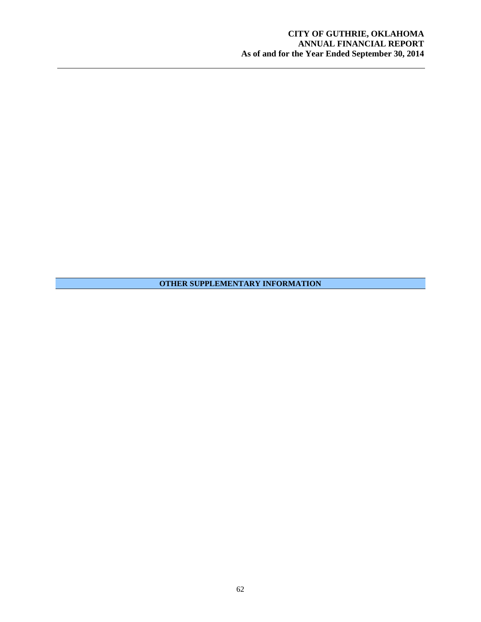**OTHER SUPPLEMENTARY INFORMATION**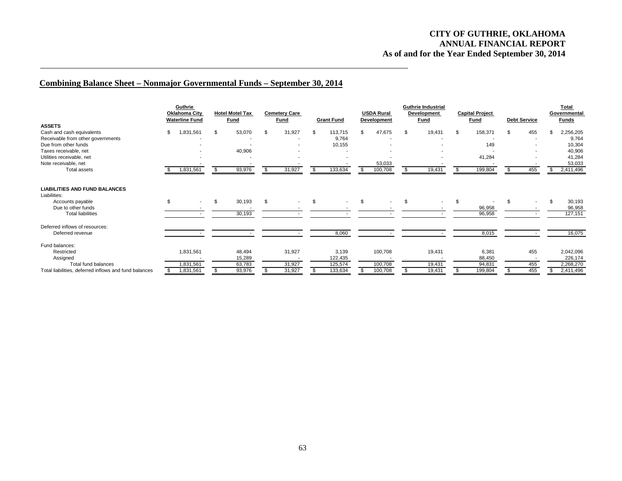## **Combining Balance Sheet – Nonmajor Governmental Funds – September 30, 2014**

| <b>ASSETS</b>                                                                | Guthrie<br><b>Oklahoma City</b><br><b>Waterline Fund</b> |     | <b>Hotel Motel Tax</b><br>Fund |     | <b>Cemetery Care</b><br>Fund |               | <b>Grant Fund</b>  | <b>USDA Rural</b><br>Development | <b>Guthrie Industrial</b><br>Development<br>Fund |     | <b>Capital Project</b><br><b>Fund</b> |     | <b>Debt Service</b> |    | Total<br>Governmental<br><b>Funds</b> |
|------------------------------------------------------------------------------|----------------------------------------------------------|-----|--------------------------------|-----|------------------------------|---------------|--------------------|----------------------------------|--------------------------------------------------|-----|---------------------------------------|-----|---------------------|----|---------------------------------------|
| Cash and cash equivalents                                                    | 1,831,561                                                | \$  | 53,070                         | \$. | 31,927                       |               | 113,715            | 47,675                           | \$<br>19,431                                     | \$  | 158,371                               | \$. | 455                 | £. | 2,256,205                             |
| Receivable from other governments<br>Due from other funds                    |                                                          |     |                                |     |                              |               | 9,764<br>10,155    |                                  |                                                  |     | 149                                   |     |                     |    | 9,764<br>10,304                       |
| Taxes receivable, net                                                        |                                                          |     | 40,906                         |     |                              |               |                    |                                  |                                                  |     |                                       |     |                     |    | 40,906                                |
| Utilities receivable, net                                                    |                                                          |     |                                |     |                              |               |                    |                                  |                                                  |     | 41,284                                |     |                     |    | 41,284                                |
| Note receivable, net                                                         |                                                          |     |                                |     |                              |               |                    | 53,033                           |                                                  |     |                                       |     |                     |    | 53,033                                |
| Total assets                                                                 | 1,831,561                                                | . ፍ | 93,976                         |     | 31,927                       |               | 133,634            | 100,708                          | 19,431                                           |     | 199,804                               |     | 455                 |    | 2,411,496                             |
| <b>LIABILITIES AND FUND BALANCES</b><br>Liabilities:                         |                                                          |     |                                |     |                              |               |                    |                                  |                                                  |     |                                       |     |                     |    |                                       |
| Accounts payable                                                             | \$                                                       | \$. | 30,193                         | \$. |                              | <sup>\$</sup> |                    | \$                               | \$                                               | \$. |                                       |     |                     |    | 30,193                                |
| Due to other funds                                                           |                                                          |     |                                |     |                              |               |                    |                                  |                                                  |     | 96,958                                |     |                     |    | 96,958                                |
| <b>Total liabilities</b>                                                     |                                                          |     | 30,193                         |     |                              |               |                    |                                  |                                                  |     | 96,958                                |     |                     |    | 127,151                               |
| Deferred inflows of resources:                                               |                                                          |     |                                |     |                              |               |                    |                                  |                                                  |     |                                       |     |                     |    |                                       |
| Deferred revenue                                                             |                                                          |     |                                |     |                              |               | 8,060              |                                  |                                                  |     | 8,015                                 |     |                     |    | 16,075                                |
| Fund balances:                                                               |                                                          |     |                                |     |                              |               |                    |                                  |                                                  |     |                                       |     |                     |    |                                       |
| Restricted                                                                   | 1,831,561                                                |     | 48,494                         |     | 31,927                       |               | 3,139              | 100,708                          | 19,431                                           |     | 6,381                                 |     | 455                 |    | 2,042,096                             |
| Assigned                                                                     |                                                          |     | 15,289                         |     |                              |               | 122,435            |                                  |                                                  |     | 88,450                                |     |                     |    | 226,174                               |
| Total fund balances<br>Total liabilities, deferred inflows and fund balances | 1,831,561<br>1,831,561                                   |     | 63,783<br>93,976               |     | 31,927<br>31,927             |               | 125,574<br>133,634 | 100,708<br>100,708               | 19,431<br>19,431                                 |     | 94,831<br>199,804                     |     | 455<br>455          |    | 2,268,270<br>2,411,496                |
|                                                                              |                                                          |     |                                |     |                              |               |                    |                                  |                                                  |     |                                       |     |                     |    |                                       |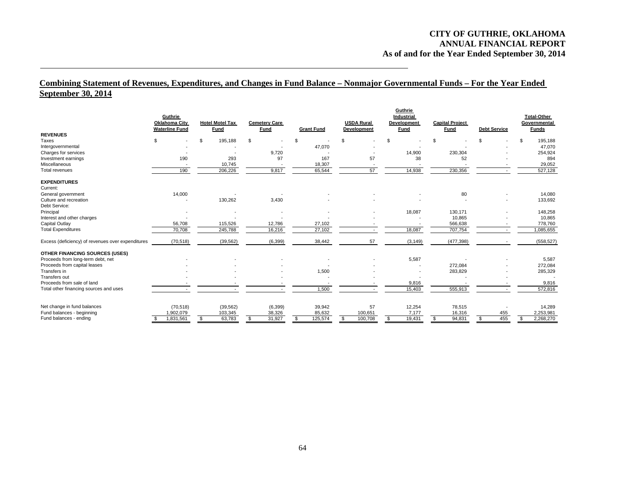## **Combining Statement of Revenues, Expenditures, and Changes in Fund Balance – Nonmajor Governmental Funds – For the Year Ended September 30, 2014**

|                                                   |                       |                        |                          |                                |                          | Guthrie     |                        |                                |                    |
|---------------------------------------------------|-----------------------|------------------------|--------------------------|--------------------------------|--------------------------|-------------|------------------------|--------------------------------|--------------------|
|                                                   | Guthrie               |                        |                          |                                |                          | Industrial  |                        |                                | <b>Total-Other</b> |
|                                                   | Oklahoma City         | <b>Hotel Motel Tax</b> | <b>Cemetery Care</b>     | <b>Grant Fund</b>              | <b>USDA Rural</b>        | Development | <b>Capital Project</b> | <b>Debt Service</b>            | Governmental       |
| <b>REVENUES</b>                                   | <b>Waterline Fund</b> | <b>Fund</b>            | Fund                     |                                | Development              | Fund        | <b>Fund</b>            |                                | <b>Funds</b>       |
| Taxes                                             | \$                    | \$<br>195,188          | \$                       | \$<br>$\overline{\phantom{a}}$ | \$                       | \$          | \$                     | \$<br>$\overline{\phantom{a}}$ | \$<br>195,188      |
| Intergovernmental                                 |                       |                        |                          | 47,070                         |                          |             |                        |                                | 47,070             |
| Charges for services                              |                       |                        | 9,720                    |                                |                          | 14,900      | 230,304                |                                | 254,924            |
| Investment earnings                               | 190                   | 293                    | 97                       | 167                            | 57                       | 38          | 52                     |                                | 894                |
| Miscellaneous                                     |                       | 10,745                 |                          | 18,307                         |                          |             |                        |                                | 29,052             |
| Total revenues                                    | 190                   | 206,226                | 9,817                    | 65,544                         | 57                       | 14,938      | 230,356                |                                | 527,128            |
| <b>EXPENDITURES</b>                               |                       |                        |                          |                                |                          |             |                        |                                |                    |
| Current:                                          |                       |                        |                          |                                |                          |             |                        |                                |                    |
| General government                                | 14,000                |                        |                          |                                |                          |             | 80                     |                                | 14,080             |
| Culture and recreation                            |                       | 130,262                | 3,430                    |                                |                          |             |                        |                                | 133,692            |
| Debt Service:                                     |                       |                        |                          |                                |                          |             |                        |                                |                    |
| Principal                                         |                       |                        | $\overline{\phantom{a}}$ |                                |                          | 18,087      | 130,171                |                                | 148,258            |
| Interest and other charges                        |                       |                        |                          |                                |                          |             | 10,865                 |                                | 10,865             |
| Capital Outlay                                    | 56,708                | 115,526                | 12,786                   | 27,102                         |                          |             | 566,638                |                                | 778,760            |
| <b>Total Expenditures</b>                         | 70,708                | 245,788                | 16,216                   | 27,102                         | $\overline{\phantom{a}}$ | 18,087      | 707,754                |                                | 1,085,655          |
| Excess (deficiency) of revenues over expenditures | (70, 518)             | (39, 562)              | (6, 399)                 | 38,442                         | 57                       | (3, 149)    | (477, 398)             |                                | (558, 527)         |
| OTHER FINANCING SOURCES (USES)                    |                       |                        |                          |                                |                          |             |                        |                                |                    |
| Proceeds from long-term debt, net                 |                       |                        |                          |                                |                          | 5,587       |                        |                                | 5,587              |
| Proceeds from capital leases                      |                       |                        |                          |                                |                          |             | 272,084                |                                | 272,084            |
| Transfers in                                      |                       |                        |                          | 1,500                          |                          |             | 283,829                |                                | 285,329            |
| Transfers out                                     |                       |                        |                          |                                |                          |             |                        |                                |                    |
| Proceeds from sale of land                        |                       |                        |                          |                                |                          | 9,816       |                        |                                | 9,816              |
| Total other financing sources and uses            |                       |                        |                          | 1,500                          |                          | 15,403      | 555,913                |                                | 572,816            |
|                                                   |                       |                        |                          |                                |                          |             |                        |                                |                    |
| Net change in fund balances                       | (70, 518)             | (39, 562)              | (6, 399)                 | 39,942                         | 57                       | 12,254      | 78,515                 |                                | 14,289             |
| Fund balances - beginning                         | ,902,079              | 103,345                | 38,326                   | 85,632                         | 100,651                  | 7,177       | 16,316                 | 455                            | 2,253,981          |
| Fund balances - ending                            | 1,831,561             | 63,783<br>\$           | 31,927                   | 125,574<br>\$                  | 100,708                  | 19,431      | 94,831<br>\$           | 455<br>\$                      | 2,268,270<br>S.    |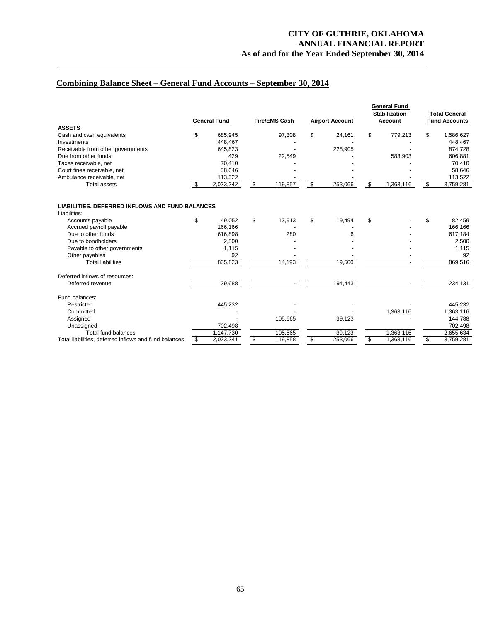## **Combining Balance Sheet – General Fund Accounts – September 30, 2014**

|                                                                 |    |                     |                      |         |                        | <b>General Fund</b><br><b>Stabilization</b> | <b>Total General</b> |                      |  |
|-----------------------------------------------------------------|----|---------------------|----------------------|---------|------------------------|---------------------------------------------|----------------------|----------------------|--|
|                                                                 |    | <b>General Fund</b> | <b>Fire/EMS Cash</b> |         | <b>Airport Account</b> | <b>Account</b>                              |                      | <b>Fund Accounts</b> |  |
| <b>ASSETS</b>                                                   |    |                     |                      |         |                        |                                             |                      |                      |  |
| Cash and cash equivalents                                       | \$ | 685,945             |                      | 97,308  | \$<br>24,161           | \$<br>779,213                               | \$                   | 1,586,627            |  |
| Investments                                                     |    | 448.467             |                      |         |                        |                                             |                      | 448.467              |  |
| Receivable from other governments                               |    | 645,823             |                      |         | 228,905                |                                             |                      | 874,728              |  |
| Due from other funds                                            |    | 429                 |                      | 22,549  |                        | 583,903                                     |                      | 606,881              |  |
| Taxes receivable, net                                           |    | 70,410              |                      |         |                        |                                             |                      | 70,410               |  |
| Court fines receivable, net                                     |    | 58,646              |                      |         |                        |                                             |                      | 58,646               |  |
| Ambulance receivable, net                                       |    | 113,522             |                      |         |                        |                                             |                      | 113,522              |  |
| <b>Total assets</b>                                             | S  | 2,023,242           | \$                   | 119,857 | \$<br>253,066          | \$<br>1,363,116                             | \$                   | 3,759,281            |  |
| LIABILITIES, DEFERRED INFLOWS AND FUND BALANCES<br>Liabilities: |    |                     |                      |         |                        |                                             |                      |                      |  |
| Accounts payable                                                | \$ | 49,052              | \$                   | 13,913  | \$<br>19,494           | \$                                          | \$                   | 82,459               |  |
| Accrued payroll payable                                         |    | 166,166             |                      |         |                        |                                             |                      | 166,166              |  |
| Due to other funds                                              |    | 616,898             |                      | 280     | 6                      |                                             |                      | 617,184              |  |
| Due to bondholders                                              |    | 2,500               |                      |         |                        |                                             |                      | 2,500                |  |
| Payable to other governments                                    |    | 1,115               |                      |         |                        |                                             |                      | 1,115                |  |
| Other payables                                                  |    | 92                  |                      |         |                        |                                             |                      | 92                   |  |
| <b>Total liabilities</b>                                        |    | 835,823             |                      | 14,193  | 19,500                 |                                             |                      | 869,516              |  |
|                                                                 |    |                     |                      |         |                        |                                             |                      |                      |  |
| Deferred inflows of resources:                                  |    |                     |                      |         |                        |                                             |                      |                      |  |
| Deferred revenue                                                |    | 39.688              |                      |         | 194,443                |                                             |                      | 234,131              |  |
| Fund balances:                                                  |    |                     |                      |         |                        |                                             |                      |                      |  |
| Restricted                                                      |    | 445,232             |                      |         |                        |                                             |                      | 445,232              |  |
| Committed                                                       |    |                     |                      |         |                        | 1,363,116                                   |                      | 1,363,116            |  |
| Assigned                                                        |    |                     |                      | 105,665 | 39,123                 |                                             |                      | 144,788              |  |
| Unassigned                                                      |    | 702,498             |                      |         |                        |                                             |                      | 702,498              |  |
| Total fund balances                                             |    | 1,147,730           |                      | 105,665 | 39,123                 | 1,363,116                                   |                      | 2,655,634            |  |
| Total liabilities, deferred inflows and fund balances           | \$ | 2,023,241           | \$                   | 119,858 | \$<br>253,066          | \$<br>1,363,116                             | \$                   | 3,759,281            |  |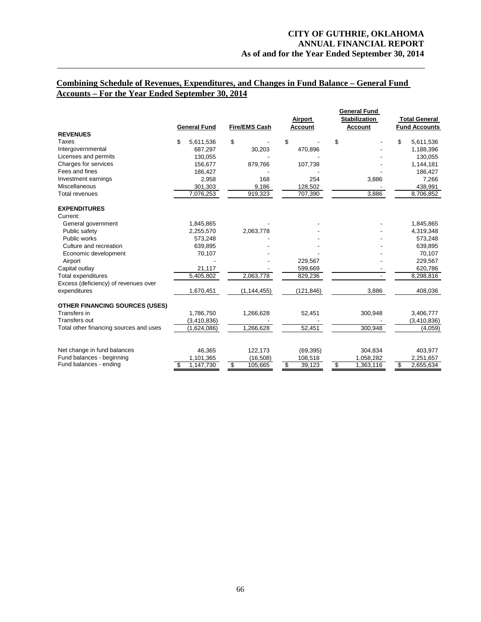## **Combining Schedule of Revenues, Expenditures, and Changes in Fund Balance – General Fund Accounts – For the Year Ended September 30, 2014**

|                                        |                     |               |                           | <b>General Fund</b>                    |                                              |
|----------------------------------------|---------------------|---------------|---------------------------|----------------------------------------|----------------------------------------------|
|                                        | <b>General Fund</b> | Fire/EMS Cash | Airport<br><b>Account</b> | <b>Stabilization</b><br><b>Account</b> | <b>Total General</b><br><b>Fund Accounts</b> |
| <b>REVENUES</b>                        |                     |               |                           |                                        |                                              |
| <b>Taxes</b>                           | \$<br>5,611,536     | \$            | \$                        | \$                                     | \$<br>5,611,536                              |
| Intergovernmental                      | 687,297             | 30,203        | 470,896                   |                                        | 1,188,396                                    |
| Licenses and permits                   | 130,055             |               |                           |                                        | 130,055                                      |
| Charges for services                   | 156,677             | 879,766       | 107,738                   |                                        | 1,144,181                                    |
| Fees and fines                         | 186,427             |               |                           |                                        | 186,427                                      |
| Investment earnings                    | 2,958               | 168           | 254                       | 3,886                                  | 7,266                                        |
| <b>Miscellaneous</b>                   | 301,303             | 9,186         | 128,502                   |                                        | 438,991                                      |
| <b>Total revenues</b>                  | 7,076,253           | 919,323       | 707,390                   | 3,886                                  | 8,706,852                                    |
| <b>EXPENDITURES</b>                    |                     |               |                           |                                        |                                              |
| Current:                               |                     |               |                           |                                        |                                              |
| General government                     | 1,845,865           |               |                           |                                        | 1,845,865                                    |
| Public safety                          | 2,255,570           | 2,063,778     |                           |                                        | 4,319,348                                    |
| Public works                           | 573,248             |               |                           |                                        | 573,248                                      |
| Culture and recreation                 | 639,895             |               |                           |                                        | 639,895                                      |
| Economic development                   | 70,107              |               |                           |                                        | 70,107                                       |
| Airport                                |                     |               | 229,567                   |                                        | 229,567                                      |
| Capital outlay                         | 21,117              |               | 599,669                   |                                        | 620,786                                      |
| <b>Total expenditures</b>              | 5,405,802           | 2,063,778     | 829,236                   |                                        | 8,298,816                                    |
| Excess (deficiency) of revenues over   |                     |               |                           |                                        |                                              |
| expenditures                           | 1,670,451           | (1, 144, 455) | (121, 846)                | 3,886                                  | 408,036                                      |
| <b>OTHER FINANCING SOURCES (USES)</b>  |                     |               |                           |                                        |                                              |
| Transfers in                           | 1,786,750           | 1,266,628     | 52,451                    | 300,948                                | 3,406,777                                    |
| <b>Transfers out</b>                   | (3,410,836)         |               |                           |                                        | (3,410,836)                                  |
| Total other financing sources and uses | (1,624,086)         | 1,266,628     | 52,451                    | 300.948                                | (4,059)                                      |
| Net change in fund balances            | 46,365              | 122,173       | (69, 395)                 | 304,834                                | 403,977                                      |
| Fund balances - beginning              | 1,101,365           | (16, 508)     | 108,518                   | 1,058,282                              | 2,251,657                                    |
| Fund balances - ending                 | 1,147,730<br>\$     | 105,665<br>\$ | 39,123<br>\$              | 1,363,116                              | \$<br>2,655,634                              |
|                                        |                     |               |                           | \$                                     |                                              |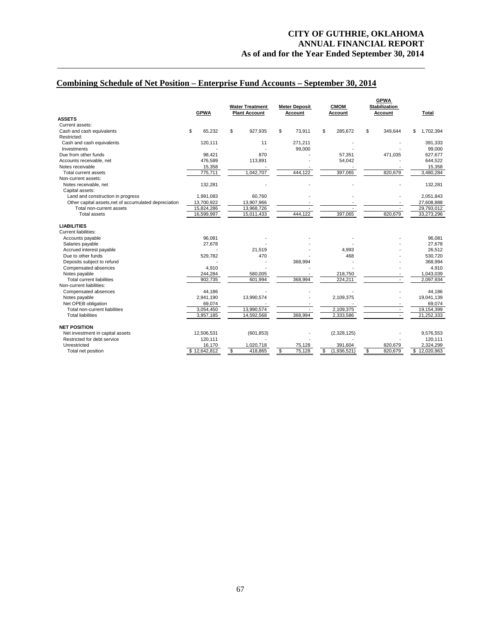## **Combining Schedule of Net Position – Enterprise Fund Accounts – September 30, 2014**

|                                                       |              |                        |    |                          | <b>GPWA</b> |             |    |                          |    |              |
|-------------------------------------------------------|--------------|------------------------|----|--------------------------|-------------|-------------|----|--------------------------|----|--------------|
|                                                       |              | <b>Water Treatment</b> |    | <b>Meter Deposit</b>     |             | <b>CMOM</b> |    | Stabilization            |    |              |
|                                                       | <b>GPWA</b>  | <b>Plant Account</b>   |    | <b>Account</b>           |             | Account     |    | Account                  |    | Total        |
| <b>ASSETS</b>                                         |              |                        |    |                          |             |             |    |                          |    |              |
| Current assets:                                       |              |                        |    |                          |             |             |    |                          |    |              |
| Cash and cash equivalents                             | \$<br>65.232 | \$<br>927,935          | \$ | 73,911                   | \$          | 285,672     | \$ | 349,644                  | \$ | 1,702,394    |
| Restricted:                                           |              |                        |    |                          |             |             |    |                          |    |              |
| Cash and cash equivalents                             | 120,111      | 11                     |    | 271,211                  |             |             |    |                          |    | 391,333      |
| Investments                                           |              |                        |    | 99,000                   |             |             |    |                          |    | 99,000       |
| Due from other funds                                  | 98.421       | 870                    |    |                          |             | 57,351      |    | 471.035                  |    | 627.677      |
| Accounts receivable, net                              | 476,589      | 113,891                |    |                          |             | 54,042      |    |                          |    | 644,522      |
| Notes receivable                                      | 15,358       |                        |    |                          |             |             |    |                          |    | 15,358       |
| Total current assets                                  | 775,711      | 1,042,707              |    | 444,122                  |             | 397,065     |    | 820.679                  |    | 3,480,284    |
| Non-current assets:                                   |              |                        |    |                          |             |             |    |                          |    |              |
| Notes receivable, net                                 | 132,281      |                        |    |                          |             |             |    |                          |    | 132,281      |
| Capital assets:                                       |              |                        |    |                          |             |             |    |                          |    |              |
| Land and construction in progress                     | 1,991,083    | 60.760                 |    |                          |             |             |    |                          |    | 2,051,843    |
| Other capital assets, net of accumulated depreciation | 13,700,922   | 13,907,966             |    |                          |             |             |    |                          |    | 27,608,888   |
| Total non-current assets                              | 15,824,286   | 13,968,726             |    |                          |             |             |    |                          |    | 29,793,012   |
| <b>Total assets</b>                                   | 16,599,997   | 15,011,433             |    | 444,122                  |             | 397,065     |    | 820,679                  |    | 33,273,296   |
| <b>LIABILITIES</b>                                    |              |                        |    |                          |             |             |    |                          |    |              |
| <b>Current liabilities:</b>                           |              |                        |    |                          |             |             |    |                          |    |              |
| Accounts payable                                      | 96,081       |                        |    |                          |             |             |    |                          |    | 96,081       |
| Salaries payable                                      | 27,678       |                        |    |                          |             |             |    |                          |    | 27.678       |
| Accrued interest payable                              |              | 21,519                 |    |                          |             | 4,993       |    |                          |    | 26,512       |
| Due to other funds                                    | 529,782      | 470                    |    |                          |             | 468         |    |                          |    | 530,720      |
| Deposits subject to refund                            |              |                        |    | 368,994                  |             |             |    |                          |    | 368,994      |
| Compensated absences                                  | 4,910        |                        |    |                          |             |             |    |                          |    | 4,910        |
| Notes payable                                         | 244,284      | 580,005                |    |                          |             | 218,750     |    |                          |    | 1,043,039    |
| <b>Total current liabilities</b>                      | 902,735      | 601,994                |    | 368,994                  |             | 224,211     |    |                          |    | 2,097,934    |
| Non-current liabilities:                              |              |                        |    |                          |             |             |    |                          |    |              |
| Compensated absences                                  | 44,186       |                        |    |                          |             |             |    |                          |    | 44,186       |
| Notes payable                                         | 2,941,190    | 13,990,574             |    |                          |             | 2,109,375   |    |                          |    | 19,041,139   |
| Net OPEB obligation                                   | 69,074       |                        |    |                          |             |             |    |                          |    | 69,074       |
| Total non-current liabilities                         | 3,054,450    | 13,990,574             |    | $\overline{\phantom{a}}$ |             | 2,109,375   |    | $\overline{\phantom{a}}$ |    | 19,154,399   |
| <b>Total liabilities</b>                              | 3,957,185    | 14,592,568             |    | 368,994                  |             | 2,333,586   |    |                          |    | 21,252,333   |
| <b>NET POSITION</b>                                   |              |                        |    |                          |             |             |    |                          |    |              |
| Net investment in capital assets                      | 12,506,531   | (601, 853)             |    |                          |             | (2,328,125) |    |                          |    | 9,576,553    |
| Restricted for debt service                           | 120,111      |                        |    |                          |             |             |    |                          |    | 120,111      |
| Unrestricted                                          | 16,170       | 1,020,718              |    | 75,128                   |             | 391,604     |    | 820,679                  |    | 2,324,299    |
| Total net position                                    | \$12,642,812 | \$<br>418,865          | \$ | 75,128                   | \$          | (1,936,521) | \$ | 820,679                  |    | \$12,020,963 |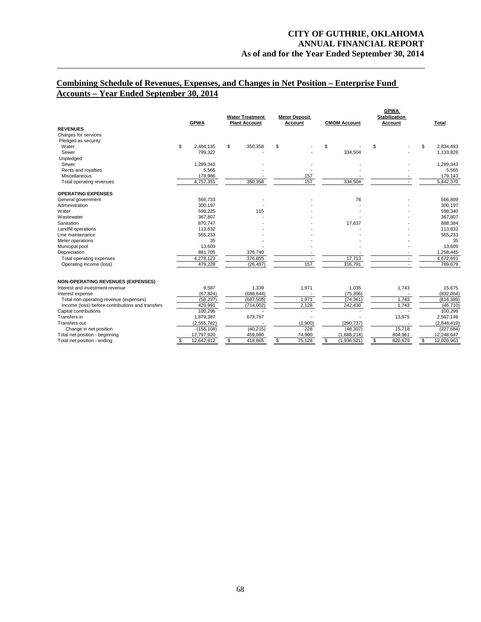## **Combining Schedule of Revenues, Expenses, and Changes in Net Position – Enterprise Fund Accounts – Year Ended September 30, 2014**

| Charges for services:<br>Pledged as security:<br>\$<br>\$<br>\$<br>\$<br>Water<br>2,484,135<br>350,358<br>\$<br>\$<br>2,834,493<br>Sewer<br>799,322<br>334,504<br>1,133,826<br>Unpledged:<br>1,289,343<br>Sewer<br>1,289,343<br>5,565<br>5,565<br>Rents and royalties<br>178,986<br>179,143<br>Miscellaneous<br>157<br>350,358<br>157<br>334,504<br>4,757,351<br>5,442,370<br>Total operating revenues<br><b>OPERATING EXPENSES</b><br>566.733<br>76<br>566.809<br>General government<br>300,197<br>Administration<br>300,197<br>598.225<br>115<br>598,340<br>Water<br>367,807<br>367,807<br>Wastewater<br>Sanitation<br>870.747<br>888,384<br>17,637<br>Landfill operations<br>113,832<br>113,832<br>565,233<br>Line maintenance<br>565,233<br>35<br>35<br>Meter operations<br>13.609<br>13,609<br>Municipal pool<br>881,705<br>376,740<br>1,258,445<br>Depreciation<br>4.278.123<br>376,855<br>17,713<br>4.672.691<br>Total operating expenses<br>$\blacksquare$<br>157<br>Operating income (loss)<br>479,228<br>316,791<br>769,679<br>(26, 497)<br><b>NON-OPERATING REVENUES (EXPENSES)</b><br>9,587<br>1,971<br>1.743<br>Interest and investment revenue<br>1,339<br>1,035<br>15,675<br>(67, 824)<br>(75, 396)<br>(832,064)<br>(688, 844)<br>Interest expense<br>1,971<br>Total non-operating revenue (expenses)<br>(58, 237)<br>(687, 505)<br>(74, 361)<br>1,743<br>(816, 389)<br>2,128<br>1,743<br>Income (loss) before contributions and transfers<br>420,991<br>(714,002)<br>242,430<br>(46, 710)<br>100,296<br>Capital contributions<br>100,296<br>Transfers in<br>1,879,387<br>673,787<br>13,975<br>2,567,149<br>(1,900)<br>(290, 737)<br>(2,848,419)<br>Transfers out<br>(2,555,782)<br>15,718<br>(40, 215)<br>228<br>(155, 108)<br>(48, 307)<br>(227, 684)<br>Change in net position<br>Total net position - beginning<br>12,797,920<br>459,080<br>74,900<br>(1,888,214)<br>804,961<br>12.248.647<br>\$<br>418,865<br>75,128<br>820,679<br>12,020,963<br>Total net position - ending<br>\$<br>12,642,812<br>\$<br>\$<br>(1,936,521)<br>\$<br>\$ | <b>REVENUES</b> | <b>GPWA</b> | <b>Water Treatment</b><br><b>Plant Account</b> | <b>Meter Deposit</b><br><b>Account</b> | <b>CMOM Account</b> | <b>GPWA</b><br><b>Stabilization</b><br>Account | Total |
|-------------------------------------------------------------------------------------------------------------------------------------------------------------------------------------------------------------------------------------------------------------------------------------------------------------------------------------------------------------------------------------------------------------------------------------------------------------------------------------------------------------------------------------------------------------------------------------------------------------------------------------------------------------------------------------------------------------------------------------------------------------------------------------------------------------------------------------------------------------------------------------------------------------------------------------------------------------------------------------------------------------------------------------------------------------------------------------------------------------------------------------------------------------------------------------------------------------------------------------------------------------------------------------------------------------------------------------------------------------------------------------------------------------------------------------------------------------------------------------------------------------------------------------------------------------------------------------------------------------------------------------------------------------------------------------------------------------------------------------------------------------------------------------------------------------------------------------------------------------------------------------------------------------------------------------------------------------------------------------------------------------------------------------------------------------|-----------------|-------------|------------------------------------------------|----------------------------------------|---------------------|------------------------------------------------|-------|
|                                                                                                                                                                                                                                                                                                                                                                                                                                                                                                                                                                                                                                                                                                                                                                                                                                                                                                                                                                                                                                                                                                                                                                                                                                                                                                                                                                                                                                                                                                                                                                                                                                                                                                                                                                                                                                                                                                                                                                                                                                                             |                 |             |                                                |                                        |                     |                                                |       |
|                                                                                                                                                                                                                                                                                                                                                                                                                                                                                                                                                                                                                                                                                                                                                                                                                                                                                                                                                                                                                                                                                                                                                                                                                                                                                                                                                                                                                                                                                                                                                                                                                                                                                                                                                                                                                                                                                                                                                                                                                                                             |                 |             |                                                |                                        |                     |                                                |       |
|                                                                                                                                                                                                                                                                                                                                                                                                                                                                                                                                                                                                                                                                                                                                                                                                                                                                                                                                                                                                                                                                                                                                                                                                                                                                                                                                                                                                                                                                                                                                                                                                                                                                                                                                                                                                                                                                                                                                                                                                                                                             |                 |             |                                                |                                        |                     |                                                |       |
|                                                                                                                                                                                                                                                                                                                                                                                                                                                                                                                                                                                                                                                                                                                                                                                                                                                                                                                                                                                                                                                                                                                                                                                                                                                                                                                                                                                                                                                                                                                                                                                                                                                                                                                                                                                                                                                                                                                                                                                                                                                             |                 |             |                                                |                                        |                     |                                                |       |
|                                                                                                                                                                                                                                                                                                                                                                                                                                                                                                                                                                                                                                                                                                                                                                                                                                                                                                                                                                                                                                                                                                                                                                                                                                                                                                                                                                                                                                                                                                                                                                                                                                                                                                                                                                                                                                                                                                                                                                                                                                                             |                 |             |                                                |                                        |                     |                                                |       |
|                                                                                                                                                                                                                                                                                                                                                                                                                                                                                                                                                                                                                                                                                                                                                                                                                                                                                                                                                                                                                                                                                                                                                                                                                                                                                                                                                                                                                                                                                                                                                                                                                                                                                                                                                                                                                                                                                                                                                                                                                                                             |                 |             |                                                |                                        |                     |                                                |       |
|                                                                                                                                                                                                                                                                                                                                                                                                                                                                                                                                                                                                                                                                                                                                                                                                                                                                                                                                                                                                                                                                                                                                                                                                                                                                                                                                                                                                                                                                                                                                                                                                                                                                                                                                                                                                                                                                                                                                                                                                                                                             |                 |             |                                                |                                        |                     |                                                |       |
|                                                                                                                                                                                                                                                                                                                                                                                                                                                                                                                                                                                                                                                                                                                                                                                                                                                                                                                                                                                                                                                                                                                                                                                                                                                                                                                                                                                                                                                                                                                                                                                                                                                                                                                                                                                                                                                                                                                                                                                                                                                             |                 |             |                                                |                                        |                     |                                                |       |
|                                                                                                                                                                                                                                                                                                                                                                                                                                                                                                                                                                                                                                                                                                                                                                                                                                                                                                                                                                                                                                                                                                                                                                                                                                                                                                                                                                                                                                                                                                                                                                                                                                                                                                                                                                                                                                                                                                                                                                                                                                                             |                 |             |                                                |                                        |                     |                                                |       |
|                                                                                                                                                                                                                                                                                                                                                                                                                                                                                                                                                                                                                                                                                                                                                                                                                                                                                                                                                                                                                                                                                                                                                                                                                                                                                                                                                                                                                                                                                                                                                                                                                                                                                                                                                                                                                                                                                                                                                                                                                                                             |                 |             |                                                |                                        |                     |                                                |       |
|                                                                                                                                                                                                                                                                                                                                                                                                                                                                                                                                                                                                                                                                                                                                                                                                                                                                                                                                                                                                                                                                                                                                                                                                                                                                                                                                                                                                                                                                                                                                                                                                                                                                                                                                                                                                                                                                                                                                                                                                                                                             |                 |             |                                                |                                        |                     |                                                |       |
|                                                                                                                                                                                                                                                                                                                                                                                                                                                                                                                                                                                                                                                                                                                                                                                                                                                                                                                                                                                                                                                                                                                                                                                                                                                                                                                                                                                                                                                                                                                                                                                                                                                                                                                                                                                                                                                                                                                                                                                                                                                             |                 |             |                                                |                                        |                     |                                                |       |
|                                                                                                                                                                                                                                                                                                                                                                                                                                                                                                                                                                                                                                                                                                                                                                                                                                                                                                                                                                                                                                                                                                                                                                                                                                                                                                                                                                                                                                                                                                                                                                                                                                                                                                                                                                                                                                                                                                                                                                                                                                                             |                 |             |                                                |                                        |                     |                                                |       |
|                                                                                                                                                                                                                                                                                                                                                                                                                                                                                                                                                                                                                                                                                                                                                                                                                                                                                                                                                                                                                                                                                                                                                                                                                                                                                                                                                                                                                                                                                                                                                                                                                                                                                                                                                                                                                                                                                                                                                                                                                                                             |                 |             |                                                |                                        |                     |                                                |       |
|                                                                                                                                                                                                                                                                                                                                                                                                                                                                                                                                                                                                                                                                                                                                                                                                                                                                                                                                                                                                                                                                                                                                                                                                                                                                                                                                                                                                                                                                                                                                                                                                                                                                                                                                                                                                                                                                                                                                                                                                                                                             |                 |             |                                                |                                        |                     |                                                |       |
|                                                                                                                                                                                                                                                                                                                                                                                                                                                                                                                                                                                                                                                                                                                                                                                                                                                                                                                                                                                                                                                                                                                                                                                                                                                                                                                                                                                                                                                                                                                                                                                                                                                                                                                                                                                                                                                                                                                                                                                                                                                             |                 |             |                                                |                                        |                     |                                                |       |
|                                                                                                                                                                                                                                                                                                                                                                                                                                                                                                                                                                                                                                                                                                                                                                                                                                                                                                                                                                                                                                                                                                                                                                                                                                                                                                                                                                                                                                                                                                                                                                                                                                                                                                                                                                                                                                                                                                                                                                                                                                                             |                 |             |                                                |                                        |                     |                                                |       |
|                                                                                                                                                                                                                                                                                                                                                                                                                                                                                                                                                                                                                                                                                                                                                                                                                                                                                                                                                                                                                                                                                                                                                                                                                                                                                                                                                                                                                                                                                                                                                                                                                                                                                                                                                                                                                                                                                                                                                                                                                                                             |                 |             |                                                |                                        |                     |                                                |       |
|                                                                                                                                                                                                                                                                                                                                                                                                                                                                                                                                                                                                                                                                                                                                                                                                                                                                                                                                                                                                                                                                                                                                                                                                                                                                                                                                                                                                                                                                                                                                                                                                                                                                                                                                                                                                                                                                                                                                                                                                                                                             |                 |             |                                                |                                        |                     |                                                |       |
|                                                                                                                                                                                                                                                                                                                                                                                                                                                                                                                                                                                                                                                                                                                                                                                                                                                                                                                                                                                                                                                                                                                                                                                                                                                                                                                                                                                                                                                                                                                                                                                                                                                                                                                                                                                                                                                                                                                                                                                                                                                             |                 |             |                                                |                                        |                     |                                                |       |
|                                                                                                                                                                                                                                                                                                                                                                                                                                                                                                                                                                                                                                                                                                                                                                                                                                                                                                                                                                                                                                                                                                                                                                                                                                                                                                                                                                                                                                                                                                                                                                                                                                                                                                                                                                                                                                                                                                                                                                                                                                                             |                 |             |                                                |                                        |                     |                                                |       |
|                                                                                                                                                                                                                                                                                                                                                                                                                                                                                                                                                                                                                                                                                                                                                                                                                                                                                                                                                                                                                                                                                                                                                                                                                                                                                                                                                                                                                                                                                                                                                                                                                                                                                                                                                                                                                                                                                                                                                                                                                                                             |                 |             |                                                |                                        |                     |                                                |       |
|                                                                                                                                                                                                                                                                                                                                                                                                                                                                                                                                                                                                                                                                                                                                                                                                                                                                                                                                                                                                                                                                                                                                                                                                                                                                                                                                                                                                                                                                                                                                                                                                                                                                                                                                                                                                                                                                                                                                                                                                                                                             |                 |             |                                                |                                        |                     |                                                |       |
|                                                                                                                                                                                                                                                                                                                                                                                                                                                                                                                                                                                                                                                                                                                                                                                                                                                                                                                                                                                                                                                                                                                                                                                                                                                                                                                                                                                                                                                                                                                                                                                                                                                                                                                                                                                                                                                                                                                                                                                                                                                             |                 |             |                                                |                                        |                     |                                                |       |
|                                                                                                                                                                                                                                                                                                                                                                                                                                                                                                                                                                                                                                                                                                                                                                                                                                                                                                                                                                                                                                                                                                                                                                                                                                                                                                                                                                                                                                                                                                                                                                                                                                                                                                                                                                                                                                                                                                                                                                                                                                                             |                 |             |                                                |                                        |                     |                                                |       |
|                                                                                                                                                                                                                                                                                                                                                                                                                                                                                                                                                                                                                                                                                                                                                                                                                                                                                                                                                                                                                                                                                                                                                                                                                                                                                                                                                                                                                                                                                                                                                                                                                                                                                                                                                                                                                                                                                                                                                                                                                                                             |                 |             |                                                |                                        |                     |                                                |       |
|                                                                                                                                                                                                                                                                                                                                                                                                                                                                                                                                                                                                                                                                                                                                                                                                                                                                                                                                                                                                                                                                                                                                                                                                                                                                                                                                                                                                                                                                                                                                                                                                                                                                                                                                                                                                                                                                                                                                                                                                                                                             |                 |             |                                                |                                        |                     |                                                |       |
|                                                                                                                                                                                                                                                                                                                                                                                                                                                                                                                                                                                                                                                                                                                                                                                                                                                                                                                                                                                                                                                                                                                                                                                                                                                                                                                                                                                                                                                                                                                                                                                                                                                                                                                                                                                                                                                                                                                                                                                                                                                             |                 |             |                                                |                                        |                     |                                                |       |
|                                                                                                                                                                                                                                                                                                                                                                                                                                                                                                                                                                                                                                                                                                                                                                                                                                                                                                                                                                                                                                                                                                                                                                                                                                                                                                                                                                                                                                                                                                                                                                                                                                                                                                                                                                                                                                                                                                                                                                                                                                                             |                 |             |                                                |                                        |                     |                                                |       |
|                                                                                                                                                                                                                                                                                                                                                                                                                                                                                                                                                                                                                                                                                                                                                                                                                                                                                                                                                                                                                                                                                                                                                                                                                                                                                                                                                                                                                                                                                                                                                                                                                                                                                                                                                                                                                                                                                                                                                                                                                                                             |                 |             |                                                |                                        |                     |                                                |       |
|                                                                                                                                                                                                                                                                                                                                                                                                                                                                                                                                                                                                                                                                                                                                                                                                                                                                                                                                                                                                                                                                                                                                                                                                                                                                                                                                                                                                                                                                                                                                                                                                                                                                                                                                                                                                                                                                                                                                                                                                                                                             |                 |             |                                                |                                        |                     |                                                |       |
|                                                                                                                                                                                                                                                                                                                                                                                                                                                                                                                                                                                                                                                                                                                                                                                                                                                                                                                                                                                                                                                                                                                                                                                                                                                                                                                                                                                                                                                                                                                                                                                                                                                                                                                                                                                                                                                                                                                                                                                                                                                             |                 |             |                                                |                                        |                     |                                                |       |
|                                                                                                                                                                                                                                                                                                                                                                                                                                                                                                                                                                                                                                                                                                                                                                                                                                                                                                                                                                                                                                                                                                                                                                                                                                                                                                                                                                                                                                                                                                                                                                                                                                                                                                                                                                                                                                                                                                                                                                                                                                                             |                 |             |                                                |                                        |                     |                                                |       |
|                                                                                                                                                                                                                                                                                                                                                                                                                                                                                                                                                                                                                                                                                                                                                                                                                                                                                                                                                                                                                                                                                                                                                                                                                                                                                                                                                                                                                                                                                                                                                                                                                                                                                                                                                                                                                                                                                                                                                                                                                                                             |                 |             |                                                |                                        |                     |                                                |       |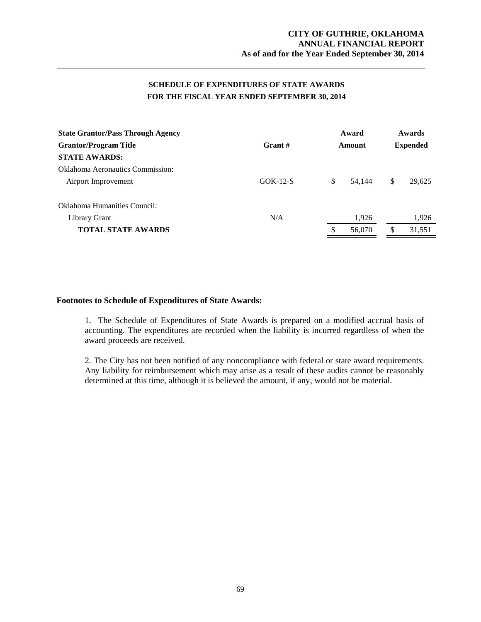## **SCHEDULE OF EXPENDITURES OF STATE AWARDS FOR THE FISCAL YEAR ENDED SEPTEMBER 30, 2014**

| <b>State Grantor/Pass Through Agency</b> |            |    | Award  |                 | Awards |  |
|------------------------------------------|------------|----|--------|-----------------|--------|--|
| <b>Grantor/Program Title</b>             | $G$ rant#  |    | Amount | <b>Expended</b> |        |  |
| <b>STATE AWARDS:</b>                     |            |    |        |                 |        |  |
| Oklahoma Aeronautics Commission:         |            |    |        |                 |        |  |
| Airport Improvement                      | $GOK-12-S$ | \$ | 54.144 | \$              | 29,625 |  |
| Oklahoma Humanities Council:             |            |    |        |                 |        |  |
| Library Grant                            | N/A        |    | 1,926  |                 | 1.926  |  |
| <b>TOTAL STATE AWARDS</b>                |            | S  | 56,070 | S               | 31,551 |  |

#### **Footnotes to Schedule of Expenditures of State Awards:**

 $\overline{a}$ 

1. The Schedule of Expenditures of State Awards is prepared on a modified accrual basis of accounting. The expenditures are recorded when the liability is incurred regardless of when the award proceeds are received.

2. The City has not been notified of any noncompliance with federal or state award requirements. Any liability for reimbursement which may arise as a result of these audits cannot be reasonably determined at this time, although it is believed the amount, if any, would not be material.